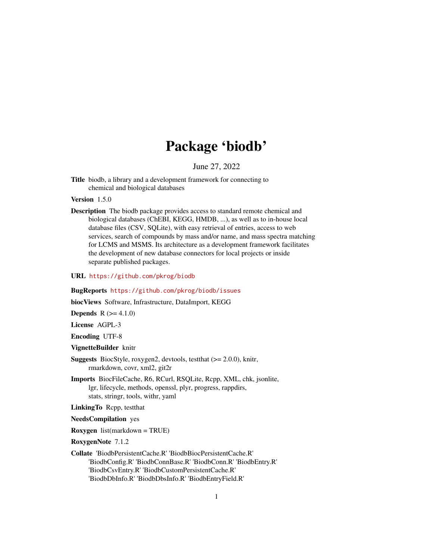# Package 'biodb'

June 27, 2022

<span id="page-0-0"></span>Title biodb, a library and a development framework for connecting to chemical and biological databases

Version 1.5.0

Description The biodb package provides access to standard remote chemical and biological databases (ChEBI, KEGG, HMDB, ...), as well as to in-house local database files (CSV, SQLite), with easy retrieval of entries, access to web services, search of compounds by mass and/or name, and mass spectra matching for LCMS and MSMS. Its architecture as a development framework facilitates the development of new database connectors for local projects or inside separate published packages.

URL <https://github.com/pkrog/biodb>

BugReports <https://github.com/pkrog/biodb/issues>

biocViews Software, Infrastructure, DataImport, KEGG

**Depends** R  $(>= 4.1.0)$ 

License AGPL-3

Encoding UTF-8

VignetteBuilder knitr

- Suggests BiocStyle, roxygen2, devtools, testthat (>= 2.0.0), knitr, rmarkdown, covr, xml2, git2r
- Imports BiocFileCache, R6, RCurl, RSQLite, Rcpp, XML, chk, jsonlite, lgr, lifecycle, methods, openssl, plyr, progress, rappdirs, stats, stringr, tools, withr, yaml

LinkingTo Rcpp, testthat

NeedsCompilation yes

Roxygen list(markdown = TRUE)

RoxygenNote 7.1.2

Collate 'BiodbPersistentCache.R' 'BiodbBiocPersistentCache.R' 'BiodbConfig.R' 'BiodbConnBase.R' 'BiodbConn.R' 'BiodbEntry.R' 'BiodbCsvEntry.R' 'BiodbCustomPersistentCache.R' 'BiodbDbInfo.R' 'BiodbDbsInfo.R' 'BiodbEntryField.R'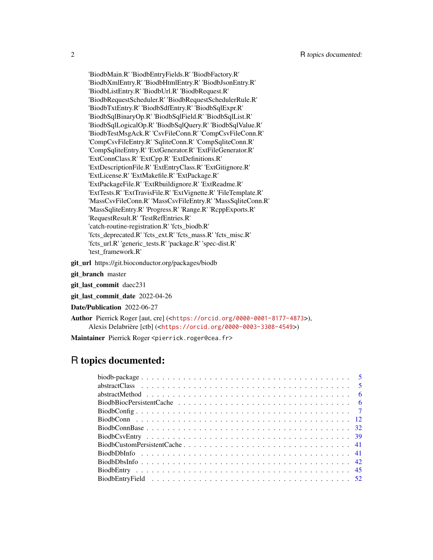'BiodbMain.R' 'BiodbEntryFields.R' 'BiodbFactory.R' 'BiodbXmlEntry.R' 'BiodbHtmlEntry.R' 'BiodbJsonEntry.R' 'BiodbListEntry.R' 'BiodbUrl.R' 'BiodbRequest.R' 'BiodbRequestScheduler.R' 'BiodbRequestSchedulerRule.R' 'BiodbTxtEntry.R' 'BiodbSdfEntry.R' 'BiodbSqlExpr.R' 'BiodbSqlBinaryOp.R' 'BiodbSqlField.R' 'BiodbSqlList.R' 'BiodbSqlLogicalOp.R' 'BiodbSqlQuery.R' 'BiodbSqlValue.R' 'BiodbTestMsgAck.R' 'CsvFileConn.R' 'CompCsvFileConn.R' 'CompCsvFileEntry.R' 'SqliteConn.R' 'CompSqliteConn.R' 'CompSqliteEntry.R' 'ExtGenerator.R' 'ExtFileGenerator.R' 'ExtConnClass.R' 'ExtCpp.R' 'ExtDefinitions.R' 'ExtDescriptionFile.R' 'ExtEntryClass.R' 'ExtGitignore.R' 'ExtLicense.R' 'ExtMakefile.R' 'ExtPackage.R' 'ExtPackageFile.R' 'ExtRbuildignore.R' 'ExtReadme.R' 'ExtTests.R' 'ExtTravisFile.R' 'ExtVignette.R' 'FileTemplate.R' 'MassCsvFileConn.R' 'MassCsvFileEntry.R' 'MassSqliteConn.R' 'MassSqliteEntry.R' 'Progress.R' 'Range.R' 'RcppExports.R' 'RequestResult.R' 'TestRefEntries.R' 'catch-routine-registration.R' 'fcts\_biodb.R' 'fcts\_deprecated.R' 'fcts\_ext.R' 'fcts\_mass.R' 'fcts\_misc.R' 'fcts\_url.R' 'generic\_tests.R' 'package.R' 'spec-dist.R' 'test\_framework.R'

git\_url https://git.bioconductor.org/packages/biodb

git branch master

git\_last\_commit daec231

git last commit date 2022-04-26

Date/Publication 2022-06-27

Author Pierrick Roger [aut, cre] (<<https://orcid.org/0000-0001-8177-4873>>), Alexis Delabrière [ctb] (<<https://orcid.org/0000-0003-3308-4549>>)

Maintainer Pierrick Roger <pierrick.roger@cea.fr>

# R topics documented: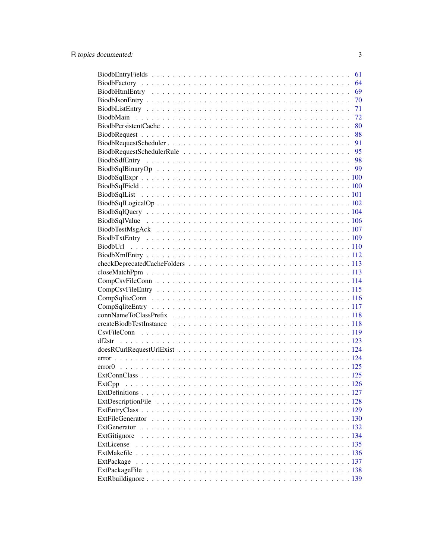|              | 61 |
|--------------|----|
|              | 64 |
|              | 69 |
|              | 70 |
|              | 71 |
|              | 72 |
|              | 80 |
|              | 88 |
|              | 91 |
|              |    |
|              |    |
|              |    |
|              |    |
|              |    |
|              |    |
|              |    |
|              |    |
|              |    |
|              |    |
|              |    |
|              |    |
|              |    |
|              |    |
|              |    |
|              |    |
|              |    |
|              |    |
|              |    |
|              |    |
|              |    |
|              |    |
|              |    |
|              |    |
|              |    |
|              |    |
|              |    |
|              |    |
|              |    |
|              |    |
|              |    |
|              |    |
| ExtGenerator |    |
| ExtGitignore |    |
| ExtLicense   |    |
|              |    |
| ExtPackage   |    |
|              |    |
|              |    |
|              |    |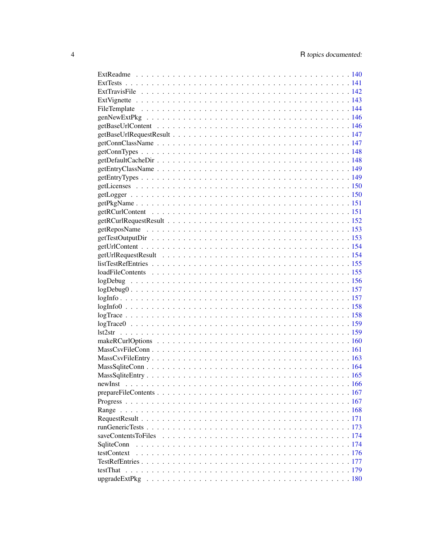| newInst             |  |
|---------------------|--|
|                     |  |
|                     |  |
|                     |  |
|                     |  |
|                     |  |
| saveContentsToFiles |  |
| SqliteConn          |  |
| testContext         |  |
|                     |  |
|                     |  |
|                     |  |
|                     |  |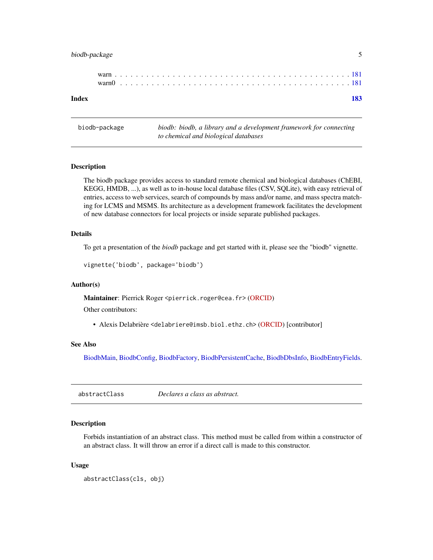# <span id="page-4-0"></span>biodb-package 5

biodb-package *biodb: biodb, a library and a development framework for connecting to chemical and biological databases*

# Description

The biodb package provides access to standard remote chemical and biological databases (ChEBI, KEGG, HMDB, ...), as well as to in-house local database files (CSV, SQLite), with easy retrieval of entries, access to web services, search of compounds by mass and/or name, and mass spectra matching for LCMS and MSMS. Its architecture as a development framework facilitates the development of new database connectors for local projects or inside separate published packages.

### Details

To get a presentation of the *biodb* package and get started with it, please see the "biodb" vignette.

```
vignette('biodb', package='biodb')
```
#### Author(s)

Maintainer: Pierrick Roger <pierrick.roger@cea.fr> [\(ORCID\)](https://orcid.org/0000-0001-8177-4873)

Other contributors:

• Alexis Delabrière <delabriere@imsb.biol.ethz.ch> [\(ORCID\)](https://orcid.org/0000-0003-3308-4549) [contributor]

# See Also

[BiodbMain,](#page-71-1) [BiodbConfig,](#page-6-1) [BiodbFactory,](#page-63-1) [BiodbPersistentCache,](#page-79-1) [BiodbDbsInfo,](#page-41-1) [BiodbEntryFields.](#page-60-1)

abstractClass *Declares a class as abstract.*

# Description

Forbids instantiation of an abstract class. This method must be called from within a constructor of an abstract class. It will throw an error if a direct call is made to this constructor.

#### Usage

```
abstractClass(cls, obj)
```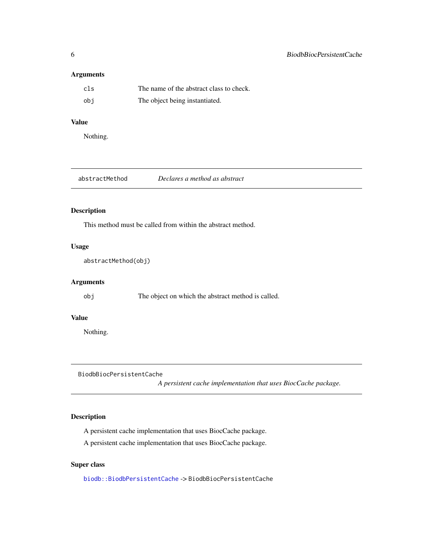# <span id="page-5-0"></span>Arguments

| cls | The name of the abstract class to check. |
|-----|------------------------------------------|
| obi | The object being instantiated.           |

# Value

Nothing.

| abstractMethod | Declares a method as abstract |
|----------------|-------------------------------|
|----------------|-------------------------------|

# Description

This method must be called from within the abstract method.

# Usage

abstractMethod(obj)

# Arguments

obj The object on which the abstract method is called.

#### Value

Nothing.

<span id="page-5-1"></span>BiodbBiocPersistentCache

*A persistent cache implementation that uses BiocCache package.*

# Description

A persistent cache implementation that uses BiocCache package.

A persistent cache implementation that uses BiocCache package.

# Super class

[biodb::BiodbPersistentCache](#page-0-0) -> BiodbBiocPersistentCache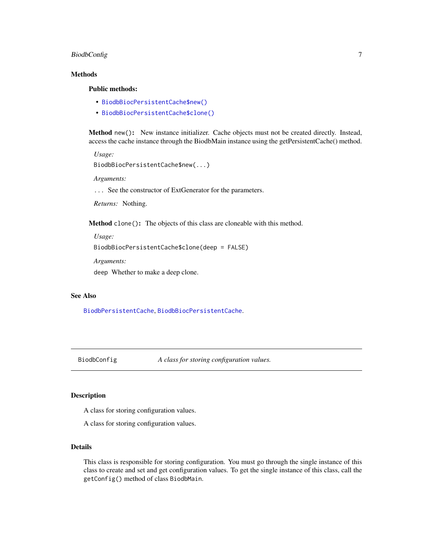# <span id="page-6-0"></span>BiodbConfig 7

### Methods

# Public methods:

- [BiodbBiocPersistentCache\\$new\(\)](#page-6-2)
- [BiodbBiocPersistentCache\\$clone\(\)](#page-6-3)

<span id="page-6-2"></span>Method new(): New instance initializer. Cache objects must not be created directly. Instead, access the cache instance through the BiodbMain instance using the getPersistentCache() method.

*Usage:*

```
BiodbBiocPersistentCache$new(...)
```
*Arguments:*

... See the constructor of ExtGenerator for the parameters.

*Returns:* Nothing.

<span id="page-6-3"></span>Method clone(): The objects of this class are cloneable with this method.

*Usage:*

```
BiodbBiocPersistentCache$clone(deep = FALSE)
```
*Arguments:*

deep Whether to make a deep clone.

### See Also

[BiodbPersistentCache](#page-79-1), [BiodbBiocPersistentCache](#page-5-1).

<span id="page-6-1"></span>

BiodbConfig *A class for storing configuration values.*

#### Description

A class for storing configuration values.

A class for storing configuration values.

#### Details

This class is responsible for storing configuration. You must go through the single instance of this class to create and set and get configuration values. To get the single instance of this class, call the getConfig() method of class BiodbMain.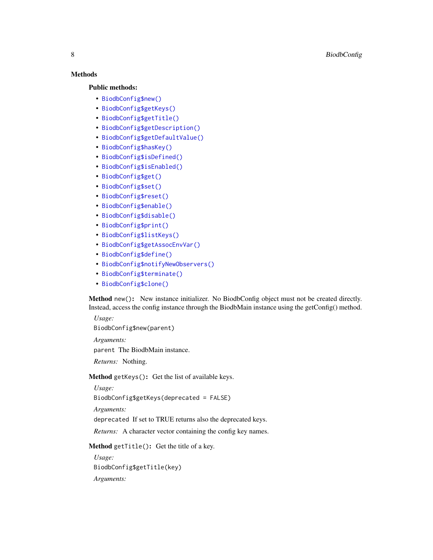# Methods

#### Public methods:

- [BiodbConfig\\$new\(\)](#page-6-2)
- [BiodbConfig\\$getKeys\(\)](#page-7-0)
- [BiodbConfig\\$getTitle\(\)](#page-7-1)
- [BiodbConfig\\$getDescription\(\)](#page-8-0)
- [BiodbConfig\\$getDefaultValue\(\)](#page-8-1)
- [BiodbConfig\\$hasKey\(\)](#page-8-2)
- [BiodbConfig\\$isDefined\(\)](#page-8-3)
- [BiodbConfig\\$isEnabled\(\)](#page-8-4)
- [BiodbConfig\\$get\(\)](#page-8-5)
- [BiodbConfig\\$set\(\)](#page-9-0)
- [BiodbConfig\\$reset\(\)](#page-9-1)
- [BiodbConfig\\$enable\(\)](#page-9-2)
- [BiodbConfig\\$disable\(\)](#page-9-3)
- [BiodbConfig\\$print\(\)](#page-9-4)
- [BiodbConfig\\$listKeys\(\)](#page-9-5)
- [BiodbConfig\\$getAssocEnvVar\(\)](#page-10-0)
- [BiodbConfig\\$define\(\)](#page-10-1)
- [BiodbConfig\\$notifyNewObservers\(\)](#page-10-2)
- [BiodbConfig\\$terminate\(\)](#page-10-3)
- [BiodbConfig\\$clone\(\)](#page-6-3)

Method new(): New instance initializer. No BiodbConfig object must not be created directly. Instead, access the config instance through the BiodbMain instance using the getConfig() method.

*Usage:*

BiodbConfig\$new(parent)

*Arguments:*

parent The BiodbMain instance.

*Returns:* Nothing.

<span id="page-7-0"></span>Method getKeys(): Get the list of available keys.

*Usage:*

BiodbConfig\$getKeys(deprecated = FALSE)

*Arguments:*

deprecated If set to TRUE returns also the deprecated keys.

*Returns:* A character vector containing the config key names.

<span id="page-7-1"></span>Method getTitle(): Get the title of a key.

*Usage:* BiodbConfig\$getTitle(key) *Arguments:*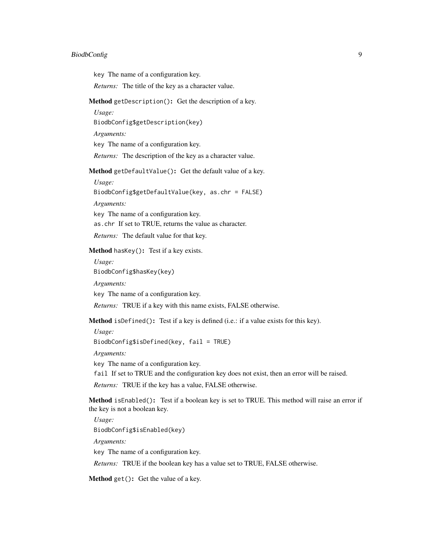#### BiodbConfig 9

key The name of a configuration key.

*Returns:* The title of the key as a character value.

<span id="page-8-0"></span>Method getDescription(): Get the description of a key.

*Usage:*

BiodbConfig\$getDescription(key)

*Arguments:*

key The name of a configuration key.

*Returns:* The description of the key as a character value.

<span id="page-8-1"></span>Method getDefaultValue(): Get the default value of a key.

*Usage:*

BiodbConfig\$getDefaultValue(key, as.chr = FALSE)

*Arguments:*

key The name of a configuration key. as.chr If set to TRUE, returns the value as character.

*Returns:* The default value for that key.

<span id="page-8-2"></span>Method hasKey(): Test if a key exists.

*Usage:*

BiodbConfig\$hasKey(key)

*Arguments:*

key The name of a configuration key.

*Returns:* TRUE if a key with this name exists, FALSE otherwise.

<span id="page-8-3"></span>Method isDefined(): Test if a key is defined (i.e.: if a value exists for this key).

*Usage:*

BiodbConfig\$isDefined(key, fail = TRUE)

*Arguments:*

key The name of a configuration key.

fail If set to TRUE and the configuration key does not exist, then an error will be raised.

*Returns:* TRUE if the key has a value, FALSE otherwise.

<span id="page-8-4"></span>Method isEnabled(): Test if a boolean key is set to TRUE. This method will raise an error if the key is not a boolean key.

*Usage:* BiodbConfig\$isEnabled(key) *Arguments:* key The name of a configuration key. *Returns:* TRUE if the boolean key has a value set to TRUE, FALSE otherwise.

<span id="page-8-5"></span>Method get(): Get the value of a key.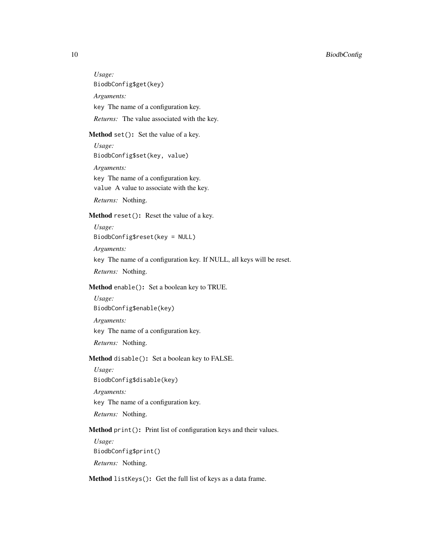<span id="page-9-1"></span><span id="page-9-0"></span>*Usage:* BiodbConfig\$get(key) *Arguments:* key The name of a configuration key. *Returns:* The value associated with the key. Method set(): Set the value of a key. *Usage:* BiodbConfig\$set(key, value) *Arguments:* key The name of a configuration key. value A value to associate with the key. *Returns:* Nothing. Method reset(): Reset the value of a key. *Usage:* BiodbConfig\$reset(key = NULL) *Arguments:* key The name of a configuration key. If NULL, all keys will be reset. *Returns:* Nothing. Method enable(): Set a boolean key to TRUE. *Usage:* BiodbConfig\$enable(key) *Arguments:* key The name of a configuration key. *Returns:* Nothing. Method disable(): Set a boolean key to FALSE. *Usage:* BiodbConfig\$disable(key) *Arguments:* key The name of a configuration key. *Returns:* Nothing. Method print(): Print list of configuration keys and their values. *Usage:* BiodbConfig\$print() *Returns:* Nothing.

<span id="page-9-5"></span><span id="page-9-4"></span><span id="page-9-3"></span><span id="page-9-2"></span>Method listKeys(): Get the full list of keys as a data frame.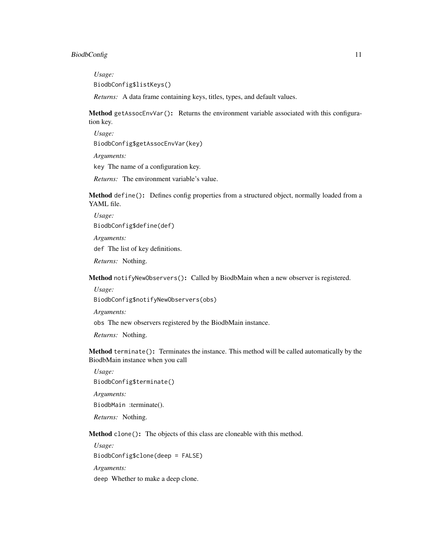#### BiodbConfig 11

*Usage:*

BiodbConfig\$listKeys()

*Returns:* A data frame containing keys, titles, types, and default values.

<span id="page-10-0"></span>Method getAssocEnvVar(): Returns the environment variable associated with this configuration key.

*Usage:*

BiodbConfig\$getAssocEnvVar(key)

*Arguments:*

key The name of a configuration key.

*Returns:* The environment variable's value.

<span id="page-10-1"></span>Method define(): Defines config properties from a structured object, normally loaded from a YAML file.

*Usage:* BiodbConfig\$define(def)

*Arguments:*

def The list of key definitions.

*Returns:* Nothing.

<span id="page-10-2"></span>Method notifyNewObservers(): Called by BiodbMain when a new observer is registered.

*Usage:*

BiodbConfig\$notifyNewObservers(obs)

*Arguments:*

obs The new observers registered by the BiodbMain instance.

*Returns:* Nothing.

<span id="page-10-3"></span>Method terminate(): Terminates the instance. This method will be called automatically by the BiodbMain instance when you call

*Usage:* BiodbConfig\$terminate()

BiodbMain :terminate().

*Returns:* Nothing.

*Arguments:*

Method clone(): The objects of this class are cloneable with this method.

*Usage:* BiodbConfig\$clone(deep = FALSE) *Arguments:* deep Whether to make a deep clone.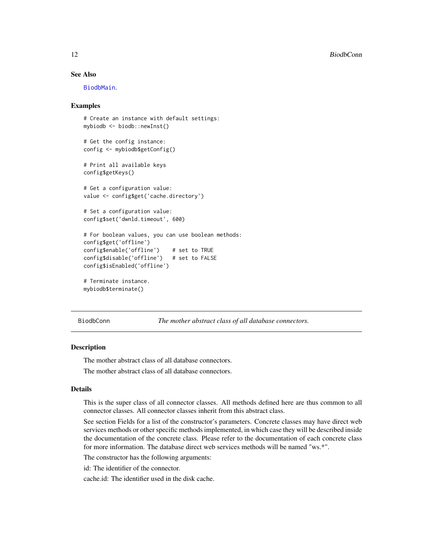# <span id="page-11-0"></span>See Also

[BiodbMain](#page-71-1).

#### Examples

```
# Create an instance with default settings:
mybiodb <- biodb::newInst()
# Get the config instance:
config <- mybiodb$getConfig()
# Print all available keys
config$getKeys()
# Get a configuration value:
value <- config$get('cache.directory')
# Set a configuration value:
config$set('dwnld.timeout', 600)
# For boolean values, you can use boolean methods:
config$get('offline')
config$enable('offline') # set to TRUE
config$disable('offline') # set to FALSE
config$isEnabled('offline')
# Terminate instance.
mybiodb$terminate()
```
BiodbConn *The mother abstract class of all database connectors.*

#### **Description**

The mother abstract class of all database connectors.

The mother abstract class of all database connectors.

# Details

This is the super class of all connector classes. All methods defined here are thus common to all connector classes. All connector classes inherit from this abstract class.

See section Fields for a list of the constructor's parameters. Concrete classes may have direct web services methods or other specific methods implemented, in which case they will be described inside the documentation of the concrete class. Please refer to the documentation of each concrete class for more information. The database direct web services methods will be named "ws.\*".

The constructor has the following arguments:

id: The identifier of the connector.

cache.id: The identifier used in the disk cache.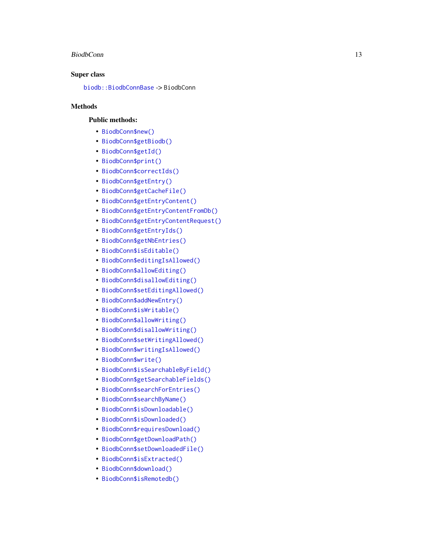#### BiodbConn 13

#### Super class

[biodb::BiodbConnBase](#page-0-0) -> BiodbConn

# **Methods**

### Public methods:

- [BiodbConn\\$new\(\)](#page-6-2)
- [BiodbConn\\$getBiodb\(\)](#page-13-0)
- [BiodbConn\\$getId\(\)](#page-14-0)
- [BiodbConn\\$print\(\)](#page-9-4)
- [BiodbConn\\$correctIds\(\)](#page-14-1)
- [BiodbConn\\$getEntry\(\)](#page-14-2)
- [BiodbConn\\$getCacheFile\(\)](#page-14-3)
- [BiodbConn\\$getEntryContent\(\)](#page-14-4)
- [BiodbConn\\$getEntryContentFromDb\(\)](#page-15-0)
- [BiodbConn\\$getEntryContentRequest\(\)](#page-15-1)
- [BiodbConn\\$getEntryIds\(\)](#page-15-2)
- [BiodbConn\\$getNbEntries\(\)](#page-15-3)
- [BiodbConn\\$isEditable\(\)](#page-16-0)
- [BiodbConn\\$editingIsAllowed\(\)](#page-16-1)
- [BiodbConn\\$allowEditing\(\)](#page-16-2)
- [BiodbConn\\$disallowEditing\(\)](#page-16-3)
- [BiodbConn\\$setEditingAllowed\(\)](#page-16-4)
- [BiodbConn\\$addNewEntry\(\)](#page-16-5)
- [BiodbConn\\$isWritable\(\)](#page-17-0)
- [BiodbConn\\$allowWriting\(\)](#page-17-1)
- [BiodbConn\\$disallowWriting\(\)](#page-17-2)
- [BiodbConn\\$setWritingAllowed\(\)](#page-17-3)
- [BiodbConn\\$writingIsAllowed\(\)](#page-17-4)
- [BiodbConn\\$write\(\)](#page-17-5)
- [BiodbConn\\$isSearchableByField\(\)](#page-17-6)
- [BiodbConn\\$getSearchableFields\(\)](#page-18-0)
- [BiodbConn\\$searchForEntries\(\)](#page-18-1)
- [BiodbConn\\$searchByName\(\)](#page-18-2)
- [BiodbConn\\$isDownloadable\(\)](#page-18-3)
- [BiodbConn\\$isDownloaded\(\)](#page-18-4)
- [BiodbConn\\$requiresDownload\(\)](#page-18-5)
- [BiodbConn\\$getDownloadPath\(\)](#page-19-0)
- [BiodbConn\\$setDownloadedFile\(\)](#page-19-1)
- [BiodbConn\\$isExtracted\(\)](#page-19-2)
- [BiodbConn\\$download\(\)](#page-19-3)
- [BiodbConn\\$isRemotedb\(\)](#page-19-4)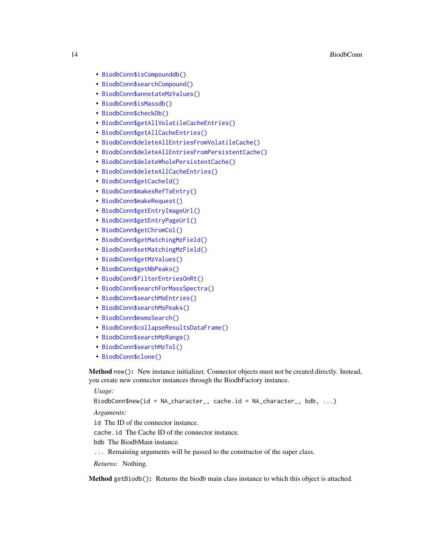- [BiodbConn\\$isCompounddb\(\)](#page-19-5)
- [BiodbConn\\$searchCompound\(\)](#page-19-6)
- [BiodbConn\\$annotateMzValues\(\)](#page-20-0)
- [BiodbConn\\$isMassdb\(\)](#page-21-0)
- [BiodbConn\\$checkDb\(\)](#page-21-1)
- [BiodbConn\\$getAllVolatileCacheEntries\(\)](#page-21-2)
- [BiodbConn\\$getAllCacheEntries\(\)](#page-21-3)
- [BiodbConn\\$deleteAllEntriesFromVolatileCache\(\)](#page-21-4)
- [BiodbConn\\$deleteAllEntriesFromPersistentCache\(\)](#page-21-5)
- [BiodbConn\\$deleteWholePersistentCache\(\)](#page-22-0)
- [BiodbConn\\$deleteAllCacheEntries\(\)](#page-22-1)
- [BiodbConn\\$getCacheId\(\)](#page-22-2)
- [BiodbConn\\$makesRefToEntry\(\)](#page-22-3)
- [BiodbConn\\$makeRequest\(\)](#page-22-4)
- [BiodbConn\\$getEntryImageUrl\(\)](#page-23-0)
- [BiodbConn\\$getEntryPageUrl\(\)](#page-23-1)
- [BiodbConn\\$getChromCol\(\)](#page-23-2)
- [BiodbConn\\$getMatchingMzField\(\)](#page-23-3)
- [BiodbConn\\$setMatchingMzField\(\)](#page-23-4)
- [BiodbConn\\$getMzValues\(\)](#page-23-5)
- [BiodbConn\\$getNbPeaks\(\)](#page-24-0)
- [BiodbConn\\$filterEntriesOnRt\(\)](#page-24-1)
- [BiodbConn\\$searchForMassSpectra\(\)](#page-25-0)
- [BiodbConn\\$searchMsEntries\(\)](#page-26-0)
- [BiodbConn\\$searchMsPeaks\(\)](#page-27-0)
- [BiodbConn\\$msmsSearch\(\)](#page-28-0)
- [BiodbConn\\$collapseResultsDataFrame\(\)](#page-29-0)
- [BiodbConn\\$searchMzRange\(\)](#page-29-1)
- [BiodbConn\\$searchMzTol\(\)](#page-30-0)
- [BiodbConn\\$clone\(\)](#page-6-3)

Method new(): New instance initializer. Connector objects must not be created directly. Instead, you create new connector instances through the BiodbFactory instance.

*Usage:*

BiodbConn\$new(id = NA\_character\_, cache.id = NA\_character\_, bdb, ...)

*Arguments:*

id The ID of the connector instance.

cache.id The Cache ID of the connector instance.

- bdb The BiodbMain instance.
- ... Remaining arguments will be passed to the constructor of the super class.

*Returns:* Nothing.

<span id="page-13-0"></span>Method getBiodb(): Returns the biodb main class instance to which this object is attached.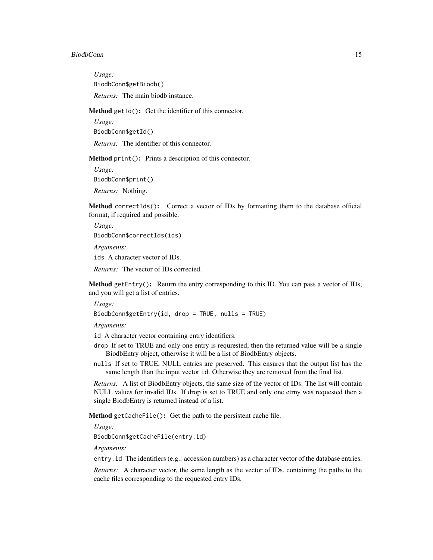#### BiodbConn 15

*Usage:* BiodbConn\$getBiodb() *Returns:* The main biodb instance.

<span id="page-14-0"></span>Method getId(): Get the identifier of this connector.

*Usage:*

BiodbConn\$getId()

*Returns:* The identifier of this connector.

Method print(): Prints a description of this connector.

*Usage:* BiodbConn\$print() *Returns:* Nothing.

<span id="page-14-1"></span>Method correctIds(): Correct a vector of IDs by formatting them to the database official format, if required and possible.

*Usage:* BiodbConn\$correctIds(ids) *Arguments:*

ids A character vector of IDs.

*Returns:* The vector of IDs corrected.

<span id="page-14-2"></span>Method getEntry(): Return the entry corresponding to this ID. You can pass a vector of IDs, and you will get a list of entries.

*Usage:*

BiodbConn\$getEntry(id, drop = TRUE, nulls = TRUE)

*Arguments:*

id A character vector containing entry identifiers.

- drop If set to TRUE and only one entry is requrested, then the returned value will be a single BiodbEntry object, otherwise it will be a list of BiodbEntry objects.
- nulls If set to TRUE, NULL entries are preserved. This ensures that the output list has the same length than the input vector id. Otherwise they are removed from the final list.

*Returns:* A list of BiodbEntry objects, the same size of the vector of IDs. The list will contain NULL values for invalid IDs. If drop is set to TRUE and only one etrny was requested then a single BiodbEntry is returned instead of a list.

<span id="page-14-3"></span>Method getCacheFile(): Get the path to the persistent cache file.

*Usage:*

BiodbConn\$getCacheFile(entry.id)

*Arguments:*

entry.id The identifiers (e.g.: accession numbers) as a character vector of the database entries.

<span id="page-14-4"></span>*Returns:* A character vector, the same length as the vector of IDs, containing the paths to the cache files corresponding to the requested entry IDs.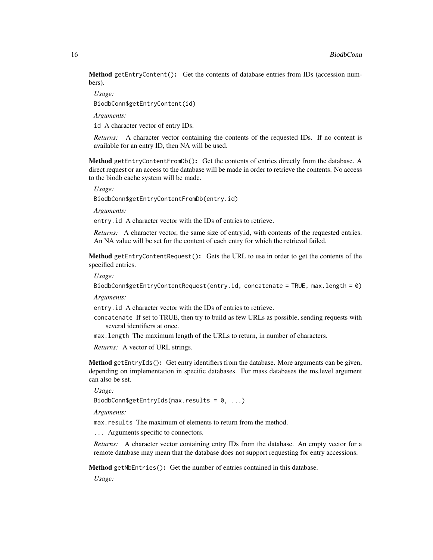Method getEntryContent(): Get the contents of database entries from IDs (accession numbers).

*Usage:*

BiodbConn\$getEntryContent(id)

*Arguments:*

id A character vector of entry IDs.

*Returns:* A character vector containing the contents of the requested IDs. If no content is available for an entry ID, then NA will be used.

<span id="page-15-0"></span>Method getEntryContentFromDb(): Get the contents of entries directly from the database. A direct request or an access to the database will be made in order to retrieve the contents. No access to the biodb cache system will be made.

*Usage:*

BiodbConn\$getEntryContentFromDb(entry.id)

*Arguments:*

entry.id A character vector with the IDs of entries to retrieve.

*Returns:* A character vector, the same size of entry.id, with contents of the requested entries. An NA value will be set for the content of each entry for which the retrieval failed.

<span id="page-15-1"></span>Method getEntryContentRequest(): Gets the URL to use in order to get the contents of the specified entries.

*Usage:*

BiodbConn\$getEntryContentRequest(entry.id, concatenate = TRUE, max.length = 0)

*Arguments:*

entry.id A character vector with the IDs of entries to retrieve.

- concatenate If set to TRUE, then try to build as few URLs as possible, sending requests with several identifiers at once.
- max.length The maximum length of the URLs to return, in number of characters.

*Returns:* A vector of URL strings.

<span id="page-15-2"></span>Method getEntryIds(): Get entry identifiers from the database. More arguments can be given, depending on implementation in specific databases. For mass databases the ms.level argument can also be set.

*Usage:*

BiodbConn\$getEntryIds(max.results =  $0, ...$ )

*Arguments:*

max.results The maximum of elements to return from the method.

... Arguments specific to connectors.

*Returns:* A character vector containing entry IDs from the database. An empty vector for a remote database may mean that the database does not support requesting for entry accessions.

<span id="page-15-3"></span>Method getNbEntries(): Get the number of entries contained in this database.

*Usage:*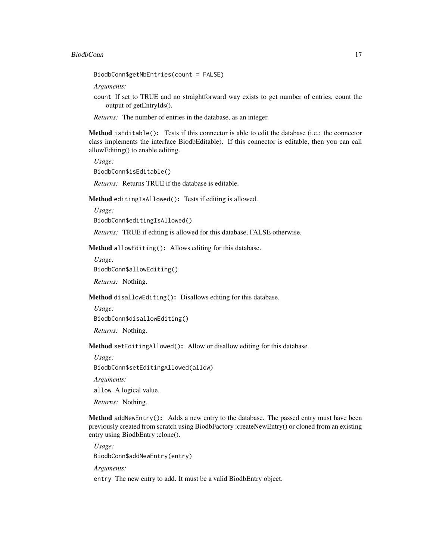BiodbConn\$getNbEntries(count = FALSE)

*Arguments:*

count If set to TRUE and no straightforward way exists to get number of entries, count the output of getEntryIds().

*Returns:* The number of entries in the database, as an integer.

<span id="page-16-0"></span>Method isEditable(): Tests if this connector is able to edit the database (i.e.: the connector class implements the interface BiodbEditable). If this connector is editable, then you can call allowEditing() to enable editing.

*Usage:* BiodbConn\$isEditable()

*Returns:* Returns TRUE if the database is editable.

<span id="page-16-1"></span>Method editingIsAllowed(): Tests if editing is allowed.

*Usage:*

BiodbConn\$editingIsAllowed()

*Returns:* TRUE if editing is allowed for this database, FALSE otherwise.

<span id="page-16-2"></span>Method allowEditing(): Allows editing for this database.

*Usage:* BiodbConn\$allowEditing()

*Returns:* Nothing.

<span id="page-16-3"></span>Method disallowEditing(): Disallows editing for this database.

*Usage:*

BiodbConn\$disallowEditing()

*Returns:* Nothing.

<span id="page-16-4"></span>Method setEditingAllowed(): Allow or disallow editing for this database.

*Usage:*

BiodbConn\$setEditingAllowed(allow)

*Arguments:*

allow A logical value.

*Returns:* Nothing.

<span id="page-16-5"></span>Method addNewEntry(): Adds a new entry to the database. The passed entry must have been previously created from scratch using BiodbFactory :createNewEntry() or cloned from an existing entry using BiodbEntry :clone().

*Usage:* BiodbConn\$addNewEntry(entry)

*Arguments:*

entry The new entry to add. It must be a valid BiodbEntry object.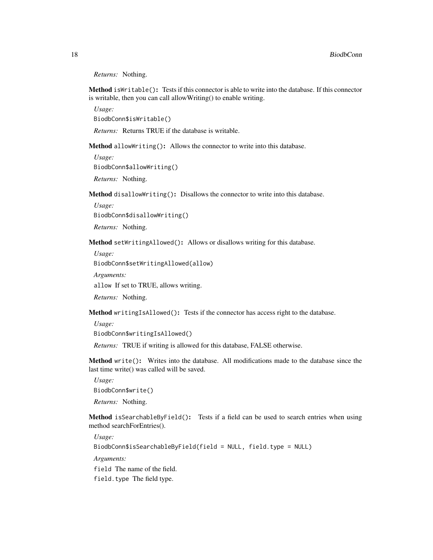*Returns:* Nothing.

<span id="page-17-0"></span>Method isWritable(): Tests if this connector is able to write into the database. If this connector is writable, then you can call allowWriting() to enable writing.

*Usage:*

BiodbConn\$isWritable()

*Returns:* Returns TRUE if the database is writable.

<span id="page-17-1"></span>Method allowWriting(): Allows the connector to write into this database.

*Usage:* BiodbConn\$allowWriting()

*Returns:* Nothing.

<span id="page-17-2"></span>Method disallowWriting(): Disallows the connector to write into this database.

*Usage:*

BiodbConn\$disallowWriting()

*Returns:* Nothing.

<span id="page-17-3"></span>Method setWritingAllowed(): Allows or disallows writing for this database.

*Usage:*

BiodbConn\$setWritingAllowed(allow)

*Arguments:*

allow If set to TRUE, allows writing.

*Returns:* Nothing.

<span id="page-17-4"></span>Method writingIsAllowed(): Tests if the connector has access right to the database.

*Usage:*

BiodbConn\$writingIsAllowed()

*Returns:* TRUE if writing is allowed for this database, FALSE otherwise.

<span id="page-17-5"></span>Method write(): Writes into the database. All modifications made to the database since the last time write() was called will be saved.

*Usage:*

BiodbConn\$write()

*Returns:* Nothing.

<span id="page-17-6"></span>Method isSearchableByField(): Tests if a field can be used to search entries when using method searchForEntries().

*Usage:*

BiodbConn\$isSearchableByField(field = NULL, field.type = NULL)

*Arguments:*

field The name of the field.

field.type The field type.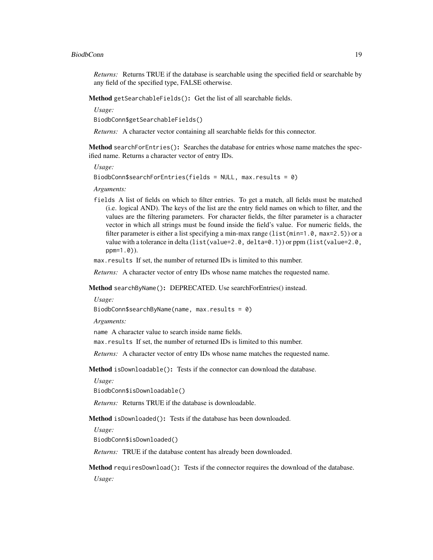#### BiodbConn and the contract of the contract of the contract of the contract of the contract of the contract of the contract of the contract of the contract of the contract of the contract of the contract of the contract of

*Returns:* Returns TRUE if the database is searchable using the specified field or searchable by any field of the specified type, FALSE otherwise.

<span id="page-18-0"></span>Method getSearchableFields(): Get the list of all searchable fields.

*Usage:*

BiodbConn\$getSearchableFields()

*Returns:* A character vector containing all searchable fields for this connector.

<span id="page-18-1"></span>Method searchForEntries(): Searches the database for entries whose name matches the specified name. Returns a character vector of entry IDs.

*Usage:*

```
BiodbConn$searchForEntries(fields = NULL, max.results = 0)
```
*Arguments:*

fields A list of fields on which to filter entries. To get a match, all fields must be matched (i.e. logical AND). The keys of the list are the entry field names on which to filter, and the values are the filtering parameters. For character fields, the filter parameter is a character vector in which all strings must be found inside the field's value. For numeric fields, the filter parameter is either a list specifying a min-max range (list(min=1.0, max=2.5)) or a value with a tolerance in delta (list(value=2.0, delta=0.1)) or ppm (list(value=2.0, ppm=1.0)).

max.results If set, the number of returned IDs is limited to this number.

*Returns:* A character vector of entry IDs whose name matches the requested name.

<span id="page-18-2"></span>Method searchByName(): DEPRECATED. Use searchForEntries() instead.

*Usage:*

BiodbConn\$searchByName(name, max.results = 0)

*Arguments:*

name A character value to search inside name fields.

max.results If set, the number of returned IDs is limited to this number.

*Returns:* A character vector of entry IDs whose name matches the requested name.

<span id="page-18-3"></span>Method isDownloadable(): Tests if the connector can download the database.

*Usage:*

BiodbConn\$isDownloadable()

*Returns:* Returns TRUE if the database is downloadable.

<span id="page-18-4"></span>Method isDownloaded(): Tests if the database has been downloaded.

*Usage:*

BiodbConn\$isDownloaded()

*Returns:* TRUE if the database content has already been downloaded.

<span id="page-18-5"></span>Method requiresDownload(): Tests if the connector requires the download of the database. *Usage:*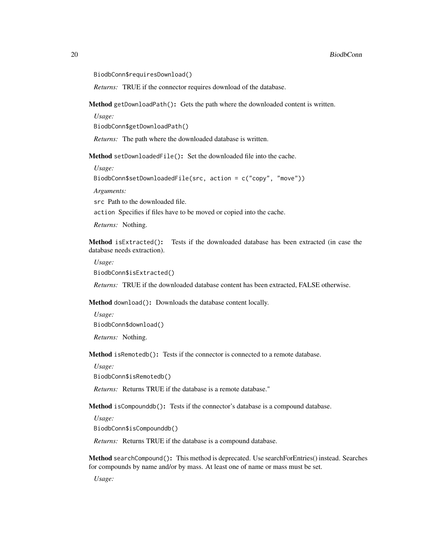BiodbConn\$requiresDownload()

*Returns:* TRUE if the connector requires download of the database.

<span id="page-19-0"></span>Method getDownloadPath(): Gets the path where the downloaded content is written.

*Usage:*

BiodbConn\$getDownloadPath()

*Returns:* The path where the downloaded database is written.

<span id="page-19-1"></span>Method setDownloadedFile(): Set the downloaded file into the cache.

*Usage:*

BiodbConn\$setDownloadedFile(src, action = c("copy", "move"))

*Arguments:*

src Path to the downloaded file.

action Specifies if files have to be moved or copied into the cache.

*Returns:* Nothing.

<span id="page-19-2"></span>Method isExtracted(): Tests if the downloaded database has been extracted (in case the database needs extraction).

*Usage:*

BiodbConn\$isExtracted()

*Returns:* TRUE if the downloaded database content has been extracted, FALSE otherwise.

<span id="page-19-3"></span>Method download(): Downloads the database content locally.

*Usage:* BiodbConn\$download()

*Returns:* Nothing.

<span id="page-19-4"></span>Method isRemotedb(): Tests if the connector is connected to a remote database.

*Usage:*

BiodbConn\$isRemotedb()

*Returns:* Returns TRUE if the database is a remote database."

<span id="page-19-5"></span>Method isCompounddb(): Tests if the connector's database is a compound database.

*Usage:*

BiodbConn\$isCompounddb()

*Returns:* Returns TRUE if the database is a compound database.

<span id="page-19-6"></span>Method searchCompound(): This method is deprecated. Use searchForEntries() instead. Searches for compounds by name and/or by mass. At least one of name or mass must be set.

*Usage:*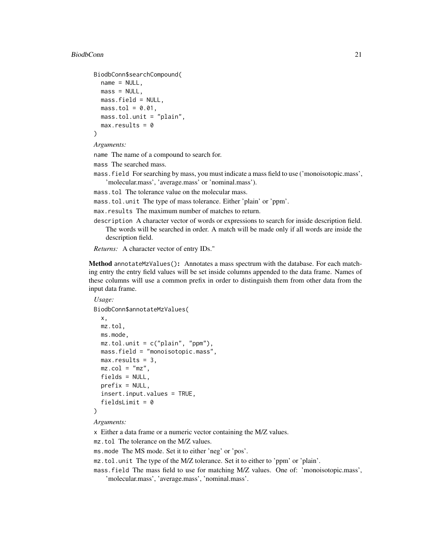#### BiodbConn 21

```
BiodbConn$searchCompound(
 name = NULL,mass = NULL,
 mass.field = NULL,
 mass.tol = 0.01,
 mass.tol.unit = "plain",
  max. results = 0)
```
*Arguments:*

name The name of a compound to search for.

mass The searched mass.

- mass.field For searching by mass, you must indicate a mass field to use ('monoisotopic.mass', 'molecular.mass', 'average.mass' or 'nominal.mass').
- mass.tol The tolerance value on the molecular mass.
- mass.tol.unit The type of mass tolerance. Either 'plain' or 'ppm'.
- max.results The maximum number of matches to return.
- description A character vector of words or expressions to search for inside description field. The words will be searched in order. A match will be made only if all words are inside the description field.

```
Returns: A character vector of entry IDs."
```
<span id="page-20-0"></span>Method annotateMzValues(): Annotates a mass spectrum with the database. For each matching entry the entry field values will be set inside columns appended to the data frame. Names of these columns will use a common prefix in order to distinguish them from other data from the input data frame.

```
Usage:
BiodbConn$annotateMzValues(
 x,
 mz.tol,
 ms.mode,
 mz.tol.unit = c("plain", "ppm"),
 mass.field = "monoisotopic.mass",
 max. results = 3,mz.col = "mz",fields = NULL,
 prefix = NULL,insert.input.values = TRUE,
  fieldsLimit = 0)
```
*Arguments:*

x Either a data frame or a numeric vector containing the M/Z values.

mz.tol The tolerance on the M/Z values.

ms.mode The MS mode. Set it to either 'neg' or 'pos'.

- mz.tol.unit The type of the M/Z tolerance. Set it to either to 'ppm' or 'plain'.
- mass.field The mass field to use for matching M/Z values. One of: 'monoisotopic.mass', 'molecular.mass', 'average.mass', 'nominal.mass'.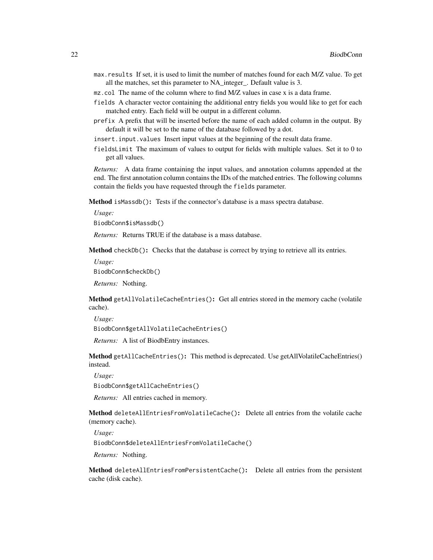- max.results If set, it is used to limit the number of matches found for each M/Z value. To get all the matches, set this parameter to NA\_integer\_. Default value is 3.
- mz.col The name of the column where to find M/Z values in case x is a data frame.
- fields A character vector containing the additional entry fields you would like to get for each matched entry. Each field will be output in a different column.
- prefix A prefix that will be inserted before the name of each added column in the output. By default it will be set to the name of the database followed by a dot.
- insert.input.values Insert input values at the beginning of the result data frame.
- fieldsLimit The maximum of values to output for fields with multiple values. Set it to 0 to get all values.

*Returns:* A data frame containing the input values, and annotation columns appended at the end. The first annotation column contains the IDs of the matched entries. The following columns contain the fields you have requested through the fields parameter.

<span id="page-21-0"></span>Method isMassdb(): Tests if the connector's database is a mass spectra database.

*Usage:*

BiodbConn\$isMassdb()

*Returns:* Returns TRUE if the database is a mass database.

<span id="page-21-1"></span>Method checkDb(): Checks that the database is correct by trying to retrieve all its entries.

*Usage:*

BiodbConn\$checkDb()

*Returns:* Nothing.

<span id="page-21-2"></span>Method getAllVolatileCacheEntries(): Get all entries stored in the memory cache (volatile cache).

*Usage:*

BiodbConn\$getAllVolatileCacheEntries()

*Returns:* A list of BiodbEntry instances.

<span id="page-21-3"></span>Method getAllCacheEntries(): This method is deprecated. Use getAllVolatileCacheEntries() instead.

*Usage:*

BiodbConn\$getAllCacheEntries()

*Returns:* All entries cached in memory.

<span id="page-21-4"></span>Method deleteAllEntriesFromVolatileCache(): Delete all entries from the volatile cache (memory cache).

*Usage:*

BiodbConn\$deleteAllEntriesFromVolatileCache()

*Returns:* Nothing.

<span id="page-21-5"></span>Method deleteAllEntriesFromPersistentCache(): Delete all entries from the persistent cache (disk cache).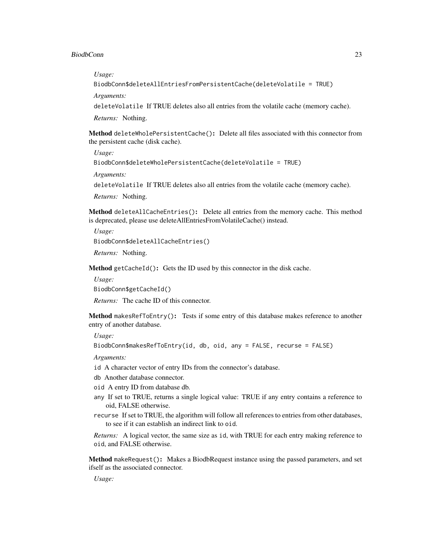*Usage:*

BiodbConn\$deleteAllEntriesFromPersistentCache(deleteVolatile = TRUE)

*Arguments:*

deleteVolatile If TRUE deletes also all entries from the volatile cache (memory cache).

*Returns:* Nothing.

<span id="page-22-0"></span>Method deleteWholePersistentCache(): Delete all files associated with this connector from the persistent cache (disk cache).

*Usage:*

BiodbConn\$deleteWholePersistentCache(deleteVolatile = TRUE)

*Arguments:*

deleteVolatile If TRUE deletes also all entries from the volatile cache (memory cache).

*Returns:* Nothing.

<span id="page-22-1"></span>Method deleteAllCacheEntries(): Delete all entries from the memory cache. This method is deprecated, please use deleteAllEntriesFromVolatileCache() instead.

*Usage:* BiodbConn\$deleteAllCacheEntries() *Returns:* Nothing.

<span id="page-22-2"></span>Method getCacheId(): Gets the ID used by this connector in the disk cache.

*Usage:* BiodbConn\$getCacheId()

*Returns:* The cache ID of this connector.

<span id="page-22-3"></span>Method makesRefToEntry(): Tests if some entry of this database makes reference to another entry of another database.

*Usage:*

BiodbConn\$makesRefToEntry(id, db, oid, any = FALSE, recurse = FALSE)

*Arguments:*

id A character vector of entry IDs from the connector's database.

db Another database connector.

- oid A entry ID from database db.
- any If set to TRUE, returns a single logical value: TRUE if any entry contains a reference to oid, FALSE otherwise.
- recurse If set to TRUE, the algorithm will follow all references to entries from other databases, to see if it can establish an indirect link to oid.

*Returns:* A logical vector, the same size as id, with TRUE for each entry making reference to oid, and FALSE otherwise.

<span id="page-22-4"></span>Method makeRequest(): Makes a BiodbRequest instance using the passed parameters, and set ifself as the associated connector.

*Usage:*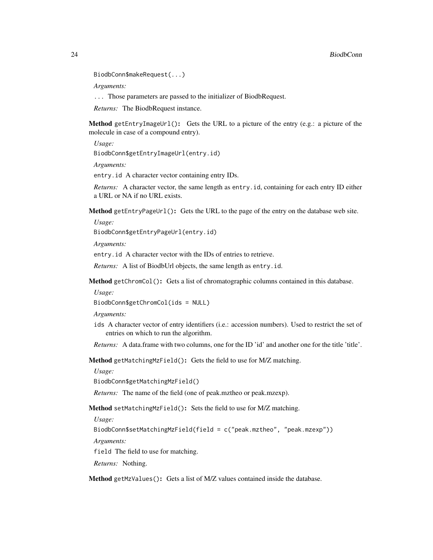```
BiodbConn$makeRequest(...)
```
*Arguments:*

... Those parameters are passed to the initializer of BiodbRequest.

*Returns:* The BiodbRequest instance.

<span id="page-23-0"></span>Method getEntryImageUrl(): Gets the URL to a picture of the entry (e.g.: a picture of the molecule in case of a compound entry).

*Usage:*

BiodbConn\$getEntryImageUrl(entry.id)

*Arguments:*

entry.id A character vector containing entry IDs.

*Returns:* A character vector, the same length as entry.id, containing for each entry ID either a URL or NA if no URL exists.

<span id="page-23-1"></span>Method getEntryPageUrl(): Gets the URL to the page of the entry on the database web site.

*Usage:*

BiodbConn\$getEntryPageUrl(entry.id)

*Arguments:*

entry.id A character vector with the IDs of entries to retrieve.

*Returns:* A list of BiodbUrl objects, the same length as entry.id.

<span id="page-23-2"></span>Method getChromCol(): Gets a list of chromatographic columns contained in this database.

*Usage:*

BiodbConn\$getChromCol(ids = NULL)

*Arguments:*

ids A character vector of entry identifiers (i.e.: accession numbers). Used to restrict the set of entries on which to run the algorithm.

*Returns:* A data.frame with two columns, one for the ID 'id' and another one for the title 'title'.

<span id="page-23-3"></span>Method getMatchingMzField(): Gets the field to use for M/Z matching.

*Usage:*

BiodbConn\$getMatchingMzField()

*Returns:* The name of the field (one of peak.mztheo or peak.mzexp).

<span id="page-23-4"></span>Method setMatchingMzField(): Sets the field to use for M/Z matching.

*Usage:*

BiodbConn\$setMatchingMzField(field = c("peak.mztheo", "peak.mzexp"))

*Arguments:*

field The field to use for matching.

*Returns:* Nothing.

<span id="page-23-5"></span>Method getMzValues(): Gets a list of M/Z values contained inside the database.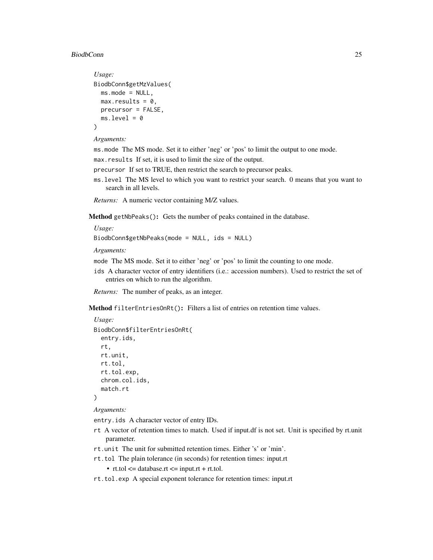#### BiodbConn 25

```
Usage:
BiodbConn$getMzValues(
 ms.mode = NULL,
 max. results = 0,precursor = FALSE,
 ms. level = 0)
```

```
Arguments:
```
ms.mode The MS mode. Set it to either 'neg' or 'pos' to limit the output to one mode.

max.results If set, it is used to limit the size of the output.

- precursor If set to TRUE, then restrict the search to precursor peaks.
- ms.level The MS level to which you want to restrict your search. 0 means that you want to search in all levels.

*Returns:* A numeric vector containing M/Z values.

<span id="page-24-0"></span>Method getNbPeaks(): Gets the number of peaks contained in the database.

*Usage:*

BiodbConn\$getNbPeaks(mode = NULL, ids = NULL)

*Arguments:*

mode The MS mode. Set it to either 'neg' or 'pos' to limit the counting to one mode.

ids A character vector of entry identifiers (i.e.: accession numbers). Used to restrict the set of entries on which to run the algorithm.

*Returns:* The number of peaks, as an integer.

<span id="page-24-1"></span>Method filterEntriesOnRt(): Filters a list of entries on retention time values.

```
Usage:
BiodbConn$filterEntriesOnRt(
```

```
entry.ids,
 rt,
 rt.unit,
 rt.tol,
 rt.tol.exp,
  chrom.col.ids,
  match.rt
)
```
*Arguments:*

entry.ids A character vector of entry IDs.

- rt A vector of retention times to match. Used if input.df is not set. Unit is specified by rt.unit parameter.
- rt.unit The unit for submitted retention times. Either 's' or 'min'.
- rt.tol The plain tolerance (in seconds) for retention times: input.rt
	- $rt.tol \leq data base.rt \leq input.rt + rt.tol.$
- rt.tol.exp A special exponent tolerance for retention times: input.rt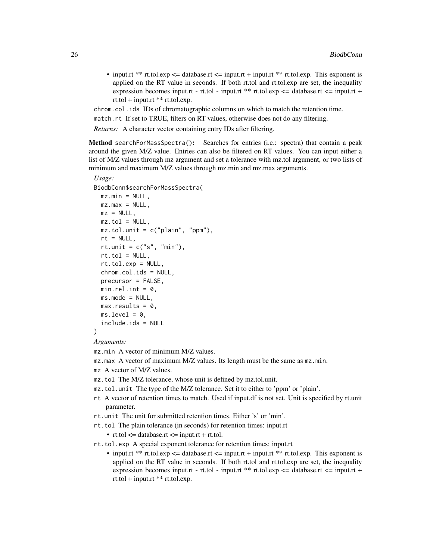• input.rt \*\* rt.tol.exp  $\leq$  database.rt  $\leq$  input.rt + input.rt \*\* rt.tol.exp. This exponent is applied on the RT value in seconds. If both rt.tol and rt.tol.exp are set, the inequality expression becomes input.rt - rt.tol - input.rt \*\* rt.tol.exp  $\leq$  database.rt  $\leq$  input.rt +  $rt.tol + input.r t$  \*\*  $rt.tol. exp.$ 

chrom.col.ids IDs of chromatographic columns on which to match the retention time.

```
match.rt If set to TRUE, filters on RT values, otherwise does not do any filtering.
```
*Returns:* A character vector containing entry IDs after filtering.

<span id="page-25-0"></span>Method searchForMassSpectra(): Searches for entries (i.e.: spectra) that contain a peak around the given M/Z value. Entries can also be filtered on RT values. You can input either a list of M/Z values through mz argument and set a tolerance with mz.tol argument, or two lists of minimum and maximum M/Z values through mz.min and mz.max arguments.

```
Usage:
BiodbConn$searchForMassSpectra(
 mz.min = NULL.
 mz.max = NULL,mz = NULL,mz.tol = NULL,mz.tol.unit = c("plain", "ppm"),
  rt = NULL,rt.unit = c("s", "min"),rt.tol = NULL,rt.tol.exp = NULL,
  chrom.col.ids = NULL,
 precursor = FALSE,
 min.rel.int = 0,
 ms.mode = NULL,max. results = 0.
 ms. level = 0,include.ids = NULL
\lambda
```
*Arguments:*

- mz.min A vector of minimum M/Z values.
- mz.max A vector of maximum M/Z values. Its length must be the same as mz.min.
- mz A vector of M/Z values.
- mz.tol The M/Z tolerance, whose unit is defined by mz.tol.unit.
- mz.tol.unit The type of the M/Z tolerance. Set it to either to 'ppm' or 'plain'.
- rt A vector of retention times to match. Used if input.df is not set. Unit is specified by rt.unit parameter.
- rt.unit The unit for submitted retention times. Either 's' or 'min'.
- rt.tol The plain tolerance (in seconds) for retention times: input.rt

•  $rt.tol \leq data base.rt \leq input.rt + rt.tol.$ 

- rt.tol.exp A special exponent tolerance for retention times: input.rt
	- input.rt \*\* rt.tol.exp  $\leq$  database.rt  $\leq$  input.rt + input.rt \*\* rt.tol.exp. This exponent is applied on the RT value in seconds. If both rt.tol and rt.tol.exp are set, the inequality expression becomes input.rt - rt.tol - input.rt \*\* rt.tol.exp <= database.rt <= input.rt + rt.tol + input.rt \*\* rt.tol.exp.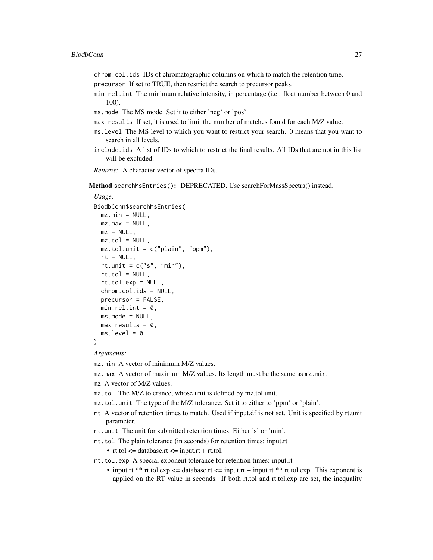chrom.col.ids IDs of chromatographic columns on which to match the retention time.

- precursor If set to TRUE, then restrict the search to precursor peaks.
- min.rel.int The minimum relative intensity, in percentage (i.e.: float number between 0 and 100).
- ms.mode The MS mode. Set it to either 'neg' or 'pos'.
- max.results If set, it is used to limit the number of matches found for each M/Z value.
- ms.level The MS level to which you want to restrict your search. 0 means that you want to search in all levels.
- include.ids A list of IDs to which to restrict the final results. All IDs that are not in this list will be excluded.
- *Returns:* A character vector of spectra IDs.

<span id="page-26-0"></span>Method searchMsEntries(): DEPRECATED. Use searchForMassSpectra() instead.

#### *Usage:*

```
BiodbConn$searchMsEntries(
 mz.min = NULL,mz.max = NULL,mz = NULL,
 mz.tol = NULL,mz.tol.unit = c("plain", "ppm"),
 rt = NULL,rt.unit = c("s", "min"),rt.tol = NULL,rt.tol.exp = NULL,
 chrom.col.ids = NULL,
 precursor = FALSE,
 min.rel.int = 0,
 ms.mode = NULL,max. results = 0,
 ms. level = 0)
```
*Arguments:*

mz.min A vector of minimum M/Z values.

mz.max A vector of maximum M/Z values. Its length must be the same as mz.min.

- mz A vector of M/Z values.
- mz.tol The M/Z tolerance, whose unit is defined by mz.tol.unit.
- mz.tol.unit The type of the M/Z tolerance. Set it to either to 'ppm' or 'plain'.
- rt A vector of retention times to match. Used if input.df is not set. Unit is specified by rt.unit parameter.
- rt.unit The unit for submitted retention times. Either 's' or 'min'.
- rt.tol The plain tolerance (in seconds) for retention times: input.rt

•  $rt.tol \leq data base.rt \leq input.rt + rt.tol.$ 

- rt.tol.exp A special exponent tolerance for retention times: input.rt
	- input.rt \*\* rt.tol.exp  $\leq$  database.rt  $\leq$  input.rt + input.rt \*\* rt.tol.exp. This exponent is applied on the RT value in seconds. If both rt.tol and rt.tol.exp are set, the inequality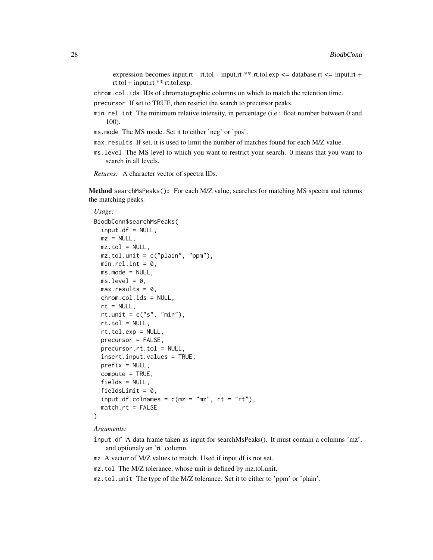expression becomes input.rt - rt.tol - input.rt \*\* rt.tol.exp  $\leq$  database.rt  $\leq$  input.rt +  $rt.tol + input.r t$  \*\*  $rt.tol. exp.$ 

chrom.col.ids IDs of chromatographic columns on which to match the retention time.

precursor If set to TRUE, then restrict the search to precursor peaks.

- min.rel.int The minimum relative intensity, in percentage (i.e.: float number between 0 and 100).
- ms.mode The MS mode. Set it to either 'neg' or 'pos'.
- max.results If set, it is used to limit the number of matches found for each M/Z value.
- ms.level The MS level to which you want to restrict your search. 0 means that you want to search in all levels.
- *Returns:* A character vector of spectra IDs.

<span id="page-27-0"></span>Method searchMsPeaks(): For each M/Z value, searches for matching MS spectra and returns the matching peaks.

```
Usage:
BiodbConn$searchMsPeaks(
  input.df = NULL,mz = NULL,mz.tol = NULL,mz.tol.unit = c("plain", "ppm"),
 min.rel.int = 0,
 ms.mode = NULL,
 ms. level = 0,
 max. results = 0,chrom.col.ids = NULL,
  rt = NULL,rt.unit = c("s", "min"),
 rt.tol = NULL,rt.tol.exp = NULL,
 precursor = FALSE,
 precursor.rt.tol = NULL,
 insert.input.values = TRUE,
 prefix = NULL,compute = TRUE,fields = NULL,
  fieldsLimit = 0,
  input.df.colnames = c(mz = "mz", rt = "rt"),
  match.rt = FALSE
)
```
*Arguments:*

- input.df A data frame taken as input for searchMsPeaks(). It must contain a columns 'mz', and optionaly an 'rt' column.
- mz A vector of M/Z values to match. Used if input.df is not set.
- mz.tol The M/Z tolerance, whose unit is defined by mz.tol.unit.
- mz.tol.unit The type of the M/Z tolerance. Set it to either to 'ppm' or 'plain'.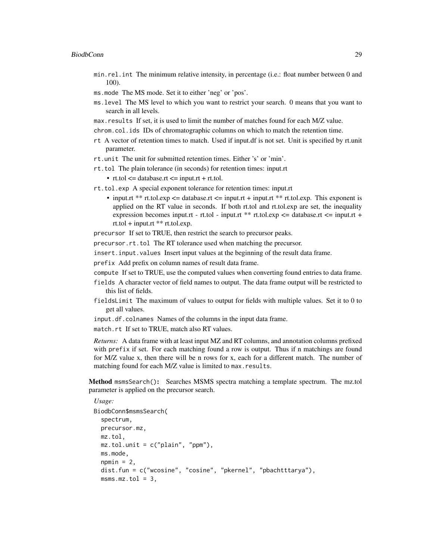- min.rel.int The minimum relative intensity, in percentage (i.e.: float number between 0 and 100).
- ms.mode The MS mode. Set it to either 'neg' or 'pos'.
- ms.level The MS level to which you want to restrict your search. 0 means that you want to search in all levels.
- max.results If set, it is used to limit the number of matches found for each M/Z value.
- chrom.col.ids IDs of chromatographic columns on which to match the retention time.
- rt A vector of retention times to match. Used if input.df is not set. Unit is specified by rt.unit parameter.
- rt.unit The unit for submitted retention times. Either 's' or 'min'.
- rt.tol The plain tolerance (in seconds) for retention times: input.rt
	- $rt.tol \leq data base.rt \leq input.rt + rt.tol.$
- rt.tol.exp A special exponent tolerance for retention times: input.rt
	- input.rt \*\* rt.tol.exp  $\leq$  database.rt  $\leq$  input.rt + input.rt \*\* rt.tol.exp. This exponent is applied on the RT value in seconds. If both rt.tol and rt.tol.exp are set, the inequality expression becomes input.rt - rt.tol - input.rt \*\* rt.tol.exp  $\leq$  database.rt  $\leq$  input.rt + rt.tol + input.rt \*\* rt.tol.exp.
- precursor If set to TRUE, then restrict the search to precursor peaks.
- precursor.rt.tol The RT tolerance used when matching the precursor.
- insert.input.values Insert input values at the beginning of the result data frame.

prefix Add prefix on column names of result data frame.

- compute If set to TRUE, use the computed values when converting found entries to data frame.
- fields A character vector of field names to output. The data frame output will be restricted to this list of fields.
- fieldsLimit The maximum of values to output for fields with multiple values. Set it to 0 to get all values.
- input.df.colnames Names of the columns in the input data frame.

match.rt If set to TRUE, match also RT values.

*Returns:* A data frame with at least input MZ and RT columns, and annotation columns prefixed with prefix if set. For each matching found a row is output. Thus if n matchings are found for M/Z value x, then there will be n rows for x, each for a different match. The number of matching found for each M/Z value is limited to max.results.

<span id="page-28-0"></span>Method msmsSearch(): Searches MSMS spectra matching a template spectrum. The mz.tol parameter is applied on the precursor search.

```
Usage:
BiodbConn$msmsSearch(
  spectrum,
 precursor.mz,
 mz.tol,
 mz.tol.unit = c("plain", "ppm"),
 ms.mode,
  npmin = 2,
  dist.fun = c("wcosine", "cosine", "pkernel", "pbachtttarya"),
  msms.mz.tol = 3,
```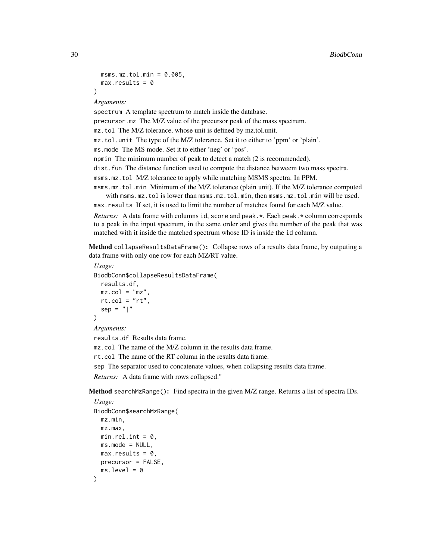```
msms.mz.tol.min = <math>0.005</math>,max. results = 0\lambda
```
*Arguments:*

spectrum A template spectrum to match inside the database. precursor.mz The M/Z value of the precursor peak of the mass spectrum. mz.tol The M/Z tolerance, whose unit is defined by mz.tol.unit. mz.tol.unit The type of the M/Z tolerance. Set it to either to 'ppm' or 'plain'. ms.mode The MS mode. Set it to either 'neg' or 'pos'. npmin The minimum number of peak to detect a match (2 is recommended). dist.fun The distance function used to compute the distance betweem two mass spectra. msms.mz.tol M/Z tolerance to apply while matching MSMS spectra. In PPM. msms.mz.tol.min Minimum of the M/Z tolerance (plain unit). If the M/Z tolerance computed with msms.mz.tol is lower than msms.mz.tol.min, then msms.mz.tol.min will be used.

max.results If set, it is used to limit the number of matches found for each M/Z value.

*Returns:* A data frame with columns id, score and peak.  $\star$ . Each peak.  $\star$  column corresponds to a peak in the input spectrum, in the same order and gives the number of the peak that was matched with it inside the matched spectrum whose ID is inside the id column.

<span id="page-29-0"></span>Method collapseResultsDataFrame(): Collapse rows of a results data frame, by outputing a data frame with only one row for each MZ/RT value.

```
Usage:
BiodbConn$collapseResultsDataFrame(
  results.df,
  mz.col = "mz"
  rt.col = "rt",sep = "|"
)
Arguments:
```
results.df Results data frame.

mz.col The name of the M/Z column in the results data frame.

rt.col The name of the RT column in the results data frame.

sep The separator used to concatenate values, when collapsing results data frame.

*Returns:* A data frame with rows collapsed."

<span id="page-29-1"></span>Method searchMzRange(): Find spectra in the given M/Z range. Returns a list of spectra IDs.

```
Usage:
BiodbConn$searchMzRange(
 mz.min,
 mz.max,
 min.rel.int = \theta,
 ms.mode = NULL,
 max. results = 0,
 precursor = FALSE,
  ms. level = 0)
```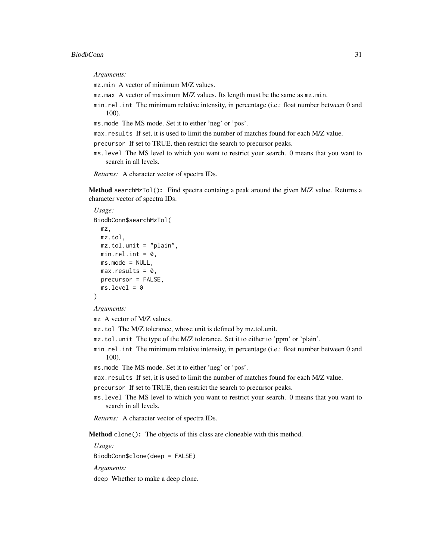#### BiodbConn 31

*Arguments:*

mz.min A vector of minimum M/Z values.

mz.max A vector of maximum M/Z values. Its length must be the same as mz.min.

- min.rel.int The minimum relative intensity, in percentage (i.e.: float number between 0 and 100).
- ms.mode The MS mode. Set it to either 'neg' or 'pos'.
- max.results If set, it is used to limit the number of matches found for each M/Z value.
- precursor If set to TRUE, then restrict the search to precursor peaks.
- ms.level The MS level to which you want to restrict your search. 0 means that you want to search in all levels.

*Returns:* A character vector of spectra IDs.

<span id="page-30-0"></span>Method searchMzTol(): Find spectra containg a peak around the given M/Z value. Returns a character vector of spectra IDs.

```
Usage:
BiodbConn$searchMzTol(
 mz,
 mz.tol,
 mz.tol.unit = "plain",
 min.rel.int = 0,
 ms.mode = NULL,max. results = 0,
 precursor = FALSE,
 ms. level = 0)
```
*Arguments:*

mz A vector of M/Z values.

mz.tol The M/Z tolerance, whose unit is defined by mz.tol.unit.

- mz.tol.unit The type of the M/Z tolerance. Set it to either to 'ppm' or 'plain'.
- min.rel.int The minimum relative intensity, in percentage (i.e.: float number between 0 and 100).

ms.mode The MS mode. Set it to either 'neg' or 'pos'.

max.results If set, it is used to limit the number of matches found for each M/Z value.

precursor If set to TRUE, then restrict the search to precursor peaks.

ms.level The MS level to which you want to restrict your search. 0 means that you want to search in all levels.

*Returns:* A character vector of spectra IDs.

Method clone(): The objects of this class are cloneable with this method.

*Usage:*

BiodbConn\$clone(deep = FALSE)

*Arguments:*

deep Whether to make a deep clone.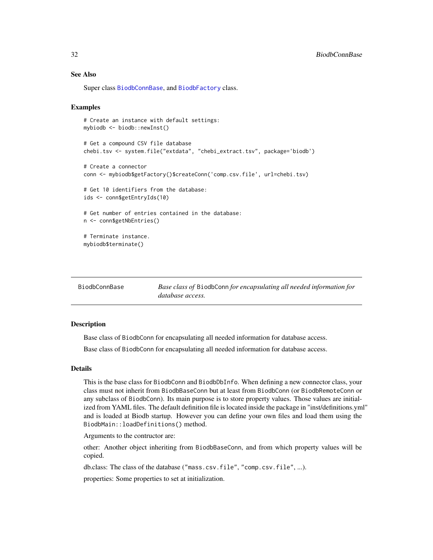## <span id="page-31-0"></span>See Also

Super class [BiodbConnBase](#page-31-1), and [BiodbFactory](#page-63-1) class.

#### Examples

```
# Create an instance with default settings:
mybiodb <- biodb::newInst()
# Get a compound CSV file database
chebi.tsv <- system.file("extdata", "chebi_extract.tsv", package='biodb')
# Create a connector
conn <- mybiodb$getFactory()$createConn('comp.csv.file', url=chebi.tsv)
# Get 10 identifiers from the database:
ids <- conn$getEntryIds(10)
# Get number of entries contained in the database:
n <- conn$getNbEntries()
# Terminate instance.
mybiodb$terminate()
```
<span id="page-31-1"></span>

| BiodbConnBase | Base class of BiodbConn for encapsulating all needed information for |
|---------------|----------------------------------------------------------------------|
|               | database access.                                                     |

#### **Description**

Base class of BiodbConn for encapsulating all needed information for database access.

Base class of BiodbConn for encapsulating all needed information for database access.

#### Details

This is the base class for BiodbConn and BiodbDbInfo. When defining a new connector class, your class must not inherit from BiodbBaseConn but at least from BiodbConn (or BiodbRemoteConn or any subclass of BiodbConn). Its main purpose is to store property values. Those values are initialized from YAML files. The default definition file is located inside the package in "inst/definitions.yml" and is loaded at Biodb startup. However you can define your own files and load them using the BiodbMain::loadDefinitions() method.

Arguments to the contructor are:

other: Another object inheriting from BiodbBaseConn, and from which property values will be copied.

db.class: The class of the database ("mass.csv.file", "comp.csv.file", ...).

properties: Some properties to set at initialization.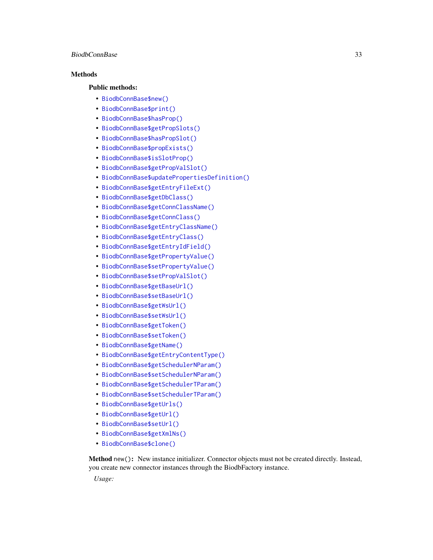#### BiodbConnBase 33

## **Methods**

#### Public methods:

- [BiodbConnBase\\$new\(\)](#page-6-2)
- [BiodbConnBase\\$print\(\)](#page-9-4)
- [BiodbConnBase\\$hasProp\(\)](#page-33-0)
- [BiodbConnBase\\$getPropSlots\(\)](#page-33-1)
- [BiodbConnBase\\$hasPropSlot\(\)](#page-33-2)
- [BiodbConnBase\\$propExists\(\)](#page-33-3)
- [BiodbConnBase\\$isSlotProp\(\)](#page-34-0)
- [BiodbConnBase\\$getPropValSlot\(\)](#page-34-1)
- [BiodbConnBase\\$updatePropertiesDefinition\(\)](#page-34-2)
- [BiodbConnBase\\$getEntryFileExt\(\)](#page-34-3)
- [BiodbConnBase\\$getDbClass\(\)](#page-34-4)
- [BiodbConnBase\\$getConnClassName\(\)](#page-34-5)
- [BiodbConnBase\\$getConnClass\(\)](#page-34-6)
- [BiodbConnBase\\$getEntryClassName\(\)](#page-35-0)
- [BiodbConnBase\\$getEntryClass\(\)](#page-35-1)
- [BiodbConnBase\\$getEntryIdField\(\)](#page-35-2)
- [BiodbConnBase\\$getPropertyValue\(\)](#page-35-3)
- [BiodbConnBase\\$setPropertyValue\(\)](#page-35-4)
- [BiodbConnBase\\$setPropValSlot\(\)](#page-35-5)
- [BiodbConnBase\\$getBaseUrl\(\)](#page-36-0)
- [BiodbConnBase\\$setBaseUrl\(\)](#page-36-1)
- [BiodbConnBase\\$getWsUrl\(\)](#page-36-2)
- [BiodbConnBase\\$setWsUrl\(\)](#page-36-3)
- [BiodbConnBase\\$getToken\(\)](#page-36-4)
- [BiodbConnBase\\$setToken\(\)](#page-36-5)
- [BiodbConnBase\\$getName\(\)](#page-36-6)
- [BiodbConnBase\\$getEntryContentType\(\)](#page-36-7)
- [BiodbConnBase\\$getSchedulerNParam\(\)](#page-37-0)
- [BiodbConnBase\\$setSchedulerNParam\(\)](#page-37-1)
- [BiodbConnBase\\$getSchedulerTParam\(\)](#page-37-2)
- [BiodbConnBase\\$setSchedulerTParam\(\)](#page-37-3)
- [BiodbConnBase\\$getUrls\(\)](#page-37-4)
- [BiodbConnBase\\$getUrl\(\)](#page-37-5)
- [BiodbConnBase\\$setUrl\(\)](#page-37-6)
- [BiodbConnBase\\$getXmlNs\(\)](#page-38-1)
- [BiodbConnBase\\$clone\(\)](#page-6-3)

Method new(): New instance initializer. Connector objects must not be created directly. Instead, you create new connector instances through the BiodbFactory instance.

*Usage:*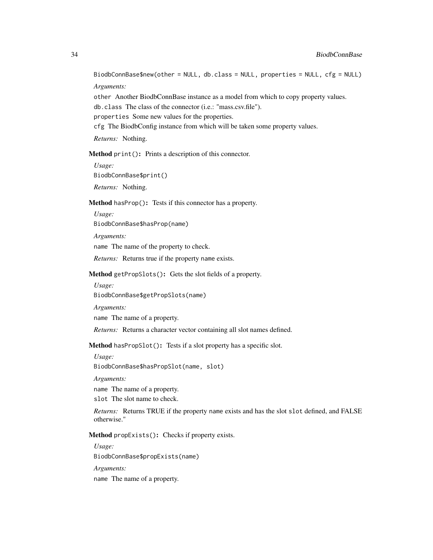BiodbConnBase\$new(other = NULL, db.class = NULL, properties = NULL, cfg = NULL) *Arguments:*

other Another BiodbConnBase instance as a model from which to copy property values. db.class The class of the connector (i.e.: "mass.csv.file"). properties Some new values for the properties. cfg The BiodbConfig instance from which will be taken some property values.

*Returns:* Nothing.

Method print(): Prints a description of this connector.

*Usage:* BiodbConnBase\$print() *Returns:* Nothing.

<span id="page-33-0"></span>Method hasProp(): Tests if this connector has a property.

*Usage:*

BiodbConnBase\$hasProp(name)

*Arguments:*

name The name of the property to check.

*Returns:* Returns true if the property name exists.

#### <span id="page-33-1"></span>Method getPropSlots(): Gets the slot fields of a property.

*Usage:*

BiodbConnBase\$getPropSlots(name)

*Arguments:*

name The name of a property.

*Returns:* Returns a character vector containing all slot names defined.

<span id="page-33-2"></span>Method hasPropSlot(): Tests if a slot property has a specific slot.

*Usage:*

BiodbConnBase\$hasPropSlot(name, slot)

*Arguments:*

name The name of a property.

slot The slot name to check.

*Returns:* Returns TRUE if the property name exists and has the slot slot defined, and FALSE otherwise."

<span id="page-33-3"></span>Method propExists(): Checks if property exists.

*Usage:*

BiodbConnBase\$propExists(name)

*Arguments:*

name The name of a property.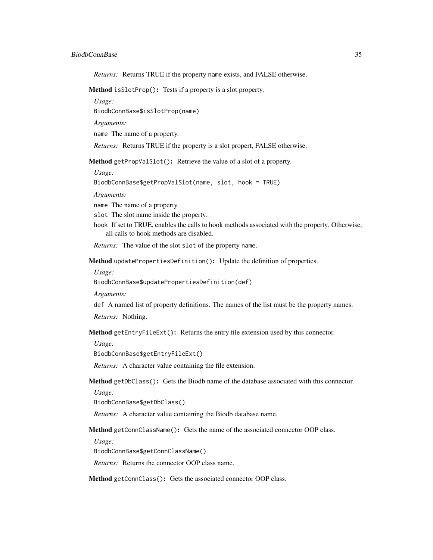*Returns:* Returns TRUE if the property name exists, and FALSE otherwise.

<span id="page-34-0"></span>Method isSlotProp(): Tests if a property is a slot property.

*Usage:*

BiodbConnBase\$isSlotProp(name)

*Arguments:*

name The name of a property.

*Returns:* Returns TRUE if the property is a slot propert, FALSE otherwise.

<span id="page-34-1"></span>Method getPropValSlot(): Retrieve the value of a slot of a property.

*Usage:*

BiodbConnBase\$getPropValSlot(name, slot, hook = TRUE)

*Arguments:*

name The name of a property.

slot The slot name inside the property.

hook If set to TRUE, enables the calls to hook methods associated with the property. Otherwise, all calls to hook methods are disabled.

*Returns:* The value of the slot slot of the property name.

<span id="page-34-2"></span>Method updatePropertiesDefinition(): Update the definition of properties.

*Usage:*

BiodbConnBase\$updatePropertiesDefinition(def)

*Arguments:*

def A named list of property definitions. The names of the list must be the property names.

*Returns:* Nothing.

<span id="page-34-3"></span>Method getEntryFileExt(): Returns the entry file extension used by this connector.

*Usage:*

BiodbConnBase\$getEntryFileExt()

*Returns:* A character value containing the file extension.

<span id="page-34-4"></span>Method getDbClass(): Gets the Biodb name of the database associated with this connector.

*Usage:*

BiodbConnBase\$getDbClass()

*Returns:* A character value containing the Biodb database name.

<span id="page-34-5"></span>Method getConnClassName(): Gets the name of the associated connector OOP class.

*Usage:*

BiodbConnBase\$getConnClassName()

*Returns:* Returns the connector OOP class name.

<span id="page-34-6"></span>Method getConnClass(): Gets the associated connector OOP class.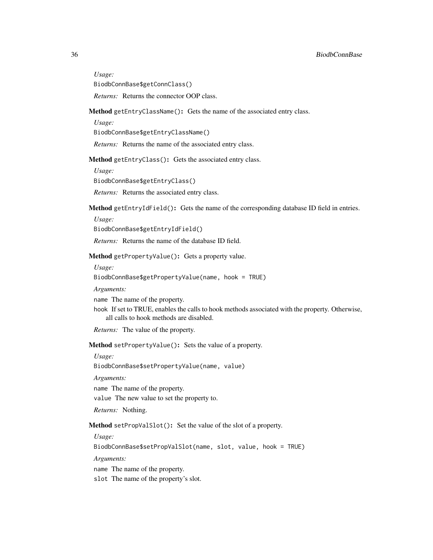*Usage:*

BiodbConnBase\$getConnClass()

*Returns:* Returns the connector OOP class.

#### <span id="page-35-0"></span>Method getEntryClassName(): Gets the name of the associated entry class.

*Usage:*

BiodbConnBase\$getEntryClassName()

*Returns:* Returns the name of the associated entry class.

<span id="page-35-1"></span>Method getEntryClass(): Gets the associated entry class.

*Usage:*

BiodbConnBase\$getEntryClass()

*Returns:* Returns the associated entry class.

<span id="page-35-2"></span>Method getEntryIdField(): Gets the name of the corresponding database ID field in entries.

*Usage:*

BiodbConnBase\$getEntryIdField()

*Returns:* Returns the name of the database ID field.

<span id="page-35-3"></span>Method getPropertyValue(): Gets a property value.

*Usage:*

BiodbConnBase\$getPropertyValue(name, hook = TRUE)

*Arguments:*

name The name of the property.

hook If set to TRUE, enables the calls to hook methods associated with the property. Otherwise, all calls to hook methods are disabled.

*Returns:* The value of the property.

<span id="page-35-4"></span>Method setPropertyValue(): Sets the value of a property.

*Usage:*

BiodbConnBase\$setPropertyValue(name, value)

*Arguments:*

name The name of the property.

value The new value to set the property to.

*Returns:* Nothing.

<span id="page-35-5"></span>Method setPropValSlot(): Set the value of the slot of a property.

*Usage:*

BiodbConnBase\$setPropValSlot(name, slot, value, hook = TRUE)

*Arguments:*

name The name of the property.

slot The name of the property's slot.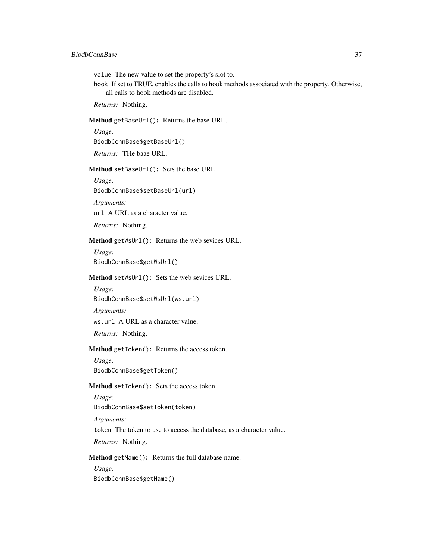## BiodbConnBase 37

value The new value to set the property's slot to.

hook If set to TRUE, enables the calls to hook methods associated with the property. Otherwise, all calls to hook methods are disabled.

*Returns:* Nothing.

Method getBaseUrl(): Returns the base URL.

*Usage:*

BiodbConnBase\$getBaseUrl()

*Returns:* THe baae URL.

Method setBaseUrl(): Sets the base URL.

*Usage:* BiodbConnBase\$setBaseUrl(url)

*Arguments:*

url A URL as a character value.

*Returns:* Nothing.

Method getWsUrl(): Returns the web sevices URL.

*Usage:* BiodbConnBase\$getWsUrl()

#### Method setWsUrl(): Sets the web sevices URL.

*Usage:* BiodbConnBase\$setWsUrl(ws.url)

*Arguments:*

ws.url A URL as a character value.

*Returns:* Nothing.

# Method getToken(): Returns the access token.

*Usage:* BiodbConnBase\$getToken()

#### Method setToken(): Sets the access token.

*Usage:* BiodbConnBase\$setToken(token)

*Arguments:*

token The token to use to access the database, as a character value.

*Returns:* Nothing.

<span id="page-36-0"></span>Method getName(): Returns the full database name.

*Usage:*

BiodbConnBase\$getName()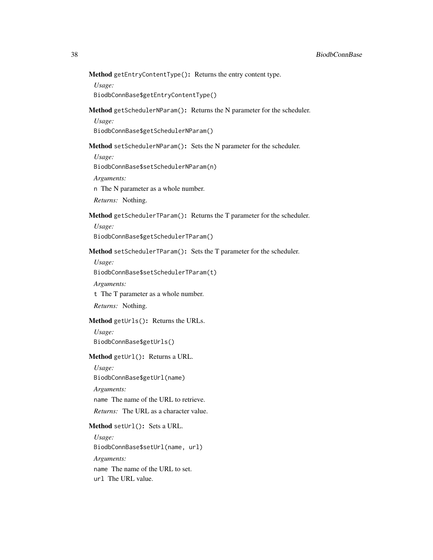Method getEntryContentType(): Returns the entry content type.

*Usage:*

BiodbConnBase\$getEntryContentType()

Method getSchedulerNParam(): Returns the N parameter for the scheduler.

*Usage:*

BiodbConnBase\$getSchedulerNParam()

Method setSchedulerNParam(): Sets the N parameter for the scheduler.

*Usage:*

BiodbConnBase\$setSchedulerNParam(n)

*Arguments:*

n The N parameter as a whole number.

*Returns:* Nothing.

Method getSchedulerTParam(): Returns the T parameter for the scheduler.

*Usage:*

BiodbConnBase\$getSchedulerTParam()

Method setSchedulerTParam(): Sets the T parameter for the scheduler.

*Usage:*

BiodbConnBase\$setSchedulerTParam(t)

*Arguments:*

t The T parameter as a whole number.

*Returns:* Nothing.

Method getUrls(): Returns the URLs.

*Usage:*

BiodbConnBase\$getUrls()

Method getUrl(): Returns a URL.

*Usage:*

BiodbConnBase\$getUrl(name)

*Arguments:*

name The name of the URL to retrieve.

*Returns:* The URL as a character value.

Method setUrl(): Sets a URL.

*Usage:*

BiodbConnBase\$setUrl(name, url)

*Arguments:*

name The name of the URL to set. url The URL value.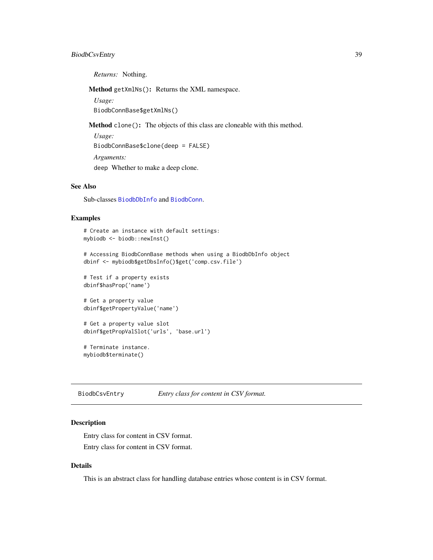# BiodbCsvEntry 39

*Returns:* Nothing.

Method getXmlNs(): Returns the XML namespace.

*Usage:*

BiodbConnBase\$getXmlNs()

Method clone(): The objects of this class are cloneable with this method.

*Usage:* BiodbConnBase\$clone(deep = FALSE) *Arguments:* deep Whether to make a deep clone.

# See Also

Sub-classes [BiodbDbInfo](#page-40-0) and [BiodbConn](#page-11-0).

### Examples

```
# Create an instance with default settings:
mybiodb <- biodb::newInst()
```
# Accessing BiodbConnBase methods when using a BiodbDbInfo object dbinf <- mybiodb\$getDbsInfo()\$get('comp.csv.file')

```
# Test if a property exists
dbinf$hasProp('name')
```
# Get a property value dbinf\$getPropertyValue('name')

```
# Get a property value slot
dbinf$getPropValSlot('urls', 'base.url')
```
# Terminate instance. mybiodb\$terminate()

BiodbCsvEntry *Entry class for content in CSV format.*

## Description

Entry class for content in CSV format. Entry class for content in CSV format.

# Details

This is an abstract class for handling database entries whose content is in CSV format.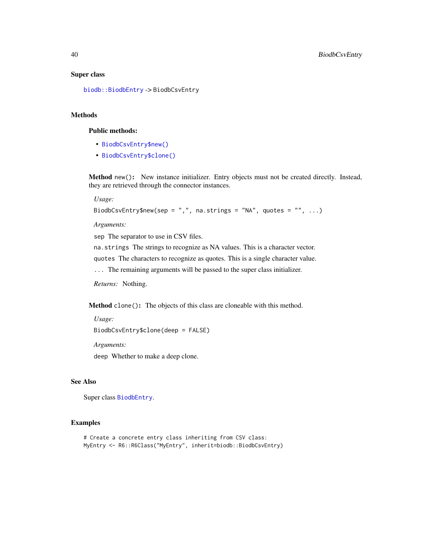## Super class

[biodb::BiodbEntry](#page-0-0) -> BiodbCsvEntry

#### Methods

#### Public methods:

- [BiodbCsvEntry\\$new\(\)](#page-6-0)
- [BiodbCsvEntry\\$clone\(\)](#page-6-1)

Method new(): New instance initializer. Entry objects must not be created directly. Instead, they are retrieved through the connector instances.

*Usage:*

```
BiodbCsvEntry$new(sep = ",", na.strings = "NA", quotes = "", ...)
```
*Arguments:*

sep The separator to use in CSV files.

na.strings The strings to recognize as NA values. This is a character vector.

quotes The characters to recognize as quotes. This is a single character value.

... The remaining arguments will be passed to the super class initializer.

*Returns:* Nothing.

Method clone(): The objects of this class are cloneable with this method.

*Usage:*

BiodbCsvEntry\$clone(deep = FALSE)

*Arguments:*

deep Whether to make a deep clone.

## See Also

Super class [BiodbEntry](#page-44-0).

# Examples

```
# Create a concrete entry class inheriting from CSV class:
MyEntry <- R6::R6Class("MyEntry", inherit=biodb::BiodbCsvEntry)
```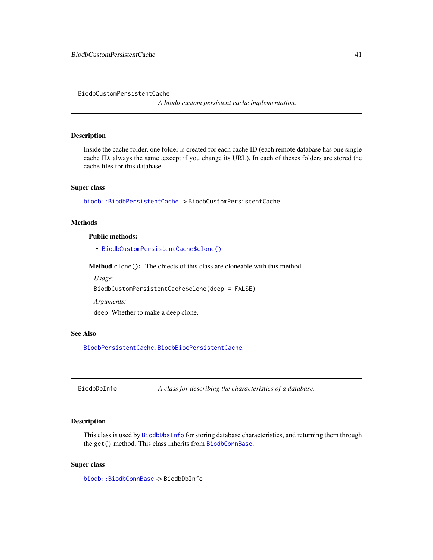BiodbCustomPersistentCache

*A biodb custom persistent cache implementation.*

# Description

Inside the cache folder, one folder is created for each cache ID (each remote database has one single cache ID, always the same ,except if you change its URL). In each of theses folders are stored the cache files for this database.

## Super class

[biodb::BiodbPersistentCache](#page-0-0) -> BiodbCustomPersistentCache

## **Methods**

#### Public methods:

• [BiodbCustomPersistentCache\\$clone\(\)](#page-6-1)

Method clone(): The objects of this class are cloneable with this method.

*Usage:*

BiodbCustomPersistentCache\$clone(deep = FALSE)

*Arguments:*

deep Whether to make a deep clone.

# See Also

[BiodbPersistentCache](#page-79-0), [BiodbBiocPersistentCache](#page-5-0).

<span id="page-40-0"></span>BiodbDbInfo *A class for describing the characteristics of a database.*

#### Description

This class is used by [BiodbDbsInfo](#page-41-0) for storing database characteristics, and returning them through the get() method. This class inherits from [BiodbConnBase](#page-31-0).

## Super class

[biodb::BiodbConnBase](#page-0-0) -> BiodbDbInfo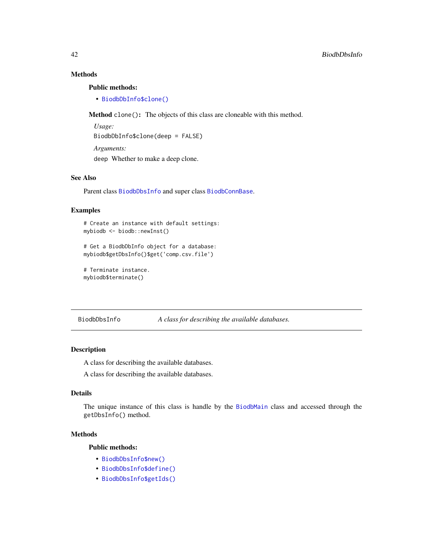# Methods

### Public methods:

• [BiodbDbInfo\\$clone\(\)](#page-6-1)

Method clone(): The objects of this class are cloneable with this method.

*Usage:* BiodbDbInfo\$clone(deep = FALSE) *Arguments:* deep Whether to make a deep clone.

## See Also

Parent class [BiodbDbsInfo](#page-41-0) and super class [BiodbConnBase](#page-31-0).

#### Examples

```
# Create an instance with default settings:
mybiodb <- biodb::newInst()
```

```
# Get a BiodbDbInfo object for a database:
mybiodb$getDbsInfo()$get('comp.csv.file')
```

```
# Terminate instance.
mybiodb$terminate()
```

```
BiodbDbsInfo A class for describing the available databases.
```
### Description

A class for describing the available databases.

A class for describing the available databases.

# Details

The unique instance of this class is handle by the [BiodbMain](#page-71-0) class and accessed through the getDbsInfo() method.

#### Methods

# Public methods:

- [BiodbDbsInfo\\$new\(\)](#page-6-0)
- [BiodbDbsInfo\\$define\(\)](#page-10-0)
- [BiodbDbsInfo\\$getIds\(\)](#page-42-0)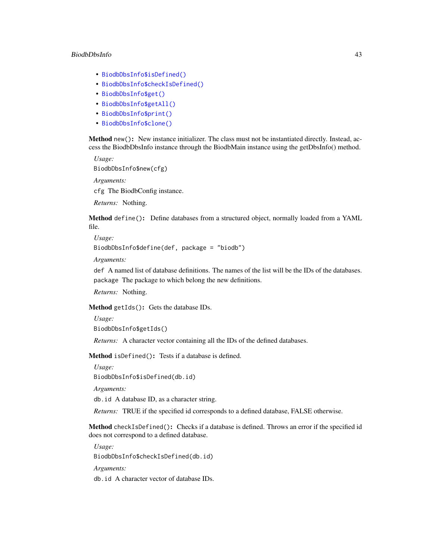### BiodbDbsInfo 43

- [BiodbDbsInfo\\$isDefined\(\)](#page-8-0)
- [BiodbDbsInfo\\$checkIsDefined\(\)](#page-42-1)
- [BiodbDbsInfo\\$get\(\)](#page-8-1)
- [BiodbDbsInfo\\$getAll\(\)](#page-43-0)
- [BiodbDbsInfo\\$print\(\)](#page-9-0)
- [BiodbDbsInfo\\$clone\(\)](#page-6-1)

Method new(): New instance initializer. The class must not be instantiated directly. Instead, access the BiodbDbsInfo instance through the BiodbMain instance using the getDbsInfo() method.

*Usage:*

```
BiodbDbsInfo$new(cfg)
```
*Arguments:*

cfg The BiodbConfig instance.

*Returns:* Nothing.

Method define(): Define databases from a structured object, normally loaded from a YAML file.

*Usage:*

BiodbDbsInfo\$define(def, package = "biodb")

*Arguments:*

def A named list of database definitions. The names of the list will be the IDs of the databases. package The package to which belong the new definitions.

*Returns:* Nothing.

<span id="page-42-0"></span>Method getIds(): Gets the database IDs.

*Usage:*

```
BiodbDbsInfo$getIds()
```
*Returns:* A character vector containing all the IDs of the defined databases.

Method isDefined(): Tests if a database is defined.

*Usage:*

BiodbDbsInfo\$isDefined(db.id)

*Arguments:*

db.id A database ID, as a character string.

*Returns:* TRUE if the specified id corresponds to a defined database, FALSE otherwise.

<span id="page-42-1"></span>Method checkIsDefined(): Checks if a database is defined. Throws an error if the specified id does not correspond to a defined database.

*Usage:*

BiodbDbsInfo\$checkIsDefined(db.id)

*Arguments:*

db.id A character vector of database IDs.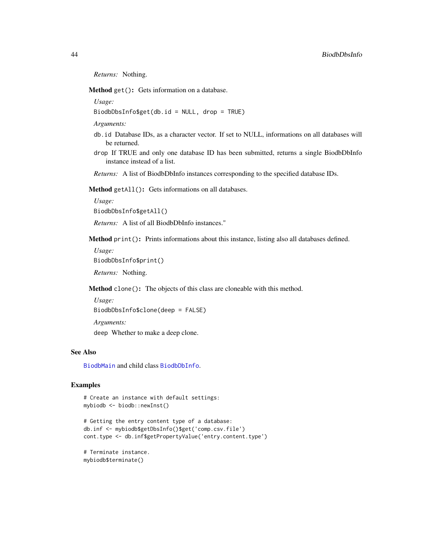*Returns:* Nothing.

Method get(): Gets information on a database.

*Usage:*

BiodbDbsInfo\$get(db.id = NULL, drop = TRUE)

*Arguments:*

- db.id Database IDs, as a character vector. If set to NULL, informations on all databases will be returned.
- drop If TRUE and only one database ID has been submitted, returns a single BiodbDbInfo instance instead of a list.

*Returns:* A list of BiodbDbInfo instances corresponding to the specified database IDs.

<span id="page-43-0"></span>Method getAll(): Gets informations on all databases.

*Usage:*

BiodbDbsInfo\$getAll()

*Returns:* A list of all BiodbDbInfo instances."

Method print(): Prints informations about this instance, listing also all databases defined.

*Usage:*

BiodbDbsInfo\$print()

*Returns:* Nothing.

Method clone(): The objects of this class are cloneable with this method.

*Usage:*

BiodbDbsInfo\$clone(deep = FALSE)

*Arguments:*

deep Whether to make a deep clone.

#### See Also

[BiodbMain](#page-71-0) and child class [BiodbDbInfo](#page-40-0).

# Examples

```
# Create an instance with default settings:
mybiodb <- biodb::newInst()
```

```
# Getting the entry content type of a database:
db.inf <- mybiodb$getDbsInfo()$get('comp.csv.file')
cont.type <- db.inf$getPropertyValue('entry.content.type')
```
# Terminate instance. mybiodb\$terminate()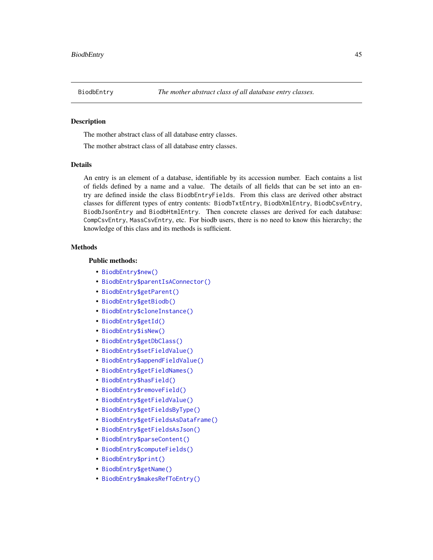<span id="page-44-0"></span>

### **Description**

The mother abstract class of all database entry classes.

The mother abstract class of all database entry classes.

#### Details

An entry is an element of a database, identifiable by its accession number. Each contains a list of fields defined by a name and a value. The details of all fields that can be set into an entry are defined inside the class BiodbEntryFields. From this class are derived other abstract classes for different types of entry contents: BiodbTxtEntry, BiodbXmlEntry, BiodbCsvEntry, BiodbJsonEntry and BiodbHtmlEntry. Then concrete classes are derived for each database: CompCsvEntry, MassCsvEntry, etc. For biodb users, there is no need to know this hierarchy; the knowledge of this class and its methods is sufficient.

#### Methods

### Public methods:

- [BiodbEntry\\$new\(\)](#page-6-0)
- [BiodbEntry\\$parentIsAConnector\(\)](#page-45-0)
- [BiodbEntry\\$getParent\(\)](#page-45-1)
- [BiodbEntry\\$getBiodb\(\)](#page-13-0)
- [BiodbEntry\\$cloneInstance\(\)](#page-45-2)
- [BiodbEntry\\$getId\(\)](#page-14-0)
- [BiodbEntry\\$isNew\(\)](#page-46-0)
- [BiodbEntry\\$getDbClass\(\)](#page-34-0)
- [BiodbEntry\\$setFieldValue\(\)](#page-46-1)
- [BiodbEntry\\$appendFieldValue\(\)](#page-46-2)
- [BiodbEntry\\$getFieldNames\(\)](#page-46-3)
- [BiodbEntry\\$hasField\(\)](#page-46-4)
- [BiodbEntry\\$removeField\(\)](#page-47-0)
- [BiodbEntry\\$getFieldValue\(\)](#page-47-1)
- [BiodbEntry\\$getFieldsByType\(\)](#page-47-2)
- [BiodbEntry\\$getFieldsAsDataframe\(\)](#page-47-3)
- [BiodbEntry\\$getFieldsAsJson\(\)](#page-48-0)
- [BiodbEntry\\$parseContent\(\)](#page-48-1)
- [BiodbEntry\\$computeFields\(\)](#page-49-0)
- [BiodbEntry\\$print\(\)](#page-9-0)
- [BiodbEntry\\$getName\(\)](#page-36-0)
- [BiodbEntry\\$makesRefToEntry\(\)](#page-22-0)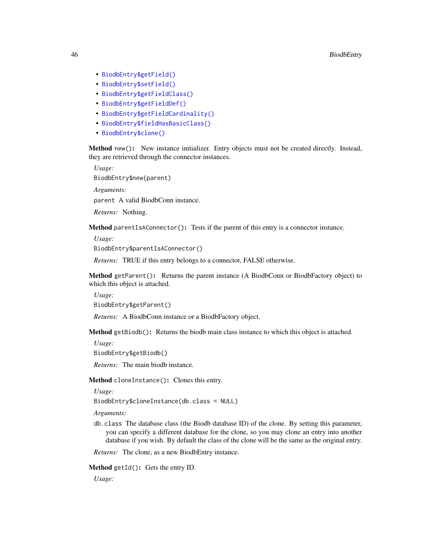- [BiodbEntry\\$getField\(\)](#page-49-1)
- [BiodbEntry\\$setField\(\)](#page-49-2)
- [BiodbEntry\\$getFieldClass\(\)](#page-50-0)
- [BiodbEntry\\$getFieldDef\(\)](#page-50-1)
- [BiodbEntry\\$getFieldCardinality\(\)](#page-50-2)
- [BiodbEntry\\$fieldHasBasicClass\(\)](#page-50-3)
- [BiodbEntry\\$clone\(\)](#page-6-1)

Method new(): New instance initializer. Entry objects must not be created directly. Instead, they are retrieved through the connector instances.

*Usage:*

BiodbEntry\$new(parent)

*Arguments:*

parent A valid BiodbConn instance.

*Returns:* Nothing.

<span id="page-45-0"></span>Method parentIsAConnector(): Tests if the parent of this entry is a connector instance.

*Usage:*

BiodbEntry\$parentIsAConnector()

*Returns:* TRUE if this entry belongs to a connector, FALSE otherwise.

<span id="page-45-1"></span>Method getParent(): Returns the parent instance (A BiodbConn or BiodbFactory object) to which this object is attached.

*Usage:*

BiodbEntry\$getParent()

*Returns:* A BiodbConn instance or a BiodbFactory object.

Method getBiodb(): Returns the biodb main class instance to which this object is attached.

*Usage:*

BiodbEntry\$getBiodb()

*Returns:* The main biodb instance.

<span id="page-45-2"></span>Method cloneInstance(): Clones this entry.

*Usage:*

BiodbEntry\$cloneInstance(db.class = NULL)

*Arguments:*

db.class The database class (the Biodb database ID) of the clone. By setting this parameter, you can specify a different database for the clone, so you may clone an entry into another database if you wish. By default the class of the clone will be the same as the original entry.

*Returns:* The clone, as a new BiodbEntry instance.

Method getId(): Gets the entry ID.

*Usage:*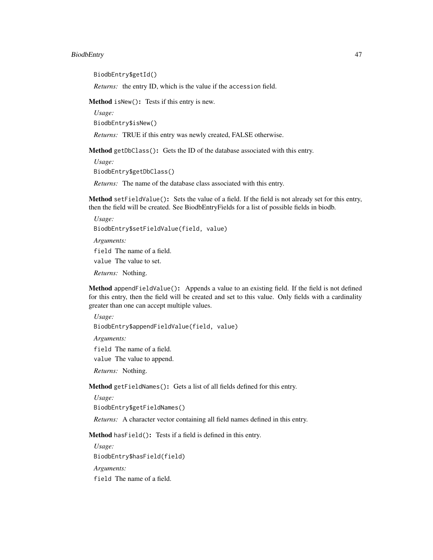# BiodbEntry 47

BiodbEntry\$getId()

*Returns:* the entry ID, which is the value if the accession field.

<span id="page-46-0"></span>Method isNew(): Tests if this entry is new.

*Usage:* BiodbEntry\$isNew()

*Returns:* TRUE if this entry was newly created, FALSE otherwise.

Method getDbClass(): Gets the ID of the database associated with this entry.

*Usage:* BiodbEntry\$getDbClass()

*Returns:* The name of the database class associated with this entry.

<span id="page-46-1"></span>Method setFieldValue(): Sets the value of a field. If the field is not already set for this entry, then the field will be created. See BiodbEntryFields for a list of possible fields in biodb.

```
Usage:
BiodbEntry$setFieldValue(field, value)
Arguments:
field The name of a field.
```
value The value to set.

*Returns:* Nothing.

<span id="page-46-2"></span>Method appendFieldValue(): Appends a value to an existing field. If the field is not defined for this entry, then the field will be created and set to this value. Only fields with a cardinality greater than one can accept multiple values.

*Usage:*

BiodbEntry\$appendFieldValue(field, value)

*Arguments:*

field The name of a field. value The value to append.

*Returns:* Nothing.

<span id="page-46-3"></span>Method getFieldNames(): Gets a list of all fields defined for this entry.

*Usage:*

BiodbEntry\$getFieldNames()

*Returns:* A character vector containing all field names defined in this entry.

<span id="page-46-4"></span>Method hasField(): Tests if a field is defined in this entry.

*Usage:* BiodbEntry\$hasField(field) *Arguments:* field The name of a field.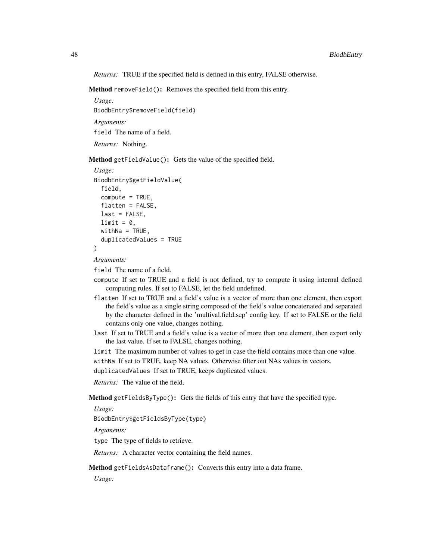*Returns:* TRUE if the specified field is defined in this entry, FALSE otherwise.

<span id="page-47-0"></span>Method removeField(): Removes the specified field from this entry.

*Usage:* BiodbEntry\$removeField(field) *Arguments:* field The name of a field. *Returns:* Nothing.

<span id="page-47-1"></span>Method getFieldValue(): Gets the value of the specified field.

```
Usage:
BiodbEntry$getFieldValue(
  field,
  compute = TRUE,
  flatten = FALSE,
  last = FALSE,limit = 0,
 widthNa = TRUE,duplicatedValues = TRUE
)
```
*Arguments:*

field The name of a field.

- compute If set to TRUE and a field is not defined, try to compute it using internal defined computing rules. If set to FALSE, let the field undefined.
- flatten If set to TRUE and a field's value is a vector of more than one element, then export the field's value as a single string composed of the field's value concatenated and separated by the character defined in the 'multival.field.sep' config key. If set to FALSE or the field contains only one value, changes nothing.
- last If set to TRUE and a field's value is a vector of more than one element, then export only the last value. If set to FALSE, changes nothing.
- limit The maximum number of values to get in case the field contains more than one value.

withNa If set to TRUE, keep NA values. Otherwise filter out NAs values in vectors.

duplicatedValues If set to TRUE, keeps duplicated values.

*Returns:* The value of the field.

<span id="page-47-2"></span>Method getFieldsByType(): Gets the fields of this entry that have the specified type.

*Usage:*

BiodbEntry\$getFieldsByType(type)

*Arguments:*

type The type of fields to retrieve.

*Returns:* A character vector containing the field names.

<span id="page-47-3"></span>Method getFieldsAsDataframe(): Converts this entry into a data frame.

*Usage:*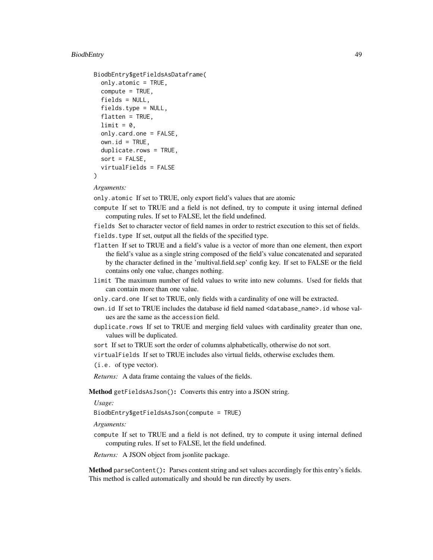# BiodbEntry 49

```
BiodbEntry$getFieldsAsDataframe(
  only.atomic = TRUE,
  compute = TRUE,
  fields = NULL,
  fields.type = NULL,
  flatten = TRUE,
  limit = 0,
  only.card.one = FALSE,
  own.id = TRUE,duplicate.rows = TRUE,
  sort = FALSE,virtualFields = FALSE
)
```
#### *Arguments:*

only.atomic If set to TRUE, only export field's values that are atomic

- compute If set to TRUE and a field is not defined, try to compute it using internal defined computing rules. If set to FALSE, let the field undefined.
- fields Set to character vector of field names in order to restrict execution to this set of fields.
- fields.type If set, output all the fields of the specified type.
- flatten If set to TRUE and a field's value is a vector of more than one element, then export the field's value as a single string composed of the field's value concatenated and separated by the character defined in the 'multival.field.sep' config key. If set to FALSE or the field contains only one value, changes nothing.
- limit The maximum number of field values to write into new columns. Used for fields that can contain more than one value.
- only.card.one If set to TRUE, only fields with a cardinality of one will be extracted.
- own.id If set to TRUE includes the database id field named <database\_name>.id whose values are the same as the accession field.
- duplicate.rows If set to TRUE and merging field values with cardinality greater than one, values will be duplicated.

sort If set to TRUE sort the order of columns alphabetically, otherwise do not sort.

virtualFields If set to TRUE includes also virtual fields, otherwise excludes them.

(i.e. of type vector).

*Returns:* A data frame containg the values of the fields.

<span id="page-48-0"></span>Method getFieldsAsJson(): Converts this entry into a JSON string.

*Usage:*

BiodbEntry\$getFieldsAsJson(compute = TRUE)

*Arguments:*

compute If set to TRUE and a field is not defined, try to compute it using internal defined computing rules. If set to FALSE, let the field undefined.

*Returns:* A JSON object from jsonlite package.

<span id="page-48-1"></span>Method parseContent(): Parses content string and set values accordingly for this entry's fields. This method is called automatically and should be run directly by users.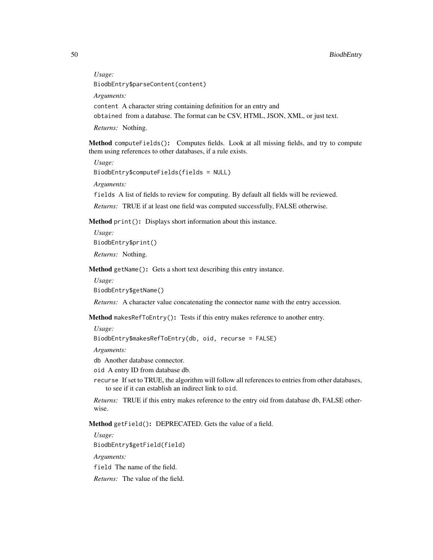*Usage:*

BiodbEntry\$parseContent(content)

*Arguments:*

content A character string containing definition for an entry and

obtained from a database. The format can be CSV, HTML, JSON, XML, or just text.

*Returns:* Nothing.

<span id="page-49-0"></span>Method computeFields(): Computes fields. Look at all missing fields, and try to compute them using references to other databases, if a rule exists.

*Usage:* BiodbEntry\$computeFields(fields = NULL)

*Arguments:*

fields A list of fields to review for computing. By default all fields will be reviewed.

*Returns:* TRUE if at least one field was computed successfully, FALSE otherwise.

Method print(): Displays short information about this instance.

*Usage:* BiodbEntry\$print() *Returns:* Nothing.

Method getName(): Gets a short text describing this entry instance.

*Usage:*

BiodbEntry\$getName()

*Returns:* A character value concatenating the connector name with the entry accession.

Method makesRefToEntry(): Tests if this entry makes reference to another entry.

*Usage:*

```
BiodbEntry$makesRefToEntry(db, oid, recurse = FALSE)
```
*Arguments:*

db Another database connector.

oid A entry ID from database db.

recurse If set to TRUE, the algorithm will follow all references to entries from other databases, to see if it can establish an indirect link to oid.

*Returns:* TRUE if this entry makes reference to the entry oid from database db, FALSE otherwise.

<span id="page-49-1"></span>Method getField(): DEPRECATED. Gets the value of a field.

<span id="page-49-2"></span>*Usage:* BiodbEntry\$getField(field) *Arguments:* field The name of the field. *Returns:* The value of the field.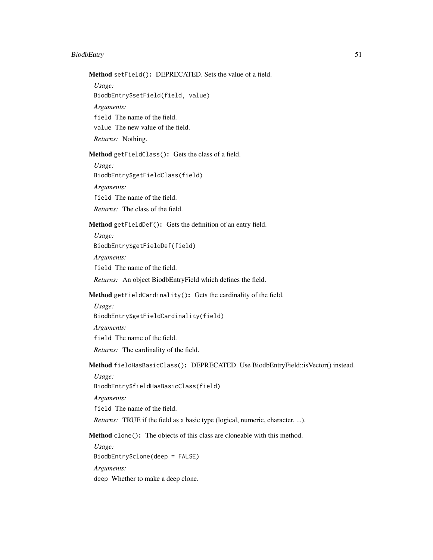# BiodbEntry 51

Method setField(): DEPRECATED. Sets the value of a field.

*Usage:*

BiodbEntry\$setField(field, value)

*Arguments:*

field The name of the field.

value The new value of the field.

*Returns:* Nothing.

<span id="page-50-0"></span>Method getFieldClass(): Gets the class of a field.

*Usage:* BiodbEntry\$getFieldClass(field) *Arguments:* field The name of the field. *Returns:* The class of the field.

<span id="page-50-1"></span>Method getFieldDef(): Gets the definition of an entry field.

*Usage:* BiodbEntry\$getFieldDef(field)

*Arguments:* field The name of the field.

*Returns:* An object BiodbEntryField which defines the field.

<span id="page-50-2"></span>Method getFieldCardinality(): Gets the cardinality of the field.

*Usage:* BiodbEntry\$getFieldCardinality(field) *Arguments:* field The name of the field. *Returns:* The cardinality of the field.

<span id="page-50-3"></span>Method fieldHasBasicClass(): DEPRECATED. Use BiodbEntryField::isVector() instead.

*Usage:*

BiodbEntry\$fieldHasBasicClass(field)

*Arguments:*

field The name of the field.

*Returns:* TRUE if the field as a basic type (logical, numeric, character, ...).

Method clone(): The objects of this class are cloneable with this method.

*Usage:* BiodbEntry\$clone(deep = FALSE) *Arguments:* deep Whether to make a deep clone.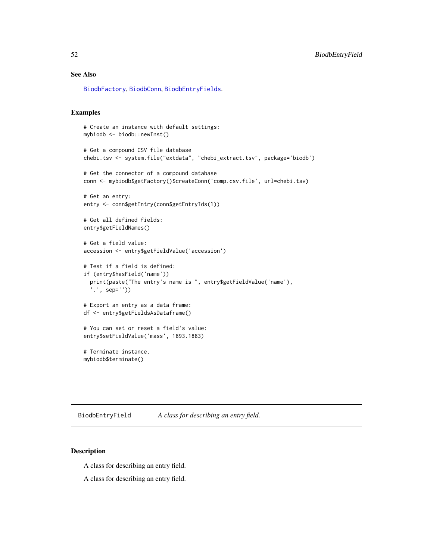# See Also

[BiodbFactory](#page-63-0), [BiodbConn](#page-11-0), [BiodbEntryFields](#page-60-0).

# Examples

```
# Create an instance with default settings:
mybiodb <- biodb::newInst()
# Get a compound CSV file database
chebi.tsv <- system.file("extdata", "chebi_extract.tsv", package='biodb')
# Get the connector of a compound database
conn <- mybiodb$getFactory()$createConn('comp.csv.file', url=chebi.tsv)
# Get an entry:
entry <- conn$getEntry(conn$getEntryIds(1))
# Get all defined fields:
entry$getFieldNames()
# Get a field value:
accession <- entry$getFieldValue('accession')
# Test if a field is defined:
if (entry$hasField('name'))
  print(paste("The entry's name is ", entry$getFieldValue('name'),
  '.', sep=''))
# Export an entry as a data frame:
df <- entry$getFieldsAsDataframe()
# You can set or reset a field's value:
entry$setFieldValue('mass', 1893.1883)
# Terminate instance.
mybiodb$terminate()
```
<span id="page-51-0"></span>BiodbEntryField *A class for describing an entry field.*

## Description

A class for describing an entry field.

A class for describing an entry field.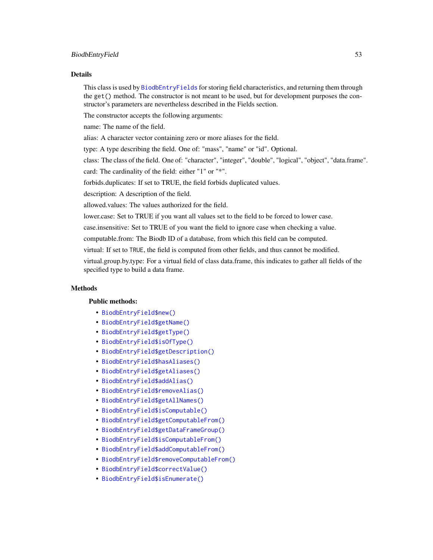#### BiodbEntryField 53

#### Details

This class is used by [BiodbEntryFields](#page-60-0) for storing field characteristics, and returning them through the get() method. The constructor is not meant to be used, but for development purposes the constructor's parameters are nevertheless described in the Fields section.

The constructor accepts the following arguments:

name: The name of the field.

alias: A character vector containing zero or more aliases for the field.

type: A type describing the field. One of: "mass", "name" or "id". Optional.

class: The class of the field. One of: "character", "integer", "double", "logical", "object", "data.frame".

card: The cardinality of the field: either "1" or "\*".

forbids.duplicates: If set to TRUE, the field forbids duplicated values.

description: A description of the field.

allowed.values: The values authorized for the field.

lower.case: Set to TRUE if you want all values set to the field to be forced to lower case.

case.insensitive: Set to TRUE of you want the field to ignore case when checking a value.

computable.from: The Biodb ID of a database, from which this field can be computed.

virtual: If set to TRUE, the field is computed from other fields, and thus cannot be modified.

virtual.group.by.type: For a virtual field of class data.frame, this indicates to gather all fields of the specified type to build a data frame.

# **Methods**

# Public methods:

- [BiodbEntryField\\$new\(\)](#page-6-0)
- [BiodbEntryField\\$getName\(\)](#page-36-0)
- [BiodbEntryField\\$getType\(\)](#page-54-0)
- [BiodbEntryField\\$isOfType\(\)](#page-54-1)
- [BiodbEntryField\\$getDescription\(\)](#page-8-2)
- [BiodbEntryField\\$hasAliases\(\)](#page-54-2)
- [BiodbEntryField\\$getAliases\(\)](#page-55-0)
- [BiodbEntryField\\$addAlias\(\)](#page-55-1)
- [BiodbEntryField\\$removeAlias\(\)](#page-55-2)
- [BiodbEntryField\\$getAllNames\(\)](#page-55-3)
- [BiodbEntryField\\$isComputable\(\)](#page-55-4)
- [BiodbEntryField\\$getComputableFrom\(\)](#page-55-5)
- [BiodbEntryField\\$getDataFrameGroup\(\)](#page-55-6)
- [BiodbEntryField\\$isComputableFrom\(\)](#page-55-7)
- [BiodbEntryField\\$addComputableFrom\(\)](#page-56-0)
- [BiodbEntryField\\$removeComputableFrom\(\)](#page-56-1)
- [BiodbEntryField\\$correctValue\(\)](#page-56-2)
- [BiodbEntryField\\$isEnumerate\(\)](#page-56-3)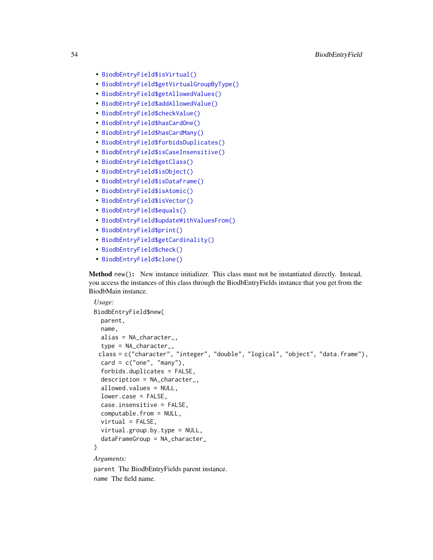- [BiodbEntryField\\$isVirtual\(\)](#page-56-4)
- [BiodbEntryField\\$getVirtualGroupByType\(\)](#page-56-5)
- [BiodbEntryField\\$getAllowedValues\(\)](#page-56-6)
- [BiodbEntryField\\$addAllowedValue\(\)](#page-57-0)
- [BiodbEntryField\\$checkValue\(\)](#page-57-1)
- [BiodbEntryField\\$hasCardOne\(\)](#page-57-2)
- [BiodbEntryField\\$hasCardMany\(\)](#page-57-3)
- [BiodbEntryField\\$forbidsDuplicates\(\)](#page-57-4)
- [BiodbEntryField\\$isCaseInsensitive\(\)](#page-57-5)
- [BiodbEntryField\\$getClass\(\)](#page-58-0)
- [BiodbEntryField\\$isObject\(\)](#page-58-1)
- [BiodbEntryField\\$isDataFrame\(\)](#page-58-2)
- [BiodbEntryField\\$isAtomic\(\)](#page-58-3)
- [BiodbEntryField\\$isVector\(\)](#page-58-4)
- [BiodbEntryField\\$equals\(\)](#page-58-5)
- [BiodbEntryField\\$updateWithValuesFrom\(\)](#page-58-6)
- [BiodbEntryField\\$print\(\)](#page-9-0)
- [BiodbEntryField\\$getCardinality\(\)](#page-59-0)
- [BiodbEntryField\\$check\(\)](#page-59-1)
- [BiodbEntryField\\$clone\(\)](#page-6-1)

Method new(): New instance initializer. This class must not be instantiated directly. Instead, you access the instances of this class through the BiodbEntryFields instance that you get from the BiodbMain instance.

```
Usage:
BiodbEntryField$new(
 parent,
 name,
 alias = NA_character_,
  type = NA_character_,
 class = c("character", "integer", "double", "logical", "object", "data.frame"),
  card = c("one", "many"),forbids.duplicates = FALSE,
 description = NA_character_,
  allowed.values = NULL,
  lower.case = FALSE,
  case.insensitive = FALSE,
  computable.from = NULL,
 virtual = FALSE,virtual.group.by.type = NULL,
  dataFrameGroup = NA_character_
\mathcal{L}
```
# *Arguments:*

parent The BiodbEntryFields parent instance. name The field name.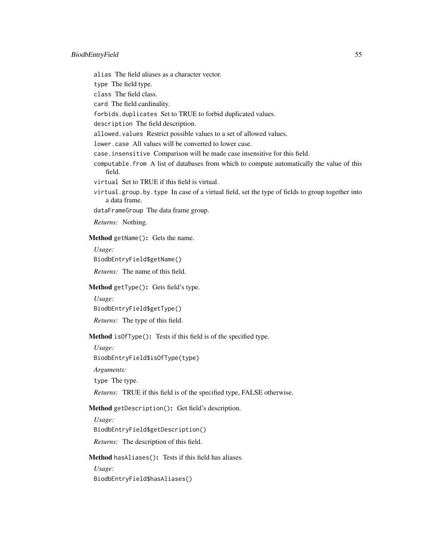alias The field aliases as a character vector.

type The field type.

class The field class.

card The field cardinality.

forbids.duplicates Set to TRUE to forbid duplicated values.

description The field description.

allowed.values Restrict possible values to a set of allowed values.

lower.case All values will be converted to lower case.

case.insensitive Comparison will be made case insensitive for this field.

computable.from A list of databases from which to compute automatically the value of this field.

virtual Set to TRUE if this field is virtual.

virtual.group.by.type In case of a virtual field, set the type of fields to group together into a data frame.

dataFrameGroup The data frame group.

*Returns:* Nothing.

Method getName(): Gets the name.

*Usage:*

BiodbEntryField\$getName()

*Returns:* The name of this field.

<span id="page-54-0"></span>Method getType(): Gets field's type.

*Usage:*

BiodbEntryField\$getType()

*Returns:* The type of this field.

<span id="page-54-1"></span>Method isOfType(): Tests if this field is of the specified type.

*Usage:*

BiodbEntryField\$isOfType(type)

*Arguments:*

type The type.

*Returns:* TRUE if this field is of the specified type, FALSE otherwise.

Method getDescription(): Get field's description.

*Usage:* BiodbEntryField\$getDescription()

*Returns:* The description of this field.

<span id="page-54-2"></span>Method hasAliases(): Tests if this field has aliases.

*Usage:* BiodbEntryField\$hasAliases()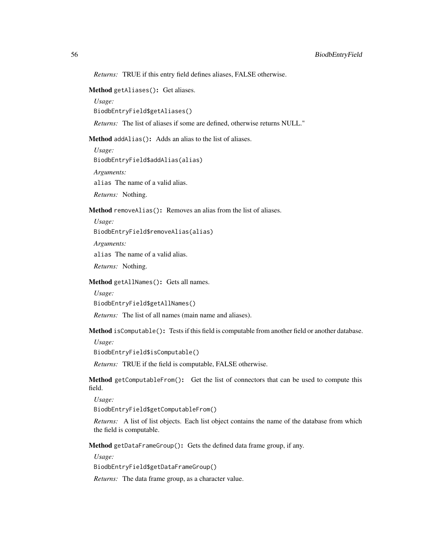*Returns:* TRUE if this entry field defines aliases, FALSE otherwise.

# <span id="page-55-0"></span>Method getAliases(): Get aliases.

*Usage:* BiodbEntryField\$getAliases()

*Returns:* The list of aliases if some are defined, otherwise returns NULL."

<span id="page-55-1"></span>Method addAlias(): Adds an alias to the list of aliases.

*Usage:* BiodbEntryField\$addAlias(alias) *Arguments:* alias The name of a valid alias. *Returns:* Nothing.

<span id="page-55-2"></span>Method removeAlias(): Removes an alias from the list of aliases.

*Usage:* BiodbEntryField\$removeAlias(alias) *Arguments:* alias The name of a valid alias.

*Returns:* Nothing.

<span id="page-55-3"></span>Method getAllNames(): Gets all names.

*Usage:*

BiodbEntryField\$getAllNames()

*Returns:* The list of all names (main name and aliases).

<span id="page-55-4"></span>Method isComputable(): Tests if this field is computable from another field or another database.

*Usage:*

BiodbEntryField\$isComputable()

*Returns:* TRUE if the field is computable, FALSE otherwise.

<span id="page-55-5"></span>Method getComputableFrom(): Get the list of connectors that can be used to compute this field.

*Usage:*

BiodbEntryField\$getComputableFrom()

*Returns:* A list of list objects. Each list object contains the name of the database from which the field is computable.

<span id="page-55-6"></span>Method getDataFrameGroup(): Gets the defined data frame group, if any.

*Usage:*

BiodbEntryField\$getDataFrameGroup()

<span id="page-55-7"></span>*Returns:* The data frame group, as a character value.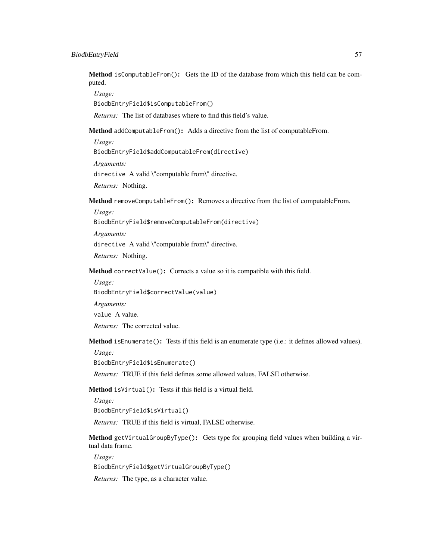Method isComputableFrom(): Gets the ID of the database from which this field can be computed.

*Usage:*

BiodbEntryField\$isComputableFrom()

*Returns:* The list of databases where to find this field's value.

<span id="page-56-0"></span>Method addComputableFrom(): Adds a directive from the list of computableFrom.

*Usage:*

BiodbEntryField\$addComputableFrom(directive)

*Arguments:*

directive A valid \"computable from\" directive.

*Returns:* Nothing.

<span id="page-56-1"></span>Method removeComputableFrom(): Removes a directive from the list of computableFrom.

*Usage:*

BiodbEntryField\$removeComputableFrom(directive)

*Arguments:*

directive A valid \"computable from\" directive.

*Returns:* Nothing.

<span id="page-56-2"></span>Method correctValue(): Corrects a value so it is compatible with this field.

*Usage:*

BiodbEntryField\$correctValue(value)

*Arguments:*

value A value.

*Returns:* The corrected value.

<span id="page-56-3"></span>Method isEnumerate(): Tests if this field is an enumerate type (i.e.: it defines allowed values).

*Usage:*

BiodbEntryField\$isEnumerate()

*Returns:* TRUE if this field defines some allowed values, FALSE otherwise.

<span id="page-56-4"></span>Method isVirtual(): Tests if this field is a virtual field.

*Usage:*

BiodbEntryField\$isVirtual()

*Returns:* TRUE if this field is virtual, FALSE otherwise.

<span id="page-56-5"></span>Method getVirtualGroupByType(): Gets type for grouping field values when building a virtual data frame.

*Usage:*

BiodbEntryField\$getVirtualGroupByType()

<span id="page-56-6"></span>*Returns:* The type, as a character value.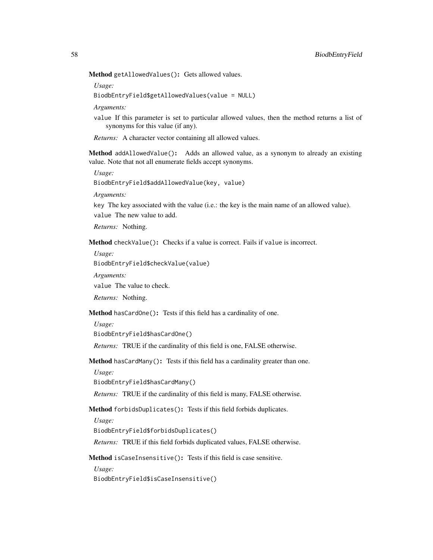Method getAllowedValues(): Gets allowed values.

*Usage:*

BiodbEntryField\$getAllowedValues(value = NULL)

*Arguments:*

value If this parameter is set to particular allowed values, then the method returns a list of synonyms for this value (if any).

*Returns:* A character vector containing all allowed values.

<span id="page-57-0"></span>Method addAllowedValue(): Adds an allowed value, as a synonym to already an existing value. Note that not all enumerate fields accept synonyms.

*Usage:*

BiodbEntryField\$addAllowedValue(key, value)

*Arguments:*

key The key associated with the value (i.e.: the key is the main name of an allowed value). value The new value to add.

*Returns:* Nothing.

<span id="page-57-1"></span>Method checkValue(): Checks if a value is correct. Fails if value is incorrect.

*Usage:*

BiodbEntryField\$checkValue(value)

*Arguments:*

value The value to check.

*Returns:* Nothing.

<span id="page-57-2"></span>Method hasCardOne(): Tests if this field has a cardinality of one.

*Usage:*

BiodbEntryField\$hasCardOne()

*Returns:* TRUE if the cardinality of this field is one, FALSE otherwise.

<span id="page-57-3"></span>Method hasCardMany(): Tests if this field has a cardinality greater than one.

*Usage:*

BiodbEntryField\$hasCardMany()

*Returns:* TRUE if the cardinality of this field is many, FALSE otherwise.

<span id="page-57-4"></span>Method forbidsDuplicates(): Tests if this field forbids duplicates.

*Usage:*

BiodbEntryField\$forbidsDuplicates()

*Returns:* TRUE if this field forbids duplicated values, FALSE otherwise.

<span id="page-57-5"></span>Method isCaseInsensitive(): Tests if this field is case sensitive.

*Usage:*

BiodbEntryField\$isCaseInsensitive()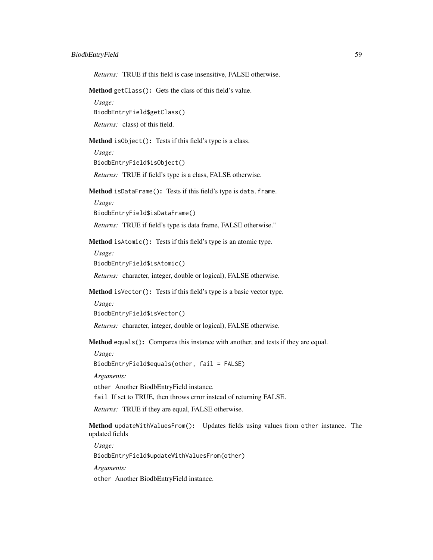## BiodbEntryField 59

*Returns:* TRUE if this field is case insensitive, FALSE otherwise.

<span id="page-58-0"></span>Method getClass(): Gets the class of this field's value.

*Usage:* BiodbEntryField\$getClass()

*Returns:* class) of this field.

<span id="page-58-1"></span>Method isObject(): Tests if this field's type is a class.

*Usage:* BiodbEntryField\$isObject()

*Returns:* TRUE if field's type is a class, FALSE otherwise.

<span id="page-58-2"></span>Method isDataFrame(): Tests if this field's type is data.frame.

*Usage:*

BiodbEntryField\$isDataFrame()

*Returns:* TRUE if field's type is data frame, FALSE otherwise."

<span id="page-58-3"></span>Method isAtomic(): Tests if this field's type is an atomic type.

*Usage:*

BiodbEntryField\$isAtomic()

*Returns:* character, integer, double or logical), FALSE otherwise.

<span id="page-58-4"></span>Method isVector(): Tests if this field's type is a basic vector type.

*Usage:* BiodbEntryField\$isVector()

*Returns:* character, integer, double or logical), FALSE otherwise.

<span id="page-58-5"></span>Method equals(): Compares this instance with another, and tests if they are equal.

*Usage:*

BiodbEntryField\$equals(other, fail = FALSE)

*Arguments:*

other Another BiodbEntryField instance.

fail If set to TRUE, then throws error instead of returning FALSE.

*Returns:* TRUE if they are equal, FALSE otherwise.

<span id="page-58-6"></span>Method updateWithValuesFrom(): Updates fields using values from other instance. The updated fields

*Usage:*

BiodbEntryField\$updateWithValuesFrom(other)

*Arguments:*

other Another BiodbEntryField instance.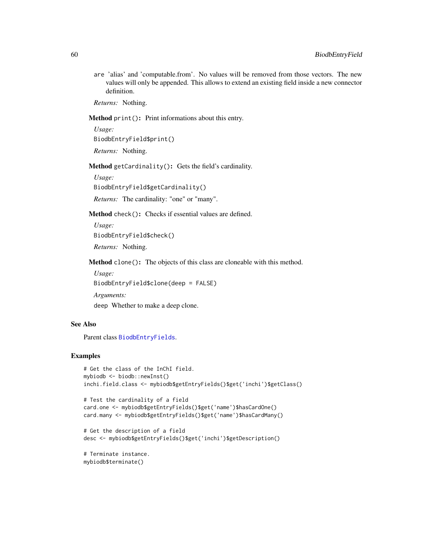are 'alias' and 'computable.from'. No values will be removed from those vectors. The new values will only be appended. This allows to extend an existing field inside a new connector definition.

*Returns:* Nothing.

Method print(): Print informations about this entry.

*Usage:* BiodbEntryField\$print()

*Returns:* Nothing.

<span id="page-59-0"></span>Method getCardinality(): Gets the field's cardinality.

*Usage:*

BiodbEntryField\$getCardinality()

*Returns:* The cardinality: "one" or "many".

<span id="page-59-1"></span>Method check(): Checks if essential values are defined.

*Usage:* BiodbEntryField\$check() *Returns:* Nothing.

Method clone(): The objects of this class are cloneable with this method.

*Usage:* BiodbEntryField\$clone(deep = FALSE)

*Arguments:*

deep Whether to make a deep clone.

# See Also

Parent class [BiodbEntryFields](#page-60-0).

### Examples

```
# Get the class of the InChI field.
mybiodb <- biodb::newInst()
inchi.field.class <- mybiodb$getEntryFields()$get('inchi')$getClass()
```

```
# Test the cardinality of a field
card.one <- mybiodb$getEntryFields()$get('name')$hasCardOne()
card.many <- mybiodb$getEntryFields()$get('name')$hasCardMany()
```

```
# Get the description of a field
desc <- mybiodb$getEntryFields()$get('inchi')$getDescription()
```

```
# Terminate instance.
mybiodb$terminate()
```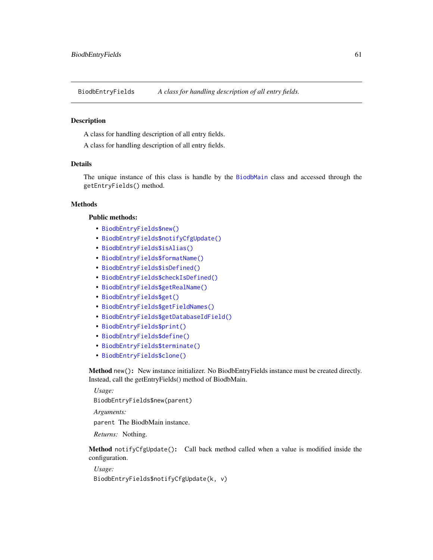<span id="page-60-0"></span>BiodbEntryFields *A class for handling description of all entry fields.*

### Description

A class for handling description of all entry fields.

A class for handling description of all entry fields.

## Details

The unique instance of this class is handle by the [BiodbMain](#page-71-0) class and accessed through the getEntryFields() method.

### Methods

# Public methods:

- [BiodbEntryFields\\$new\(\)](#page-6-0)
- [BiodbEntryFields\\$notifyCfgUpdate\(\)](#page-60-1)
- [BiodbEntryFields\\$isAlias\(\)](#page-61-0)
- [BiodbEntryFields\\$formatName\(\)](#page-61-1)
- [BiodbEntryFields\\$isDefined\(\)](#page-8-0)
- [BiodbEntryFields\\$checkIsDefined\(\)](#page-42-1)
- [BiodbEntryFields\\$getRealName\(\)](#page-61-2)
- [BiodbEntryFields\\$get\(\)](#page-8-1)
- [BiodbEntryFields\\$getFieldNames\(\)](#page-46-3)
- [BiodbEntryFields\\$getDatabaseIdField\(\)](#page-62-0)
- [BiodbEntryFields\\$print\(\)](#page-9-0)
- [BiodbEntryFields\\$define\(\)](#page-10-0)
- [BiodbEntryFields\\$terminate\(\)](#page-10-1)
- [BiodbEntryFields\\$clone\(\)](#page-6-1)

Method new(): New instance initializer. No BiodbEntryFields instance must be created directly. Instead, call the getEntryFields() method of BiodbMain.

*Usage:*

BiodbEntryFields\$new(parent)

*Arguments:*

parent The BiodbMain instance.

*Returns:* Nothing.

<span id="page-60-1"></span>Method notifyCfgUpdate(): Call back method called when a value is modified inside the configuration.

*Usage:* BiodbEntryFields\$notifyCfgUpdate(k, v)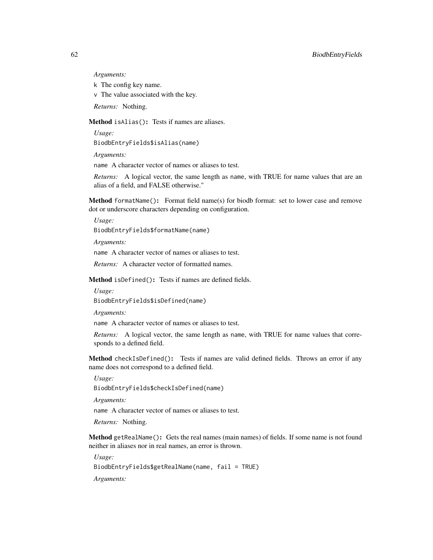*Arguments:*

k The config key name.

v The value associated with the key.

*Returns:* Nothing.

<span id="page-61-0"></span>Method isAlias(): Tests if names are aliases.

*Usage:*

BiodbEntryFields\$isAlias(name)

*Arguments:*

name A character vector of names or aliases to test.

*Returns:* A logical vector, the same length as name, with TRUE for name values that are an alias of a field, and FALSE otherwise."

<span id="page-61-1"></span>Method formatName(): Format field name(s) for biodb format: set to lower case and remove dot or underscore characters depending on configuration.

*Usage:* BiodbEntryFields\$formatName(name)

*Arguments:*

name A character vector of names or aliases to test.

*Returns:* A character vector of formatted names.

Method isDefined(): Tests if names are defined fields.

*Usage:* BiodbEntryFields\$isDefined(name)

*Arguments:*

name A character vector of names or aliases to test.

*Returns:* A logical vector, the same length as name, with TRUE for name values that corresponds to a defined field.

Method checkIsDefined(): Tests if names are valid defined fields. Throws an error if any name does not correspond to a defined field.

*Usage:*

BiodbEntryFields\$checkIsDefined(name)

*Arguments:*

name A character vector of names or aliases to test.

*Returns:* Nothing.

<span id="page-61-2"></span>Method getRealName(): Gets the real names (main names) of fields. If some name is not found neither in aliases nor in real names, an error is thrown.

*Usage:*

BiodbEntryFields\$getRealName(name, fail = TRUE)

*Arguments:*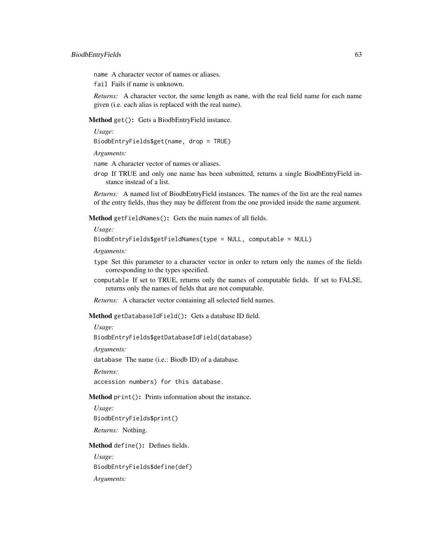name A character vector of names or aliases.

fail Fails if name is unknown.

*Returns:* A character vector, the same length as name, with the real field name for each name given (i.e. each alias is replaced with the real name).

Method get(): Gets a BiodbEntryField instance.

*Usage:*

BiodbEntryFields\$get(name, drop = TRUE)

*Arguments:*

name A character vector of names or aliases.

drop If TRUE and only one name has been submitted, returns a single BiodbEntryField instance instead of a list.

*Returns:* A named list of BiodbEntryField instances. The names of the list are the real names of the entry fields, thus they may be different from the one provided inside the name argument.

Method getFieldNames(): Gets the main names of all fields.

*Usage:*

BiodbEntryFields\$getFieldNames(type = NULL, computable = NULL)

*Arguments:*

- type Set this parameter to a character vector in order to return only the names of the fields corresponding to the types specified.
- computable If set to TRUE, returns only the names of computable fields. If set to FALSE, returns only the names of fields that are not computable.

*Returns:* A character vector containing all selected field names.

<span id="page-62-0"></span>Method getDatabaseIdField(): Gets a database ID field.

*Usage:*

BiodbEntryFields\$getDatabaseIdField(database)

*Arguments:*

database The name (i.e.: Biodb ID) of a database.

*Returns:*

accession numbers) for this database.

Method print(): Prints information about the instance.

*Usage:* BiodbEntryFields\$print() *Returns:* Nothing.

Method define(): Defines fields.

*Usage:* BiodbEntryFields\$define(def) *Arguments:*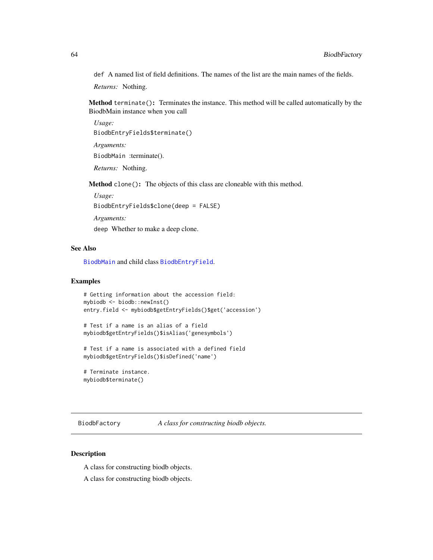def A named list of field definitions. The names of the list are the main names of the fields.

*Returns:* Nothing.

Method terminate(): Terminates the instance. This method will be called automatically by the BiodbMain instance when you call

*Usage:* BiodbEntryFields\$terminate() *Arguments:* BiodbMain :terminate(). *Returns:* Nothing.

Method clone(): The objects of this class are cloneable with this method.

*Usage:* BiodbEntryFields\$clone(deep = FALSE) *Arguments:* deep Whether to make a deep clone.

# See Also

[BiodbMain](#page-71-0) and child class [BiodbEntryField](#page-51-0).

#### Examples

```
# Getting information about the accession field:
mybiodb <- biodb::newInst()
entry.field <- mybiodb$getEntryFields()$get('accession')
```

```
# Test if a name is an alias of a field
mybiodb$getEntryFields()$isAlias('genesymbols')
```
# Test if a name is associated with a defined field mybiodb\$getEntryFields()\$isDefined('name')

```
# Terminate instance.
mybiodb$terminate()
```
<span id="page-63-0"></span>BiodbFactory *A class for constructing biodb objects.*

### Description

A class for constructing biodb objects.

A class for constructing biodb objects.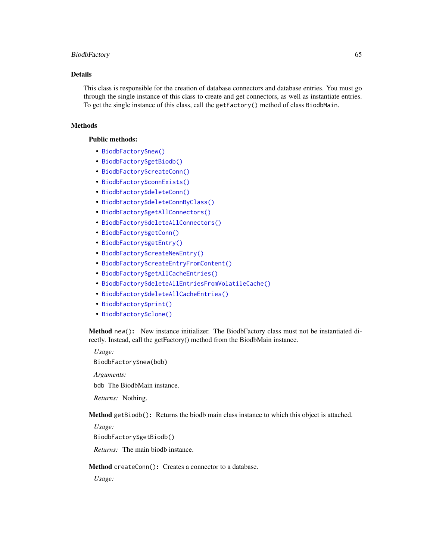#### BiodbFactory 65

## Details

This class is responsible for the creation of database connectors and database entries. You must go through the single instance of this class to create and get connectors, as well as instantiate entries. To get the single instance of this class, call the getFactory() method of class BiodbMain.

# Methods

# Public methods:

- [BiodbFactory\\$new\(\)](#page-6-0)
- [BiodbFactory\\$getBiodb\(\)](#page-13-0)
- [BiodbFactory\\$createConn\(\)](#page-64-0)
- [BiodbFactory\\$connExists\(\)](#page-65-0)
- [BiodbFactory\\$deleteConn\(\)](#page-65-1)
- [BiodbFactory\\$deleteConnByClass\(\)](#page-65-2)
- [BiodbFactory\\$getAllConnectors\(\)](#page-66-0)
- [BiodbFactory\\$deleteAllConnectors\(\)](#page-66-1)
- [BiodbFactory\\$getConn\(\)](#page-66-2)
- [BiodbFactory\\$getEntry\(\)](#page-14-1)
- [BiodbFactory\\$createNewEntry\(\)](#page-66-3)
- [BiodbFactory\\$createEntryFromContent\(\)](#page-67-0)
- [BiodbFactory\\$getAllCacheEntries\(\)](#page-21-0)
- [BiodbFactory\\$deleteAllEntriesFromVolatileCache\(\)](#page-21-1)
- [BiodbFactory\\$deleteAllCacheEntries\(\)](#page-22-1)
- [BiodbFactory\\$print\(\)](#page-9-0)
- [BiodbFactory\\$clone\(\)](#page-6-1)

Method new(): New instance initializer. The BiodbFactory class must not be instantiated directly. Instead, call the getFactory() method from the BiodbMain instance.

*Usage:*

BiodbFactory\$new(bdb)

*Arguments:*

bdb The BiodbMain instance.

*Returns:* Nothing.

Method getBiodb(): Returns the biodb main class instance to which this object is attached.

*Usage:*

BiodbFactory\$getBiodb()

*Returns:* The main biodb instance.

#### <span id="page-64-0"></span>Method createConn(): Creates a connector to a database.

*Usage:*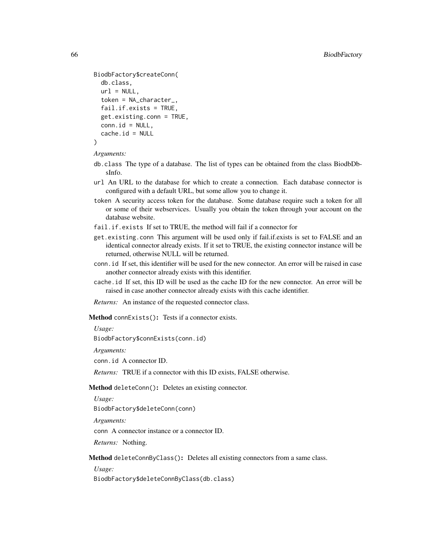```
BiodbFactory$createConn(
  db.class,
 url = NULL,token = NA_character_,
  fail.if.exists = TRUE,
  get.existing.conn = TRUE,
  conn.id = NULL,cache.id = NULL)
```
*Arguments:*

- db.class The type of a database. The list of types can be obtained from the class BiodbDbsInfo.
- url An URL to the database for which to create a connection. Each database connector is configured with a default URL, but some allow you to change it.
- token A security access token for the database. Some database require such a token for all or some of their webservices. Usually you obtain the token through your account on the database website.
- fail.if.exists If set to TRUE, the method will fail if a connector for
- get.existing.conn This argument will be used only if fail.if.exists is set to FALSE and an identical connector already exists. If it set to TRUE, the existing connector instance will be returned, otherwise NULL will be returned.
- conn.id If set, this identifier will be used for the new connector. An error will be raised in case another connector already exists with this identifier.
- cache.id If set, this ID will be used as the cache ID for the new connector. An error will be raised in case another connector already exists with this cache identifier.

*Returns:* An instance of the requested connector class.

<span id="page-65-0"></span>Method connExists(): Tests if a connector exists.

*Usage:*

BiodbFactory\$connExists(conn.id)

*Arguments:*

conn.id A connector ID.

*Returns:* TRUE if a connector with this ID exists, FALSE otherwise.

<span id="page-65-1"></span>Method deleteConn(): Deletes an existing connector.

*Usage:*

BiodbFactory\$deleteConn(conn)

*Arguments:*

conn A connector instance or a connector ID.

*Returns:* Nothing.

<span id="page-65-2"></span>Method deleteConnByClass(): Deletes all existing connectors from a same class.

*Usage:*

BiodbFactory\$deleteConnByClass(db.class)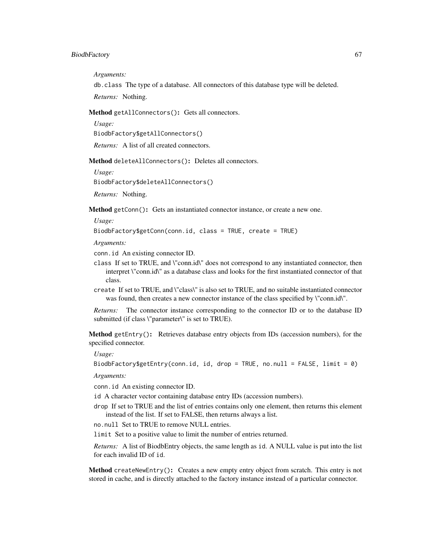#### BiodbFactory 67

*Arguments:*

db.class The type of a database. All connectors of this database type will be deleted.

*Returns:* Nothing.

<span id="page-66-0"></span>Method getAllConnectors(): Gets all connectors.

*Usage:*

BiodbFactory\$getAllConnectors()

*Returns:* A list of all created connectors.

<span id="page-66-1"></span>Method deleteAllConnectors(): Deletes all connectors.

*Usage:*

BiodbFactory\$deleteAllConnectors()

*Returns:* Nothing.

<span id="page-66-2"></span>Method getConn(): Gets an instantiated connector instance, or create a new one.

*Usage:*

BiodbFactory\$getConn(conn.id, class = TRUE, create = TRUE)

*Arguments:*

conn.id An existing connector ID.

- class If set to TRUE, and \"conn.id\" does not correspond to any instantiated connector, then interpret \"conn.id\" as a database class and looks for the first instantiated connector of that class.
- create If set to TRUE, and \"class\" is also set to TRUE, and no suitable instantiated connector was found, then creates a new connector instance of the class specified by  $\Gamma$  conn.id $\Gamma$ .

*Returns:* The connector instance corresponding to the connector ID or to the database ID submitted (if class \"parameter\" is set to TRUE).

Method getEntry(): Retrieves database entry objects from IDs (accession numbers), for the specified connector.

*Usage:*

BiodbFactory\$getEntry(conn.id, id, drop = TRUE, no.null = FALSE, limit = 0)

*Arguments:*

conn.id An existing connector ID.

id A character vector containing database entry IDs (accession numbers).

drop If set to TRUE and the list of entries contains only one element, then returns this element instead of the list. If set to FALSE, then returns always a list.

no.null Set to TRUE to remove NULL entries.

limit Set to a positive value to limit the number of entries returned.

*Returns:* A list of BiodbEntry objects, the same length as id. A NULL value is put into the list for each invalid ID of id.

<span id="page-66-3"></span>Method createNewEntry(): Creates a new empty entry object from scratch. This entry is not stored in cache, and is directly attached to the factory instance instead of a particular connector.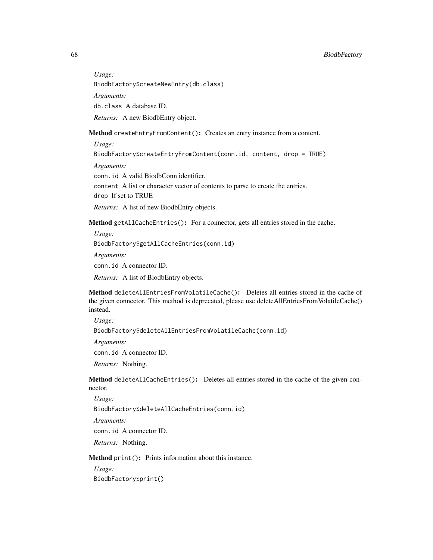*Usage:*

BiodbFactory\$createNewEntry(db.class)

*Arguments:*

db.class A database ID.

*Returns:* A new BiodbEntry object.

<span id="page-67-0"></span>Method createEntryFromContent(): Creates an entry instance from a content.

*Usage:*

BiodbFactory\$createEntryFromContent(conn.id, content, drop = TRUE)

*Arguments:*

conn.id A valid BiodbConn identifier.

content A list or character vector of contents to parse to create the entries. drop If set to TRUE

*Returns:* A list of new BiodbEntry objects.

Method getAllCacheEntries(): For a connector, gets all entries stored in the cache.

*Usage:*

BiodbFactory\$getAllCacheEntries(conn.id)

*Arguments:*

conn.id A connector ID.

*Returns:* A list of BiodbEntry objects.

Method deleteAllEntriesFromVolatileCache(): Deletes all entries stored in the cache of the given connector. This method is deprecated, please use deleteAllEntriesFromVolatileCache() instead.

*Usage:* BiodbFactory\$deleteAllEntriesFromVolatileCache(conn.id) *Arguments:* conn.id A connector ID.

*Returns:* Nothing.

Method deleteAllCacheEntries(): Deletes all entries stored in the cache of the given connector.

*Usage:* BiodbFactory\$deleteAllCacheEntries(conn.id) *Arguments:* conn.id A connector ID.

*Returns:* Nothing.

Method print(): Prints information about this instance.

*Usage:* BiodbFactory\$print()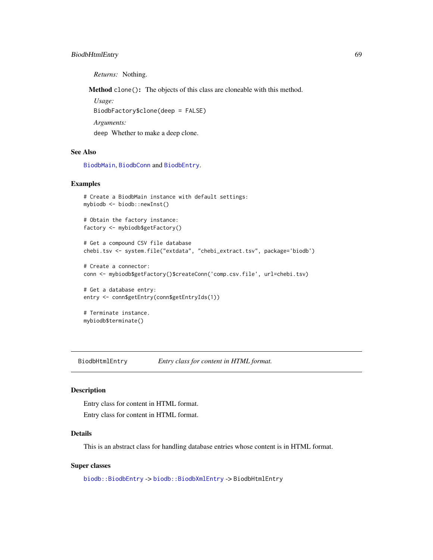# BiodbHtmlEntry 69

*Returns:* Nothing.

Method clone(): The objects of this class are cloneable with this method.

*Usage:* BiodbFactory\$clone(deep = FALSE) *Arguments:*

deep Whether to make a deep clone.

# See Also

[BiodbMain](#page-71-0), [BiodbConn](#page-11-0) and [BiodbEntry](#page-44-0).

# Examples

```
# Create a BiodbMain instance with default settings:
mybiodb <- biodb::newInst()
# Obtain the factory instance:
factory <- mybiodb$getFactory()
# Get a compound CSV file database
chebi.tsv <- system.file("extdata", "chebi_extract.tsv", package='biodb')
# Create a connector:
conn <- mybiodb$getFactory()$createConn('comp.csv.file', url=chebi.tsv)
# Get a database entry:
entry <- conn$getEntry(conn$getEntryIds(1))
# Terminate instance.
mybiodb$terminate()
```
BiodbHtmlEntry *Entry class for content in HTML format.*

#### Description

Entry class for content in HTML format.

Entry class for content in HTML format.

## Details

This is an abstract class for handling database entries whose content is in HTML format.

#### Super classes

[biodb::BiodbEntry](#page-0-0) -> [biodb::BiodbXmlEntry](#page-0-0) -> BiodbHtmlEntry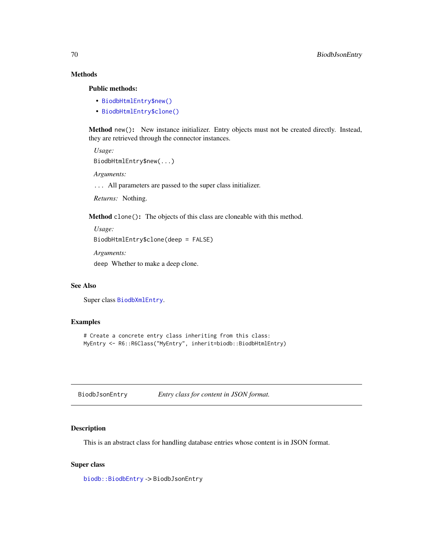# Methods

# Public methods:

- [BiodbHtmlEntry\\$new\(\)](#page-6-0)
- [BiodbHtmlEntry\\$clone\(\)](#page-6-1)

Method new(): New instance initializer. Entry objects must not be created directly. Instead, they are retrieved through the connector instances.

*Usage:* BiodbHtmlEntry\$new(...)

*Arguments:*

... All parameters are passed to the super class initializer.

*Returns:* Nothing.

Method clone(): The objects of this class are cloneable with this method.

*Usage:*

BiodbHtmlEntry\$clone(deep = FALSE)

*Arguments:*

deep Whether to make a deep clone.

#### See Also

Super class [BiodbXmlEntry](#page-111-0).

#### Examples

```
# Create a concrete entry class inheriting from this class:
MyEntry <- R6::R6Class("MyEntry", inherit=biodb::BiodbHtmlEntry)
```
BiodbJsonEntry *Entry class for content in JSON format.*

# Description

This is an abstract class for handling database entries whose content is in JSON format.

#### Super class

[biodb::BiodbEntry](#page-0-0) -> BiodbJsonEntry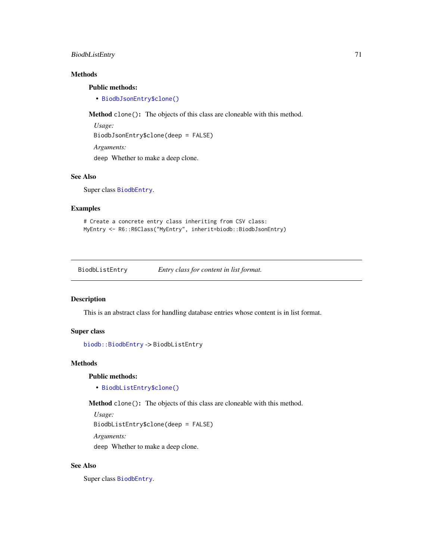# BiodbListEntry 71

# Methods

#### Public methods:

• [BiodbJsonEntry\\$clone\(\)](#page-6-1)

Method clone(): The objects of this class are cloneable with this method.

*Usage:* BiodbJsonEntry\$clone(deep = FALSE) *Arguments:* deep Whether to make a deep clone.

#### See Also

Super class [BiodbEntry](#page-44-0).

#### Examples

```
# Create a concrete entry class inheriting from CSV class:
MyEntry <- R6::R6Class("MyEntry", inherit=biodb::BiodbJsonEntry)
```
BiodbListEntry *Entry class for content in list format.*

# Description

This is an abstract class for handling database entries whose content is in list format.

# Super class

```
biodb::BiodbEntry -> BiodbListEntry
```
# Methods

#### Public methods:

• [BiodbListEntry\\$clone\(\)](#page-6-1)

Method clone(): The objects of this class are cloneable with this method.

*Usage:*

BiodbListEntry\$clone(deep = FALSE)

*Arguments:*

deep Whether to make a deep clone.

# See Also

Super class [BiodbEntry](#page-44-0).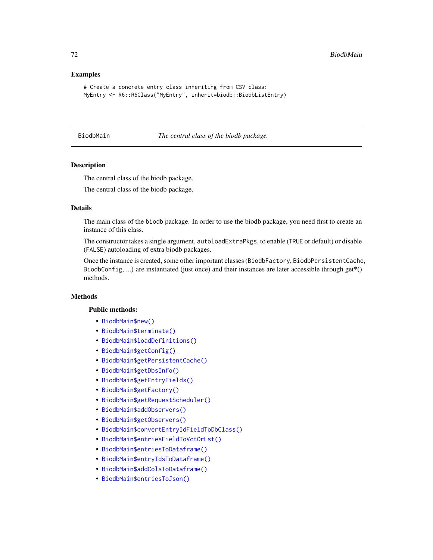### Examples

```
# Create a concrete entry class inheriting from CSV class:
MyEntry <- R6::R6Class("MyEntry", inherit=biodb::BiodbListEntry)
```
<span id="page-71-0"></span>BiodbMain *The central class of the biodb package.*

#### Description

The central class of the biodb package.

The central class of the biodb package.

#### Details

The main class of the biodb package. In order to use the biodb package, you need first to create an instance of this class.

The constructor takes a single argument, autoloadExtraPkgs, to enable (TRUE or default) or disable (FALSE) autoloading of extra biodb packages.

Once the instance is created, some other important classes (BiodbFactory, BiodbPersistentCache, BiodbConfig, ...) are instantiated (just once) and their instances are later accessible through  $get^*()$ methods.

# Methods

#### Public methods:

- [BiodbMain\\$new\(\)](#page-6-0)
- [BiodbMain\\$terminate\(\)](#page-10-1)
- [BiodbMain\\$loadDefinitions\(\)](#page-72-0)
- [BiodbMain\\$getConfig\(\)](#page-72-1)
- [BiodbMain\\$getPersistentCache\(\)](#page-72-2)
- [BiodbMain\\$getDbsInfo\(\)](#page-73-0)
- [BiodbMain\\$getEntryFields\(\)](#page-73-1)
- [BiodbMain\\$getFactory\(\)](#page-73-2)
- [BiodbMain\\$getRequestScheduler\(\)](#page-73-3)
- [BiodbMain\\$addObservers\(\)](#page-73-4)
- [BiodbMain\\$getObservers\(\)](#page-73-5)
- [BiodbMain\\$convertEntryIdFieldToDbClass\(\)](#page-73-6)
- [BiodbMain\\$entriesFieldToVctOrLst\(\)](#page-74-0)
- [BiodbMain\\$entriesToDataframe\(\)](#page-74-1)
- [BiodbMain\\$entryIdsToDataframe\(\)](#page-75-0)
- [BiodbMain\\$addColsToDataframe\(\)](#page-75-1)
- [BiodbMain\\$entriesToJson\(\)](#page-76-0)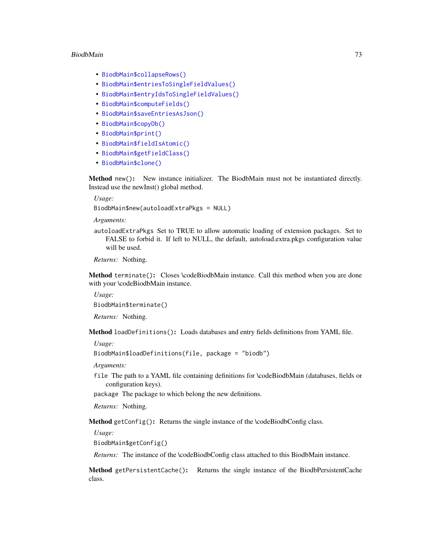#### BiodbMain 73

- [BiodbMain\\$collapseRows\(\)](#page-76-0)
- [BiodbMain\\$entriesToSingleFieldValues\(\)](#page-76-1)
- [BiodbMain\\$entryIdsToSingleFieldValues\(\)](#page-77-0)
- [BiodbMain\\$computeFields\(\)](#page-49-0)
- [BiodbMain\\$saveEntriesAsJson\(\)](#page-77-1)
- [BiodbMain\\$copyDb\(\)](#page-77-2)
- [BiodbMain\\$print\(\)](#page-9-0)
- [BiodbMain\\$fieldIsAtomic\(\)](#page-78-0)
- [BiodbMain\\$getFieldClass\(\)](#page-50-0)
- [BiodbMain\\$clone\(\)](#page-6-0)

Method new(): New instance initializer. The BiodbMain must not be instantiated directly. Instead use the newInst() global method.

*Usage:*

BiodbMain\$new(autoloadExtraPkgs = NULL)

*Arguments:*

autoloadExtraPkgs Set to TRUE to allow automatic loading of extension packages. Set to FALSE to forbid it. If left to NULL, the default, autoload.extra.pkgs configuration value will be used.

*Returns:* Nothing.

Method terminate(): Closes \codeBiodbMain instance. Call this method when you are done with your \codeBiodbMain instance.

*Usage:*

BiodbMain\$terminate()

*Returns:* Nothing.

Method loadDefinitions(): Loads databases and entry fields definitions from YAML file.

*Usage:*

```
BiodbMain$loadDefinitions(file, package = "biodb")
```
*Arguments:*

file The path to a YAML file containing definitions for \codeBiodbMain (databases, fields or configuration keys).

package The package to which belong the new definitions.

*Returns:* Nothing.

Method getConfig(): Returns the single instance of the \codeBiodbConfig class.

*Usage:*

BiodbMain\$getConfig()

*Returns:* The instance of the \codeBiodbConfig class attached to this BiodbMain instance.

Method getPersistentCache(): Returns the single instance of the BiodbPersistentCache class.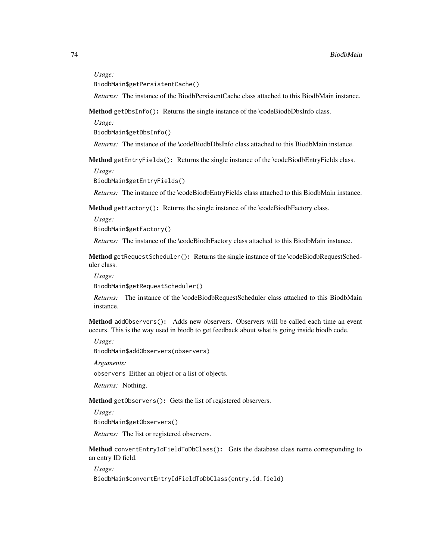#### *Usage:*

BiodbMain\$getPersistentCache()

*Returns:* The instance of the BiodbPersistentCache class attached to this BiodbMain instance.

Method getDbsInfo(): Returns the single instance of the \codeBiodbDbsInfo class.

*Usage:*

BiodbMain\$getDbsInfo()

*Returns:* The instance of the \codeBiodbDbsInfo class attached to this BiodbMain instance.

Method getEntryFields(): Returns the single instance of the \codeBiodbEntryFields class.

*Usage:*

BiodbMain\$getEntryFields()

*Returns:* The instance of the \codeBiodbEntryFields class attached to this BiodbMain instance.

Method getFactory(): Returns the single instance of the \codeBiodbFactory class.

*Usage:*

BiodbMain\$getFactory()

*Returns:* The instance of the \codeBiodbFactory class attached to this BiodbMain instance.

Method getRequestScheduler(): Returns the single instance of the \codeBiodbRequestScheduler class.

*Usage:*

BiodbMain\$getRequestScheduler()

*Returns:* The instance of the \codeBiodbRequestScheduler class attached to this BiodbMain instance.

Method addObservers(): Adds new observers. Observers will be called each time an event occurs. This is the way used in biodb to get feedback about what is going inside biodb code.

*Usage:*

BiodbMain\$addObservers(observers)

*Arguments:*

observers Either an object or a list of objects.

*Returns:* Nothing.

Method getObservers(): Gets the list of registered observers.

*Usage:*

BiodbMain\$getObservers()

*Returns:* The list or registered observers.

Method convertEntryIdFieldToDbClass(): Gets the database class name corresponding to an entry ID field.

*Usage:*

BiodbMain\$convertEntryIdFieldToDbClass(entry.id.field)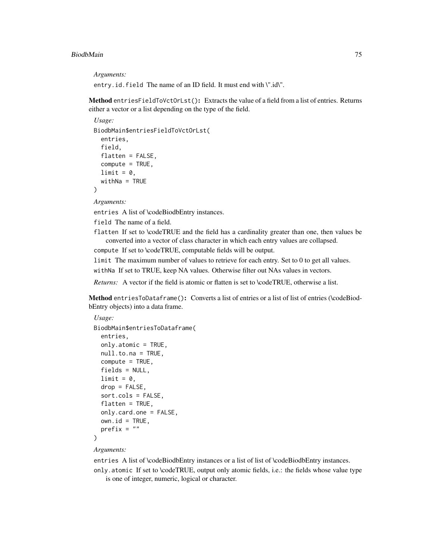#### BiodbMain 75

*Arguments:*

entry.id.field The name of an ID field. It must end with \".id\".

Method entriesFieldToVctOrLst(): Extracts the value of a field from a list of entries. Returns either a vector or a list depending on the type of the field.

```
Usage:
BiodbMain$entriesFieldToVctOrLst(
  entries,
  field,
  flatten = FALSE,
  compute = TRUE,
 limit = 0,
 widthNa = TRUE)
```
*Arguments:*

entries A list of \codeBiodbEntry instances.

field The name of a field.

flatten If set to \codeTRUE and the field has a cardinality greater than one, then values be converted into a vector of class character in which each entry values are collapsed.

compute If set to \codeTRUE, computable fields will be output.

limit The maximum number of values to retrieve for each entry. Set to 0 to get all values.

withNa If set to TRUE, keep NA values. Otherwise filter out NAs values in vectors.

*Returns:* A vector if the field is atomic or flatten is set to \codeTRUE, otherwise a list.

Method entriesToDataframe(): Converts a list of entries or a list of list of entries (\codeBiodbEntry objects) into a data frame.

```
Usage:
BiodbMain$entriesToDataframe(
  entries,
 only.atomic = TRUE,
  null.to.na = TRUE,
  compute = TRUE,
  fields = NULL,
  limit = 0,
  drop = FALSE,sort.cols = FALSE,
  flatten = TRUE,
 only.card.one = FALSE,
 own.id = TRUE,prefix = ""
)
```
#### *Arguments:*

entries A list of \codeBiodbEntry instances or a list of list of \codeBiodbEntry instances.

only.atomic If set to \codeTRUE, output only atomic fields, i.e.: the fields whose value type is one of integer, numeric, logical or character.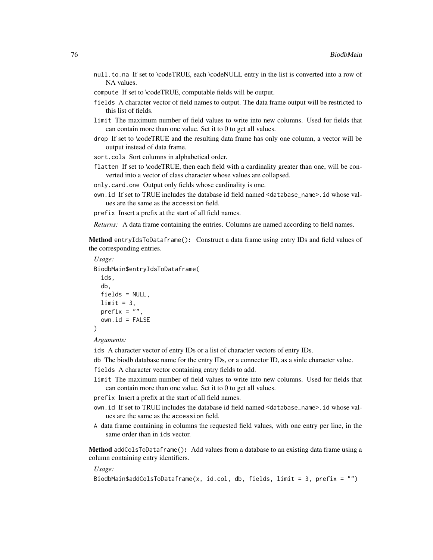- null.to.na If set to \codeTRUE, each \codeNULL entry in the list is converted into a row of NA values.
- compute If set to \codeTRUE, computable fields will be output.
- fields A character vector of field names to output. The data frame output will be restricted to this list of fields.
- limit The maximum number of field values to write into new columns. Used for fields that can contain more than one value. Set it to 0 to get all values.
- drop If set to \codeTRUE and the resulting data frame has only one column, a vector will be output instead of data frame.
- sort.cols Sort columns in alphabetical order.
- flatten If set to \codeTRUE, then each field with a cardinality greater than one, will be converted into a vector of class character whose values are collapsed.
- only.card.one Output only fields whose cardinality is one.
- own.id If set to TRUE includes the database id field named <database\_name>.id whose values are the same as the accession field.
- prefix Insert a prefix at the start of all field names.

*Returns:* A data frame containing the entries. Columns are named according to field names.

Method entryIdsToDataframe(): Construct a data frame using entry IDs and field values of the corresponding entries.

```
Usage:
BiodbMain$entryIdsToDataframe(
  ids,
  db,
  fields = NULL,
  limit = 3.
 prefix = ",
  own.id = FALSE)
```

```
Arguments:
```
ids A character vector of entry IDs or a list of character vectors of entry IDs.

db The biodb database name for the entry IDs, or a connector ID, as a sinle character value.

- fields A character vector containing entry fields to add.
- limit The maximum number of field values to write into new columns. Used for fields that can contain more than one value. Set it to 0 to get all values.
- prefix Insert a prefix at the start of all field names.
- own.id If set to TRUE includes the database id field named <database\_name>.id whose values are the same as the accession field.
- A data frame containing in columns the requested field values, with one entry per line, in the same order than in ids vector.

Method addColsToDataframe(): Add values from a database to an existing data frame using a column containing entry identifiers.

*Usage:*

```
BiodbMain$addColsToDataframe(x, id.col, db, fields, limit = 3, prefix = "")
```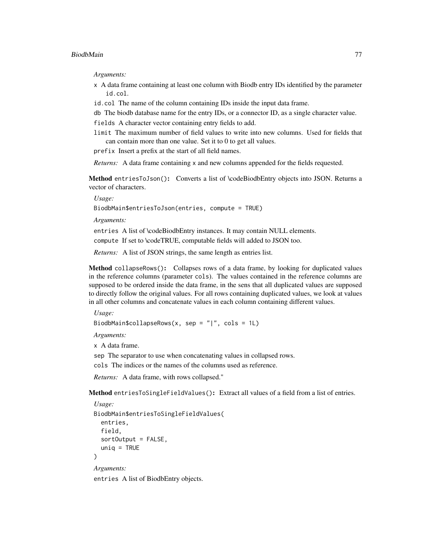*Arguments:*

- x A data frame containing at least one column with Biodb entry IDs identified by the parameter id.col.
- id.col The name of the column containing IDs inside the input data frame.
- db The biodb database name for the entry IDs, or a connector ID, as a single character value.
- fields A character vector containing entry fields to add.
- limit The maximum number of field values to write into new columns. Used for fields that can contain more than one value. Set it to 0 to get all values.

prefix Insert a prefix at the start of all field names.

*Returns:* A data frame containing x and new columns appended for the fields requested.

Method entriesToJson(): Converts a list of \codeBiodbEntry objects into JSON. Returns a vector of characters.

*Usage:*

BiodbMain\$entriesToJson(entries, compute = TRUE)

*Arguments:*

entries A list of \codeBiodbEntry instances. It may contain NULL elements.

compute If set to \codeTRUE, computable fields will added to JSON too.

*Returns:* A list of JSON strings, the same length as entries list.

<span id="page-76-0"></span>Method collapseRows(): Collapses rows of a data frame, by looking for duplicated values in the reference columns (parameter cols). The values contained in the reference columns are supposed to be ordered inside the data frame, in the sens that all duplicated values are supposed to directly follow the original values. For all rows containing duplicated values, we look at values in all other columns and concatenate values in each column containing different values.

*Usage:*

BiodbMain\$collapseRows(x, sep = "|", cols = 1L)

*Arguments:*

x A data frame.

sep The separator to use when concatenating values in collapsed rows.

cols The indices or the names of the columns used as reference.

*Returns:* A data frame, with rows collapsed."

<span id="page-76-1"></span>Method entriesToSingleFieldValues(): Extract all values of a field from a list of entries.

```
Usage:
```

```
BiodbMain$entriesToSingleFieldValues(
  entries,
  field,
  sortOutput = FALSE,
  uniq = TRUE)
Arguments:
```
entries A list of BiodbEntry objects.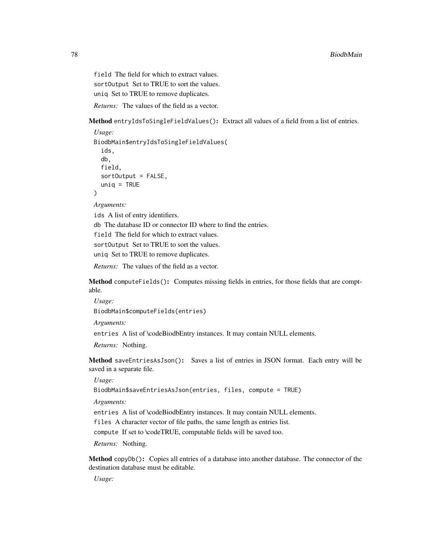field The field for which to extract values. sort Output Set to TRUE to sort the values. uniq Set to TRUE to remove duplicates.

*Returns:* The values of the field as a vector.

<span id="page-77-0"></span>Method entryIdsToSingleFieldValues(): Extract all values of a field from a list of entries.

```
Usage:
BiodbMain$entryIdsToSingleFieldValues(
  ids,
  db,
  field,
  sortOutput = FALSE,
  uniq = TRUE)
Arguments:
```
ids A list of entry identifiers.

db The database ID or connector ID where to find the entries.

field The field for which to extract values.

sortOutput Set to TRUE to sort the values.

uniq Set to TRUE to remove duplicates.

*Returns:* The values of the field as a vector.

Method computeFields(): Computes missing fields in entries, for those fields that are comptable.

*Usage:*

BiodbMain\$computeFields(entries)

*Arguments:*

entries A list of \codeBiodbEntry instances. It may contain NULL elements.

*Returns:* Nothing.

<span id="page-77-1"></span>Method saveEntriesAsJson(): Saves a list of entries in JSON format. Each entry will be saved in a separate file.

*Usage:*

BiodbMain\$saveEntriesAsJson(entries, files, compute = TRUE)

*Arguments:*

entries A list of \codeBiodbEntry instances. It may contain NULL elements.

files A character vector of file paths, the same length as entries list.

compute If set to \codeTRUE, computable fields will be saved too.

*Returns:* Nothing.

<span id="page-77-2"></span>Method copyDb(): Copies all entries of a database into another database. The connector of the destination database must be editable.

*Usage:*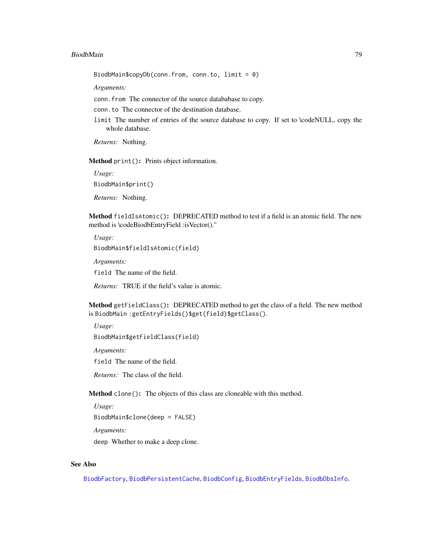#### BiodbMain 79

BiodbMain\$copyDb(conn.from, conn.to, limit = 0)

*Arguments:*

conn.from The connector of the source datababase to copy.

conn.to The connector of the destination database.

limit The number of entries of the source database to copy. If set to \codeNULL, copy the whole database.

*Returns:* Nothing.

Method print(): Prints object information.

*Usage:* BiodbMain\$print()

*Returns:* Nothing.

<span id="page-78-0"></span>Method fieldIsAtomic(): DEPRECATED method to test if a field is an atomic field. The new method is \codeBiodbEntryField :isVector()."

*Usage:* BiodbMain\$fieldIsAtomic(field)

*Arguments:*

field The name of the field.

*Returns:* TRUE if the field's value is atomic.

Method getFieldClass(): DEPRECATED method to get the class of a field. The new method is BiodbMain :getEntryFields()\$get(field)\$getClass().

*Usage:* BiodbMain\$getFieldClass(field)

*Arguments:*

field The name of the field.

*Returns:* The class of the field.

Method clone(): The objects of this class are cloneable with this method.

*Usage:* BiodbMain\$clone(deep = FALSE) *Arguments:*

deep Whether to make a deep clone.

#### See Also

[BiodbFactory](#page-63-0), [BiodbPersistentCache](#page-79-0), [BiodbConfig](#page-6-1), [BiodbEntryFields](#page-60-0), [BiodbDbsInfo](#page-41-0).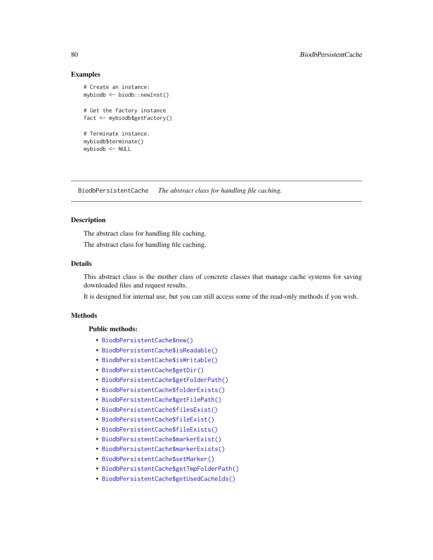### Examples

```
# Create an instance:
mybiodb <- biodb::newInst()
# Get the factory instance
fact <- mybiodb$getFactory()
# Terminate instance.
mybiodb$terminate()
mybiodb <- NULL
```
<span id="page-79-0"></span>BiodbPersistentCache *The abstract class for handling file caching.*

### Description

The abstract class for handling file caching.

The abstract class for handling file caching.

### Details

This abstract class is the mother class of concrete classes that manage cache systems for saving downloaded files and request results.

It is designed for internal use, but you can still access some of the read-only methods if you wish.

### Methods

### Public methods:

- [BiodbPersistentCache\\$new\(\)](#page-6-2)
- [BiodbPersistentCache\\$isReadable\(\)](#page-80-0)
- [BiodbPersistentCache\\$isWritable\(\)](#page-17-0)
- [BiodbPersistentCache\\$getDir\(\)](#page-80-1)
- [BiodbPersistentCache\\$getFolderPath\(\)](#page-81-0)
- [BiodbPersistentCache\\$folderExists\(\)](#page-81-1)
- [BiodbPersistentCache\\$getFilePath\(\)](#page-81-2)
- [BiodbPersistentCache\\$filesExist\(\)](#page-81-3)
- [BiodbPersistentCache\\$fileExist\(\)](#page-81-4)
- [BiodbPersistentCache\\$fileExists\(\)](#page-82-0)
- [BiodbPersistentCache\\$markerExist\(\)](#page-82-1)
- [BiodbPersistentCache\\$markerExists\(\)](#page-82-2)
- [BiodbPersistentCache\\$setMarker\(\)](#page-82-3)
- [BiodbPersistentCache\\$getTmpFolderPath\(\)](#page-82-4)
- [BiodbPersistentCache\\$getUsedCacheIds\(\)](#page-83-0)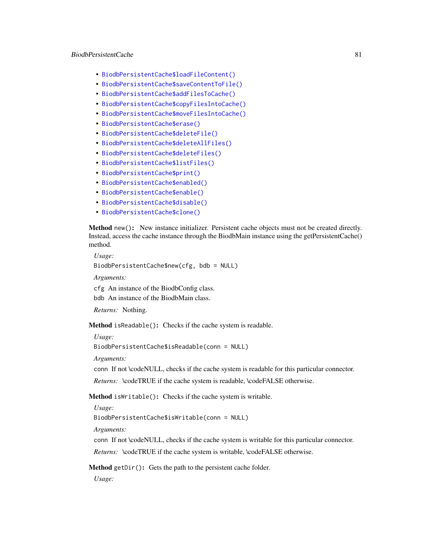### BiodbPersistentCache 81

- [BiodbPersistentCache\\$loadFileContent\(\)](#page-83-1)
- [BiodbPersistentCache\\$saveContentToFile\(\)](#page-83-2)
- [BiodbPersistentCache\\$addFilesToCache\(\)](#page-83-3)
- [BiodbPersistentCache\\$copyFilesIntoCache\(\)](#page-84-0)
- [BiodbPersistentCache\\$moveFilesIntoCache\(\)](#page-84-1)
- [BiodbPersistentCache\\$erase\(\)](#page-84-2)
- [BiodbPersistentCache\\$deleteFile\(\)](#page-84-3)
- [BiodbPersistentCache\\$deleteAllFiles\(\)](#page-85-0)
- [BiodbPersistentCache\\$deleteFiles\(\)](#page-85-1)
- [BiodbPersistentCache\\$listFiles\(\)](#page-85-2)
- [BiodbPersistentCache\\$print\(\)](#page-9-0)
- [BiodbPersistentCache\\$enabled\(\)](#page-86-0)
- [BiodbPersistentCache\\$enable\(\)](#page-9-1)
- [BiodbPersistentCache\\$disable\(\)](#page-9-2)
- [BiodbPersistentCache\\$clone\(\)](#page-6-0)

Method new(): New instance initializer. Persistent cache objects must not be created directly. Instead, access the cache instance through the BiodbMain instance using the getPersistentCache() method.

*Usage:* BiodbPersistentCache\$new(cfg, bdb = NULL)

*Arguments:*

cfg An instance of the BiodbConfig class.

bdb An instance of the BiodbMain class.

*Returns:* Nothing.

<span id="page-80-0"></span>Method isReadable(): Checks if the cache system is readable.

*Usage:*

BiodbPersistentCache\$isReadable(conn = NULL)

*Arguments:*

conn If not \codeNULL, checks if the cache system is readable for this particular connector.

*Returns:* \codeTRUE if the cache system is readable, \codeFALSE otherwise.

Method isWritable(): Checks if the cache system is writable.

*Usage:*

BiodbPersistentCache\$isWritable(conn = NULL)

*Arguments:*

conn If not \codeNULL, checks if the cache system is writable for this particular connector.

*Returns:* \codeTRUE if the cache system is writable, \codeFALSE otherwise.

<span id="page-80-1"></span>Method getDir(): Gets the path to the persistent cache folder.

*Usage:*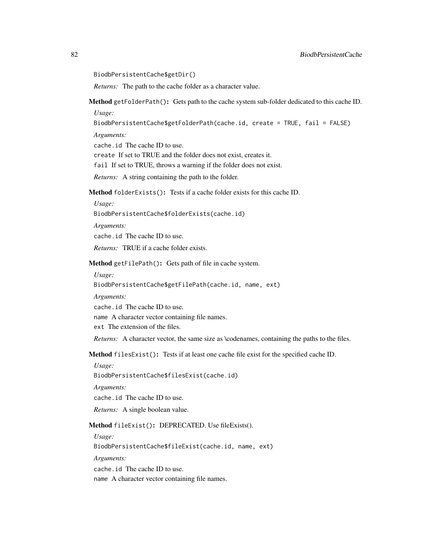BiodbPersistentCache\$getDir()

*Returns:* The path to the cache folder as a character value.

<span id="page-81-0"></span>Method getFolderPath(): Gets path to the cache system sub-folder dedicated to this cache ID. *Usage:*

BiodbPersistentCache\$getFolderPath(cache.id, create = TRUE, fail = FALSE)

*Arguments:*

cache.id The cache ID to use.

create If set to TRUE and the folder does not exist, creates it.

fail If set to TRUE, throws a warning if the folder does not exist.

*Returns:* A string containing the path to the folder.

<span id="page-81-1"></span>Method folderExists(): Tests if a cache folder exists for this cache ID.

*Usage:*

BiodbPersistentCache\$folderExists(cache.id)

*Arguments:*

cache.id The cache ID to use.

*Returns:* TRUE if a cache folder exists.

<span id="page-81-2"></span>Method getFilePath(): Gets path of file in cache system.

*Usage:*

BiodbPersistentCache\$getFilePath(cache.id, name, ext)

*Arguments:*

cache.id The cache ID to use.

name A character vector containing file names.

ext The extension of the files.

*Returns:* A character vector, the same size as \codenames, containing the paths to the files.

<span id="page-81-3"></span>Method filesExist(): Tests if at least one cache file exist for the specified cache ID.

*Usage:* BiodbPersistentCache\$filesExist(cache.id)

*Arguments:*

cache.id The cache ID to use.

*Returns:* A single boolean value.

<span id="page-81-4"></span>Method fileExist(): DEPRECATED. Use fileExists().

*Usage:* BiodbPersistentCache\$fileExist(cache.id, name, ext) *Arguments:* cache.id The cache ID to use. name A character vector containing file names.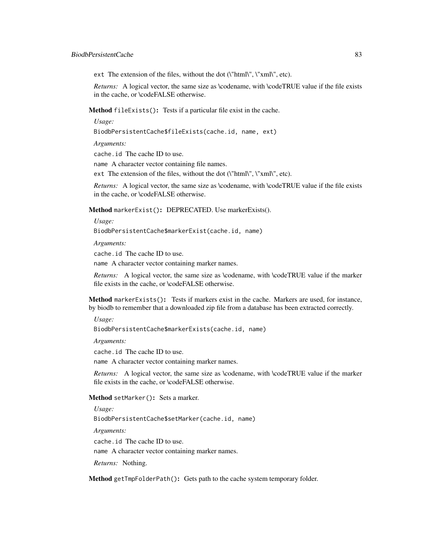ext The extension of the files, without the dot (\"html\", \"xml\", etc).

*Returns:* A logical vector, the same size as \codename, with \codeTRUE value if the file exists in the cache, or \codeFALSE otherwise.

<span id="page-82-0"></span>Method fileExists(): Tests if a particular file exist in the cache.

*Usage:*

BiodbPersistentCache\$fileExists(cache.id, name, ext)

*Arguments:*

cache.id The cache ID to use.

name A character vector containing file names.

ext The extension of the files, without the dot  $(\mathcal{N}^{\text{th}}_1, \mathcal{N}^{\text{th}}_2, \mathcal{N}^{\text{th}}_3, \mathcal{N}^{\text{th}}_4)$ .

*Returns:* A logical vector, the same size as \codename, with \codeTRUE value if the file exists in the cache, or \codeFALSE otherwise.

<span id="page-82-1"></span>Method markerExist(): DEPRECATED. Use markerExists().

*Usage:*

BiodbPersistentCache\$markerExist(cache.id, name)

*Arguments:*

cache.id The cache ID to use.

name A character vector containing marker names.

*Returns:* A logical vector, the same size as \codename, with \codeTRUE value if the marker file exists in the cache, or \codeFALSE otherwise.

<span id="page-82-2"></span>Method markerExists(): Tests if markers exist in the cache. Markers are used, for instance, by biodb to remember that a downloaded zip file from a database has been extracted correctly.

*Usage:*

BiodbPersistentCache\$markerExists(cache.id, name)

*Arguments:*

cache.id The cache ID to use.

name A character vector containing marker names.

*Returns:* A logical vector, the same size as \codename, with \codeTRUE value if the marker file exists in the cache, or \codeFALSE otherwise.

<span id="page-82-3"></span>Method setMarker(): Sets a marker.

*Usage:*

BiodbPersistentCache\$setMarker(cache.id, name)

*Arguments:*

cache.id The cache ID to use.

name A character vector containing marker names.

*Returns:* Nothing.

<span id="page-82-4"></span>Method getTmpFolderPath(): Gets path to the cache system temporary folder.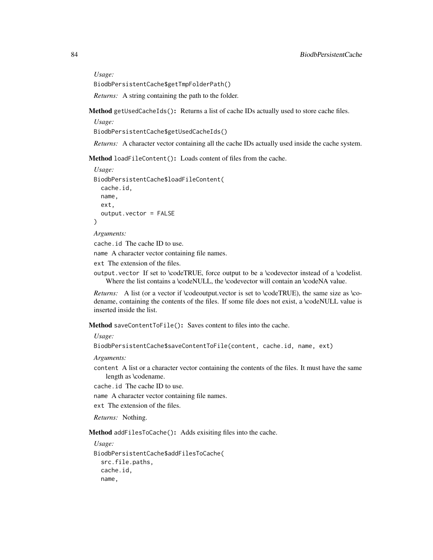*Usage:*

BiodbPersistentCache\$getTmpFolderPath()

*Returns:* A string containing the path to the folder.

<span id="page-83-0"></span>Method getUsedCacheIds(): Returns a list of cache IDs actually used to store cache files.

*Usage:*

BiodbPersistentCache\$getUsedCacheIds()

*Returns:* A character vector containing all the cache IDs actually used inside the cache system.

<span id="page-83-1"></span>Method loadFileContent(): Loads content of files from the cache.

```
Usage:
BiodbPersistentCache$loadFileContent(
 cache.id,
 name,
  ext,
  output.vector = FALSE
)
```
*Arguments:*

cache.id The cache ID to use.

name A character vector containing file names.

ext The extension of the files.

output.vector If set to \codeTRUE, force output to be a \codevector instead of a \codelist. Where the list contains a \codeNULL, the \codevector will contain an \codeNA value.

*Returns:* A list (or a vector if \codeoutput.vector is set to \codeTRUE), the same size as \codename, containing the contents of the files. If some file does not exist, a \codeNULL value is inserted inside the list.

<span id="page-83-2"></span>Method saveContentToFile(): Saves content to files into the cache.

*Usage:*

BiodbPersistentCache\$saveContentToFile(content, cache.id, name, ext)

*Arguments:*

content A list or a character vector containing the contents of the files. It must have the same length as \codename.

cache.id The cache ID to use.

name A character vector containing file names.

ext The extension of the files.

*Returns:* Nothing.

<span id="page-83-3"></span>Method addFilesToCache(): Adds exisiting files into the cache.

*Usage:*

```
BiodbPersistentCache$addFilesToCache(
  src.file.paths,
  cache.id,
  name,
```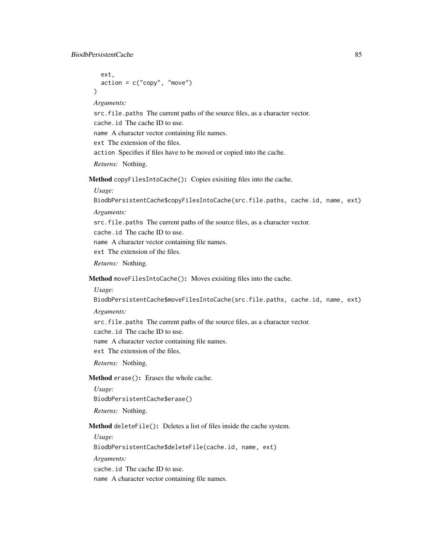```
ext,
  action = c("copy", "move")\lambda
```
*Arguments:*

src.file.paths The current paths of the source files, as a character vector. cache.id The cache ID to use. name A character vector containing file names. ext The extension of the files.

action Specifies if files have to be moved or copied into the cache.

*Returns:* Nothing.

<span id="page-84-0"></span>Method copyFilesIntoCache(): Copies exisiting files into the cache.

*Usage:*

BiodbPersistentCache\$copyFilesIntoCache(src.file.paths, cache.id, name, ext)

*Arguments:*

src.file.paths The current paths of the source files, as a character vector.

cache.id The cache ID to use.

name A character vector containing file names.

ext The extension of the files.

*Returns:* Nothing.

<span id="page-84-1"></span>Method moveFilesIntoCache(): Moves exisiting files into the cache.

*Usage:*

BiodbPersistentCache\$moveFilesIntoCache(src.file.paths, cache.id, name, ext)

*Arguments:*

src.file.paths The current paths of the source files, as a character vector.

cache.id The cache ID to use.

name A character vector containing file names.

ext The extension of the files.

*Returns:* Nothing.

<span id="page-84-2"></span>Method erase(): Erases the whole cache.

*Usage:* BiodbPersistentCache\$erase() *Returns:* Nothing.

<span id="page-84-3"></span>Method deleteFile(): Deletes a list of files inside the cache system.

*Usage:*

BiodbPersistentCache\$deleteFile(cache.id, name, ext)

*Arguments:*

cache.id The cache ID to use.

name A character vector containing file names.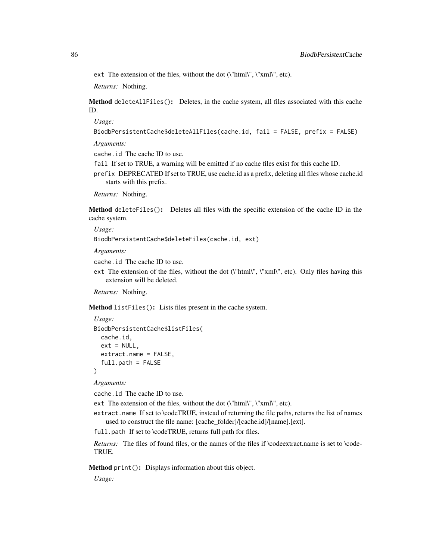ext The extension of the files, without the dot (\"html\", \"xml\", etc).

*Returns:* Nothing.

<span id="page-85-0"></span>Method deleteAllFiles(): Deletes, in the cache system, all files associated with this cache ID.

*Usage:*

BiodbPersistentCache\$deleteAllFiles(cache.id, fail = FALSE, prefix = FALSE)

*Arguments:*

cache.id The cache ID to use.

- fail If set to TRUE, a warning will be emitted if no cache files exist for this cache ID.
- prefix DEPRECATED If set to TRUE, use cache.id as a prefix, deleting all files whose cache.id starts with this prefix.

*Returns:* Nothing.

<span id="page-85-1"></span>Method deleteFiles(): Deletes all files with the specific extension of the cache ID in the cache system.

*Usage:*

BiodbPersistentCache\$deleteFiles(cache.id, ext)

*Arguments:*

cache.id The cache ID to use.

ext The extension of the files, without the dot ( $\lceil \frac{\text{html}}{\text{html}} \rceil$ ,  $\lceil \frac{\text{cm}}{\text{html}} \rceil$ , etc). Only files having this extension will be deleted.

*Returns:* Nothing.

<span id="page-85-2"></span>Method listFiles(): Lists files present in the cache system.

```
Usage:
BiodbPersistentCache$listFiles(
 cache.id,
 ext = NULL,extract.name = FALSE,
  full.path = FALSE)
```
*Arguments:*

cache.id The cache ID to use.

ext The extension of the files, without the dot (\"html\", \"xml\", etc).

extract.name If set to \codeTRUE, instead of returning the file paths, returns the list of names used to construct the file name: [cache\_folder]/[cache.id]/[name].[ext].

full.path If set to \codeTRUE, returns full path for files.

*Returns:* The files of found files, or the names of the files if \codeextract.name is set to \code-TRUE.

Method print(): Displays information about this object.

*Usage:*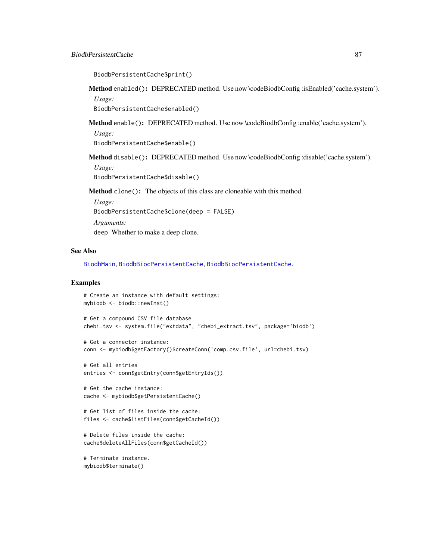```
BiodbPersistentCache$print()
```
<span id="page-86-0"></span>Method enabled(): DEPRECATED method. Use now \codeBiodbConfig :isEnabled('cache.system'). *Usage:*

BiodbPersistentCache\$enabled()

Method enable(): DEPRECATED method. Use now \codeBiodbConfig :enable('cache.system').

*Usage:*

BiodbPersistentCache\$enable()

Method disable(): DEPRECATED method. Use now \codeBiodbConfig :disable('cache.system').

*Usage:* BiodbPersistentCache\$disable()

Method clone(): The objects of this class are cloneable with this method.

*Usage:* BiodbPersistentCache\$clone(deep = FALSE) *Arguments:* deep Whether to make a deep clone.

### See Also

[BiodbMain](#page-71-0), [BiodbBiocPersistentCache](#page-5-0), [BiodbBiocPersistentCache](#page-5-0).

### Examples

```
# Create an instance with default settings:
mybiodb <- biodb::newInst()
# Get a compound CSV file database
chebi.tsv <- system.file("extdata", "chebi_extract.tsv", package='biodb')
# Get a connector instance:
conn <- mybiodb$getFactory()$createConn('comp.csv.file', url=chebi.tsv)
# Get all entries
entries <- conn$getEntry(conn$getEntryIds())
# Get the cache instance:
cache <- mybiodb$getPersistentCache()
# Get list of files inside the cache:
files <- cache$listFiles(conn$getCacheId())
# Delete files inside the cache:
cache$deleteAllFiles(conn$getCacheId())
# Terminate instance.
mybiodb$terminate()
```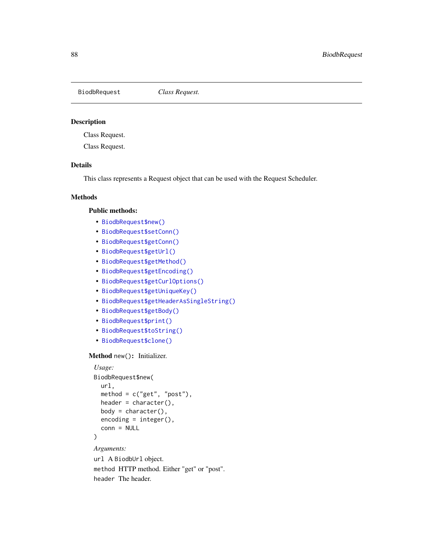<span id="page-87-0"></span>BiodbRequest *Class Request.*

#### Description

Class Request.

Class Request.

## Details

This class represents a Request object that can be used with the Request Scheduler.

## Methods

### Public methods:

- [BiodbRequest\\$new\(\)](#page-6-2)
- [BiodbRequest\\$setConn\(\)](#page-88-0)
- [BiodbRequest\\$getConn\(\)](#page-66-0)
- [BiodbRequest\\$getUrl\(\)](#page-37-0)
- [BiodbRequest\\$getMethod\(\)](#page-88-1)
- [BiodbRequest\\$getEncoding\(\)](#page-88-2)
- [BiodbRequest\\$getCurlOptions\(\)](#page-88-3)
- [BiodbRequest\\$getUniqueKey\(\)](#page-88-4)
- [BiodbRequest\\$getHeaderAsSingleString\(\)](#page-89-0)
- [BiodbRequest\\$getBody\(\)](#page-89-1)
- [BiodbRequest\\$print\(\)](#page-9-0)
- [BiodbRequest\\$toString\(\)](#page-89-2)
- [BiodbRequest\\$clone\(\)](#page-6-0)

#### Method new(): Initializer.

```
Usage:
BiodbRequest$new(
 url,
 method = c("get", "post"),header = character(),
 body = character(),
 encoding = integer(),
  conn = NULL
)
```
*Arguments:*

url A BiodbUrl object. method HTTP method. Either "get" or "post". header The header.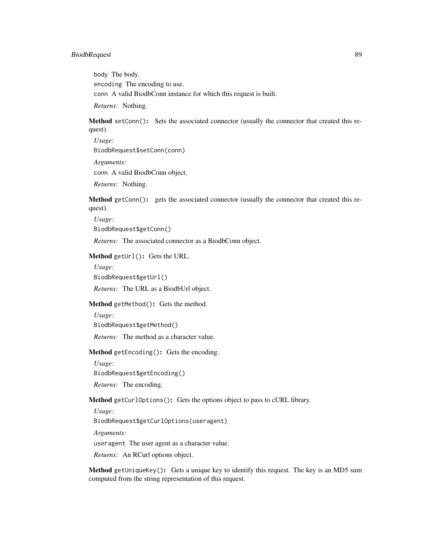### BiodbRequest 89

body The body. encoding The encoding to use. conn A valid BiodbConn instance for which this request is built.

*Returns:* Nothing.

<span id="page-88-0"></span>Method setConn(): Sets the associated connector (usually the connector that created this request).

*Usage:* BiodbRequest\$setConn(conn) *Arguments:* conn A valid BiodbConn object.

*Returns:* Nothing.

Method getConn(): gets the associated connector (usually the connector that created this request).

*Usage:* BiodbRequest\$getConn()

*Returns:* The associated connector as a BiodbConn object.

Method getUrl(): Gets the URL.

*Usage:* BiodbRequest\$getUrl()

*Returns:* The URL as a BiodbUrl object.

<span id="page-88-1"></span>Method getMethod(): Gets the method.

*Usage:* BiodbRequest\$getMethod()

*Returns:* The method as a character value.

<span id="page-88-2"></span>Method getEncoding(): Gets the encoding.

*Usage:* BiodbRequest\$getEncoding()

*Returns:* The encoding.

<span id="page-88-3"></span>Method getCurlOptions(): Gets the options object to pass to cURL library.

*Usage:*

BiodbRequest\$getCurlOptions(useragent)

*Arguments:*

useragent The user agent as a character value.

*Returns:* An RCurl options object.

<span id="page-88-4"></span>Method getUniqueKey(): Gets a unique key to identify this request. The key is an MD5 sum computed from the string representation of this request.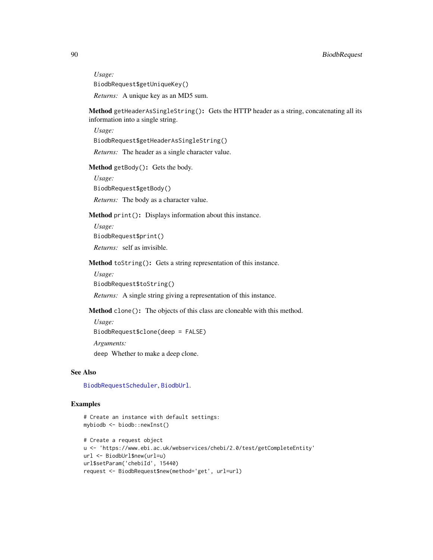*Usage:* BiodbRequest\$getUniqueKey()

*Returns:* A unique key as an MD5 sum.

<span id="page-89-0"></span>Method getHeaderAsSingleString(): Gets the HTTP header as a string, concatenating all its information into a single string.

*Usage:*

BiodbRequest\$getHeaderAsSingleString()

*Returns:* The header as a single character value.

<span id="page-89-1"></span>Method getBody(): Gets the body.

*Usage:*

BiodbRequest\$getBody()

*Returns:* The body as a character value.

Method print(): Displays information about this instance.

*Usage:*

BiodbRequest\$print()

*Returns:* self as invisible.

<span id="page-89-2"></span>Method toString(): Gets a string representation of this instance.

*Usage:*

BiodbRequest\$toString()

*Returns:* A single string giving a representation of this instance.

Method clone(): The objects of this class are cloneable with this method.

*Usage:*

BiodbRequest\$clone(deep = FALSE)

*Arguments:*

deep Whether to make a deep clone.

### See Also

[BiodbRequestScheduler](#page-90-0), [BiodbUrl](#page-109-0).

#### Examples

```
# Create an instance with default settings:
mybiodb <- biodb::newInst()
```

```
# Create a request object
u <- 'https://www.ebi.ac.uk/webservices/chebi/2.0/test/getCompleteEntity'
url <- BiodbUrl$new(url=u)
url$setParam('chebiId', 15440)
request <- BiodbRequest$new(method='get', url=url)
```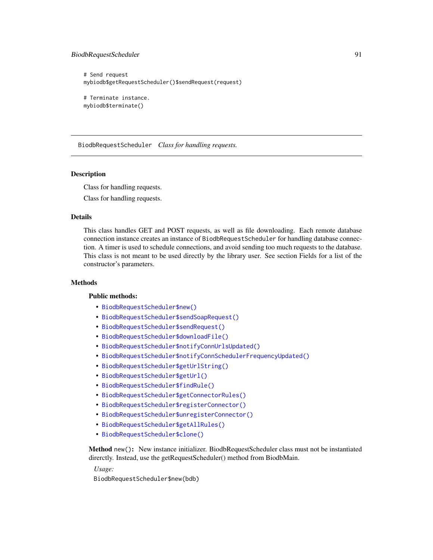### BiodbRequestScheduler 91

mybiodb\$terminate()

```
# Send request
mybiodb$getRequestScheduler()$sendRequest(request)
# Terminate instance.
```
<span id="page-90-0"></span>BiodbRequestScheduler *Class for handling requests.*

### **Description**

Class for handling requests.

Class for handling requests.

### Details

This class handles GET and POST requests, as well as file downloading. Each remote database connection instance creates an instance of BiodbRequestScheduler for handling database connection. A timer is used to schedule connections, and avoid sending too much requests to the database. This class is not meant to be used directly by the library user. See section Fields for a list of the constructor's parameters.

#### Methods

#### Public methods:

- [BiodbRequestScheduler\\$new\(\)](#page-6-2)
- [BiodbRequestScheduler\\$sendSoapRequest\(\)](#page-91-0)
- [BiodbRequestScheduler\\$sendRequest\(\)](#page-91-1)
- [BiodbRequestScheduler\\$downloadFile\(\)](#page-91-2)
- [BiodbRequestScheduler\\$notifyConnUrlsUpdated\(\)](#page-91-3)
- [BiodbRequestScheduler\\$notifyConnSchedulerFrequencyUpdated\(\)](#page-92-0)
- [BiodbRequestScheduler\\$getUrlString\(\)](#page-92-1)
- [BiodbRequestScheduler\\$getUrl\(\)](#page-37-0)
- [BiodbRequestScheduler\\$findRule\(\)](#page-92-2)
- [BiodbRequestScheduler\\$getConnectorRules\(\)](#page-93-0)
- [BiodbRequestScheduler\\$registerConnector\(\)](#page-93-1)
- [BiodbRequestScheduler\\$unregisterConnector\(\)](#page-93-2)
- [BiodbRequestScheduler\\$getAllRules\(\)](#page-93-3)
- [BiodbRequestScheduler\\$clone\(\)](#page-6-0)

Method new(): New instance initializer. BiodbRequestScheduler class must not be instantiated direrctly. Instead, use the getRequestScheduler() method from BiodbMain.

*Usage:*

BiodbRequestScheduler\$new(bdb)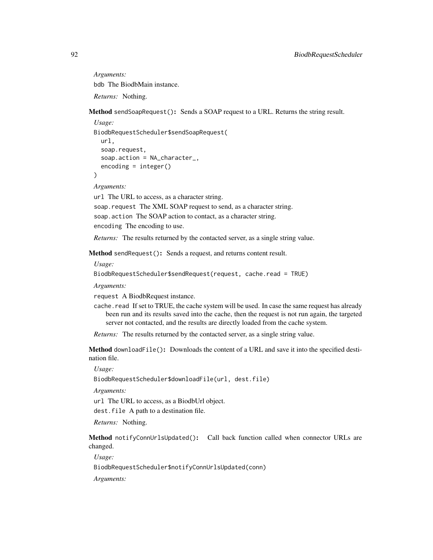*Arguments:* bdb The BiodbMain instance. *Returns:* Nothing.

<span id="page-91-0"></span>Method sendSoapRequest(): Sends a SOAP request to a URL. Returns the string result.

```
Usage:
BiodbRequestScheduler$sendSoapRequest(
  url,
  soap.request,
  soap.action = NA_character_,
  encoding = integer()
)
```
*Arguments:*

url The URL to access, as a character string. soap.request The XML SOAP request to send, as a character string. soap.action The SOAP action to contact, as a character string. encoding The encoding to use.

*Returns:* The results returned by the contacted server, as a single string value.

<span id="page-91-1"></span>Method sendRequest(): Sends a request, and returns content result.

*Usage:*

BiodbRequestScheduler\$sendRequest(request, cache.read = TRUE)

*Arguments:*

request A BiodbRequest instance.

cache.read If set to TRUE, the cache system will be used. In case the same request has already been run and its results saved into the cache, then the request is not run again, the targeted server not contacted, and the results are directly loaded from the cache system.

*Returns:* The results returned by the contacted server, as a single string value.

<span id="page-91-2"></span>Method downloadFile(): Downloads the content of a URL and save it into the specified destination file.

*Usage:*

BiodbRequestScheduler\$downloadFile(url, dest.file)

*Arguments:*

url The URL to access, as a BiodbUrl object.

dest.file A path to a destination file.

*Returns:* Nothing.

<span id="page-91-3"></span>Method notifyConnUrlsUpdated(): Call back function called when connector URLs are changed.

*Usage:*

BiodbRequestScheduler\$notifyConnUrlsUpdated(conn)

*Arguments:*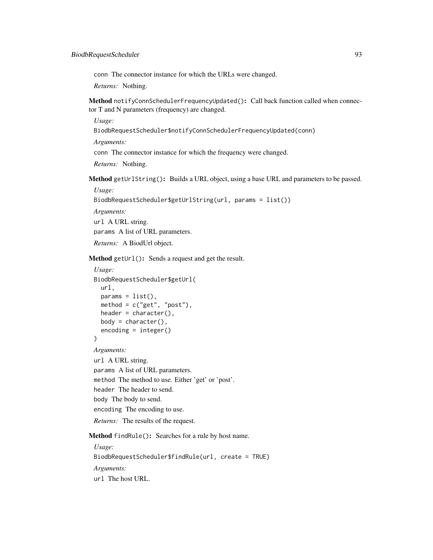conn The connector instance for which the URLs were changed.

*Returns:* Nothing.

<span id="page-92-0"></span>Method notifyConnSchedulerFrequencyUpdated(): Call back function called when connector T and N parameters (frequency) are changed.

*Usage:*

BiodbRequestScheduler\$notifyConnSchedulerFrequencyUpdated(conn)

*Arguments:*

conn The connector instance for which the frequency were changed.

*Returns:* Nothing.

<span id="page-92-1"></span>Method getUrlString(): Builds a URL object, using a base URL and parameters to be passed.

*Usage:*

```
BiodbRequestScheduler$getUrlString(url, params = list())
```
*Arguments:*

url A URL string. params A list of URL parameters.

*Returns:* A BiodUrl object.

Method getUrl(): Sends a request and get the result.

```
Usage:
BiodbRequestScheduler$getUrl(
  url,
  params = list(),
  method = c("get", "post"),header = character(),
  body = character(),
  encoding = integer()
\mathcal{L}Arguments:
url A URL string.
params A list of URL parameters.
method The method to use. Either 'get' or 'post'.
header The header to send.
body The body to send.
encoding The encoding to use.
Returns: The results of the request.
```
<span id="page-92-2"></span>Method findRule(): Searches for a rule by host name.

*Usage:* BiodbRequestScheduler\$findRule(url, create = TRUE) *Arguments:* url The host URL.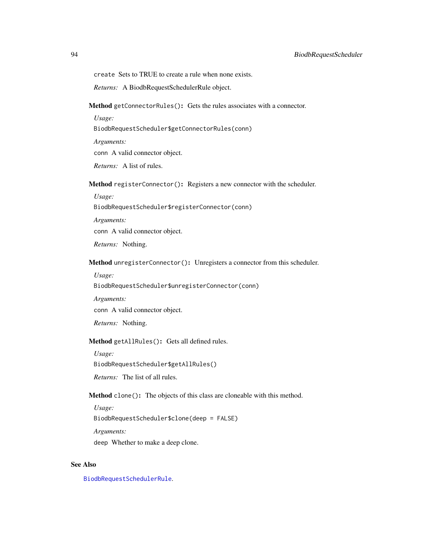create Sets to TRUE to create a rule when none exists.

*Returns:* A BiodbRequestSchedulerRule object.

<span id="page-93-0"></span>Method getConnectorRules(): Gets the rules associates with a connector.

*Usage:* BiodbRequestScheduler\$getConnectorRules(conn) *Arguments:* conn A valid connector object. *Returns:* A list of rules.

<span id="page-93-1"></span>Method registerConnector(): Registers a new connector with the scheduler.

*Usage:*

BiodbRequestScheduler\$registerConnector(conn)

*Arguments:*

conn A valid connector object.

*Returns:* Nothing.

<span id="page-93-2"></span>Method unregisterConnector(): Unregisters a connector from this scheduler.

*Usage:*

BiodbRequestScheduler\$unregisterConnector(conn)

*Arguments:*

conn A valid connector object.

*Returns:* Nothing.

## <span id="page-93-3"></span>Method getAllRules(): Gets all defined rules.

*Usage:*

BiodbRequestScheduler\$getAllRules()

*Returns:* The list of all rules.

Method clone(): The objects of this class are cloneable with this method.

*Usage:* BiodbRequestScheduler\$clone(deep = FALSE) *Arguments:* deep Whether to make a deep clone.

#### See Also

[BiodbRequestSchedulerRule](#page-94-0).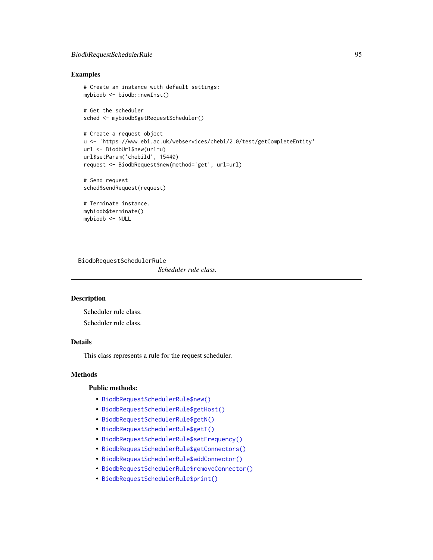## BiodbRequestSchedulerRule 95

### Examples

```
# Create an instance with default settings:
mybiodb <- biodb::newInst()
# Get the scheduler
sched <- mybiodb$getRequestScheduler()
# Create a request object
u <- 'https://www.ebi.ac.uk/webservices/chebi/2.0/test/getCompleteEntity'
url <- BiodbUrl$new(url=u)
url$setParam('chebiId', 15440)
request <- BiodbRequest$new(method='get', url=url)
# Send request
sched$sendRequest(request)
# Terminate instance.
mybiodb$terminate()
mybiodb <- NULL
```
<span id="page-94-0"></span>BiodbRequestSchedulerRule *Scheduler rule class.*

### Description

Scheduler rule class. Scheduler rule class.

## Details

This class represents a rule for the request scheduler.

#### Methods

#### Public methods:

- [BiodbRequestSchedulerRule\\$new\(\)](#page-6-2)
- [BiodbRequestSchedulerRule\\$getHost\(\)](#page-95-0)
- [BiodbRequestSchedulerRule\\$getN\(\)](#page-95-1)
- [BiodbRequestSchedulerRule\\$getT\(\)](#page-95-2)
- [BiodbRequestSchedulerRule\\$setFrequency\(\)](#page-95-3)
- [BiodbRequestSchedulerRule\\$getConnectors\(\)](#page-95-4)
- [BiodbRequestSchedulerRule\\$addConnector\(\)](#page-95-5)
- [BiodbRequestSchedulerRule\\$removeConnector\(\)](#page-96-0)
- [BiodbRequestSchedulerRule\\$print\(\)](#page-9-0)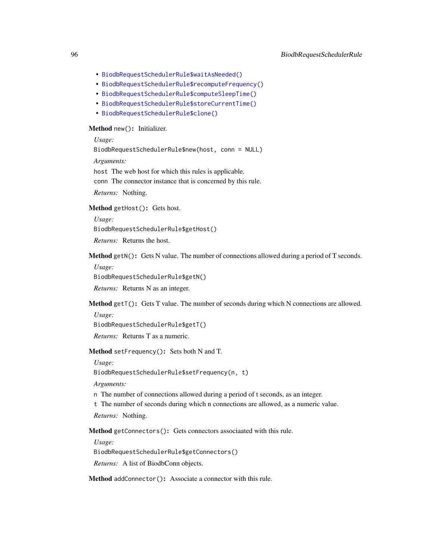- [BiodbRequestSchedulerRule\\$waitAsNeeded\(\)](#page-96-1)
- [BiodbRequestSchedulerRule\\$recomputeFrequency\(\)](#page-96-2)
- [BiodbRequestSchedulerRule\\$computeSleepTime\(\)](#page-96-3)
- [BiodbRequestSchedulerRule\\$storeCurrentTime\(\)](#page-96-4)
- [BiodbRequestSchedulerRule\\$clone\(\)](#page-6-0)

### Method new(): Initializer.

*Usage:*

BiodbRequestSchedulerRule\$new(host, conn = NULL)

*Arguments:*

host The web host for which this rules is applicable.

conn The connector instance that is concerned by this rule.

*Returns:* Nothing.

<span id="page-95-0"></span>Method getHost(): Gets host.

*Usage:* BiodbRequestSchedulerRule\$getHost() *Returns:* Returns the host.

<span id="page-95-1"></span>Method getN(): Gets N value. The number of connections allowed during a period of T seconds.

*Usage:*

BiodbRequestSchedulerRule\$getN()

*Returns:* Returns N as an integer.

<span id="page-95-2"></span>Method getT(): Gets T value. The number of seconds during which N connections are allowed.

*Usage:*

BiodbRequestSchedulerRule\$getT()

*Returns:* Returns T as a numeric.

<span id="page-95-3"></span>Method setFrequency(): Sets both N and T.

*Usage:*

BiodbRequestSchedulerRule\$setFrequency(n, t)

*Arguments:*

n The number of connections allowed during a period of t seconds, as an integer.

t The number of seconds during which n connections are allowed, as a numeric value.

*Returns:* Nothing.

<span id="page-95-4"></span>Method getConnectors(): Gets connectors associaated with this rule.

*Usage:*

BiodbRequestSchedulerRule\$getConnectors()

*Returns:* A list of BiodbConn objects.

<span id="page-95-5"></span>Method addConnector(): Associate a connector with this rule.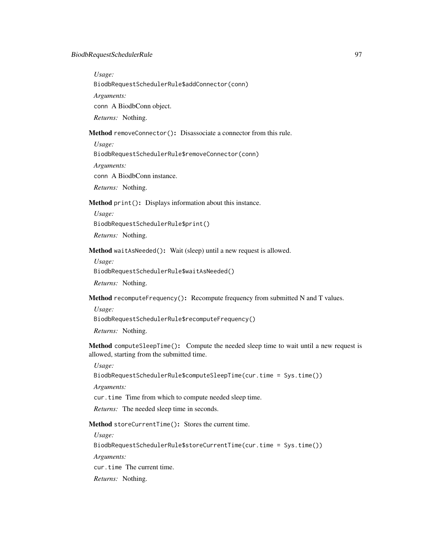*Usage:*

BiodbRequestSchedulerRule\$addConnector(conn)

*Arguments:*

conn A BiodbConn object.

*Returns:* Nothing.

## <span id="page-96-0"></span>Method removeConnector(): Disassociate a connector from this rule.

*Usage:*

BiodbRequestSchedulerRule\$removeConnector(conn)

*Arguments:*

conn A BiodbConn instance.

*Returns:* Nothing.

Method print(): Displays information about this instance.

*Usage:* BiodbRequestSchedulerRule\$print()

*Returns:* Nothing.

<span id="page-96-1"></span>Method waitAsNeeded(): Wait (sleep) until a new request is allowed.

*Usage:*

BiodbRequestSchedulerRule\$waitAsNeeded()

*Returns:* Nothing.

<span id="page-96-2"></span>Method recomputeFrequency(): Recompute frequency from submitted N and T values.

*Usage:*

BiodbRequestSchedulerRule\$recomputeFrequency()

*Returns:* Nothing.

<span id="page-96-3"></span>Method computeSleepTime(): Compute the needed sleep time to wait until a new request is allowed, starting from the submitted time.

*Usage:*

```
BiodbRequestSchedulerRule$computeSleepTime(cur.time = Sys.time())
```
*Arguments:*

cur.time Time from which to compute needed sleep time.

*Returns:* The needed sleep time in seconds.

<span id="page-96-4"></span>Method storeCurrentTime(): Stores the current time.

*Usage:*

BiodbRequestSchedulerRule\$storeCurrentTime(cur.time = Sys.time())

*Arguments:*

cur.time The current time.

*Returns:* Nothing.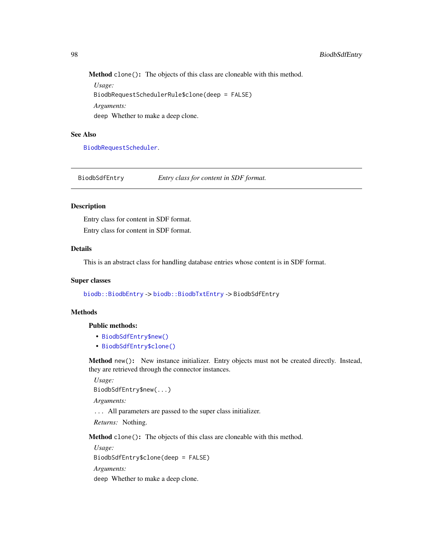Method clone(): The objects of this class are cloneable with this method.

*Usage:* BiodbRequestSchedulerRule\$clone(deep = FALSE) *Arguments:* deep Whether to make a deep clone.

#### See Also

[BiodbRequestScheduler](#page-90-0).

BiodbSdfEntry *Entry class for content in SDF format.*

## Description

Entry class for content in SDF format. Entry class for content in SDF format.

### Details

This is an abstract class for handling database entries whose content is in SDF format.

#### Super classes

[biodb::BiodbEntry](#page-0-0) -> [biodb::BiodbTxtEntry](#page-0-0) -> BiodbSdfEntry

### **Methods**

### Public methods:

- [BiodbSdfEntry\\$new\(\)](#page-6-2)
- [BiodbSdfEntry\\$clone\(\)](#page-6-0)

Method new(): New instance initializer. Entry objects must not be created directly. Instead, they are retrieved through the connector instances.

*Usage:*

BiodbSdfEntry\$new(...)

*Arguments:*

... All parameters are passed to the super class initializer.

*Returns:* Nothing.

Method clone(): The objects of this class are cloneable with this method.

*Usage:* BiodbSdfEntry\$clone(deep = FALSE) *Arguments:* deep Whether to make a deep clone.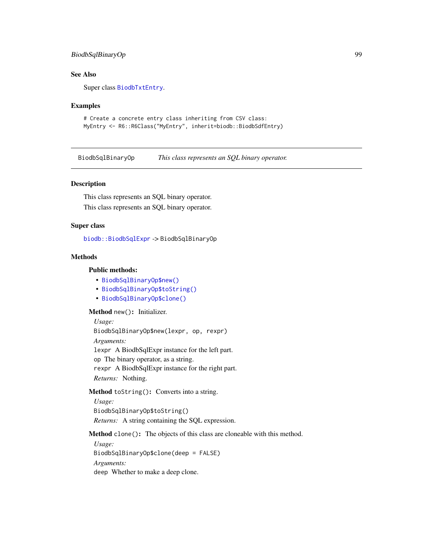## BiodbSqlBinaryOp 99

## See Also

Super class [BiodbTxtEntry](#page-108-0).

### Examples

```
# Create a concrete entry class inheriting from CSV class:
MyEntry <- R6::R6Class("MyEntry", inherit=biodb::BiodbSdfEntry)
```
BiodbSqlBinaryOp *This class represents an SQL binary operator.*

### Description

This class represents an SQL binary operator. This class represents an SQL binary operator.

### Super class

[biodb::BiodbSqlExpr](#page-0-0) -> BiodbSqlBinaryOp

## Methods

#### Public methods:

- [BiodbSqlBinaryOp\\$new\(\)](#page-6-2)
- [BiodbSqlBinaryOp\\$toString\(\)](#page-89-2)
- [BiodbSqlBinaryOp\\$clone\(\)](#page-6-0)

Method new(): Initializer.

#### *Usage:*

BiodbSqlBinaryOp\$new(lexpr, op, rexpr)

*Arguments:*

lexpr A BiodbSqlExpr instance for the left part.

op The binary operator, as a string.

rexpr A BiodbSqlExpr instance for the right part.

*Returns:* Nothing.

Method toString(): Converts into a string.

*Usage:* BiodbSqlBinaryOp\$toString() *Returns:* A string containing the SQL expression.

Method clone(): The objects of this class are cloneable with this method.

*Usage:*

BiodbSqlBinaryOp\$clone(deep = FALSE) *Arguments:* deep Whether to make a deep clone.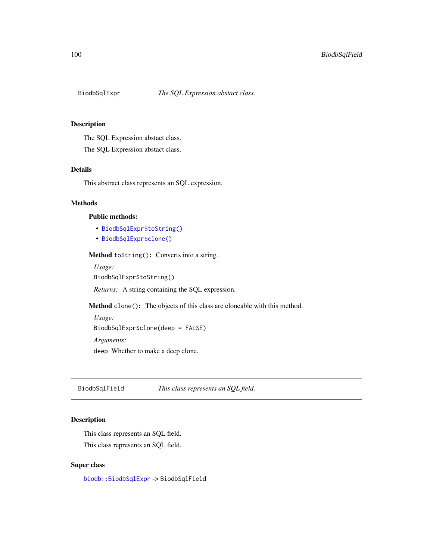## Description

The SQL Expression abstact class.

The SQL Expression abstact class.

### Details

This abstract class represents an SQL expression.

### Methods

### Public methods:

- [BiodbSqlExpr\\$toString\(\)](#page-89-2)
- [BiodbSqlExpr\\$clone\(\)](#page-6-0)

Method toString(): Converts into a string.

*Usage:*

BiodbSqlExpr\$toString()

*Returns:* A string containing the SQL expression.

Method clone(): The objects of this class are cloneable with this method.

```
Usage:
BiodbSqlExpr$clone(deep = FALSE)
Arguments:
deep Whether to make a deep clone.
```
BiodbSqlField *This class represents an SQL field.*

# Description

This class represents an SQL field. This class represents an SQL field.

#### Super class

[biodb::BiodbSqlExpr](#page-0-0) -> BiodbSqlField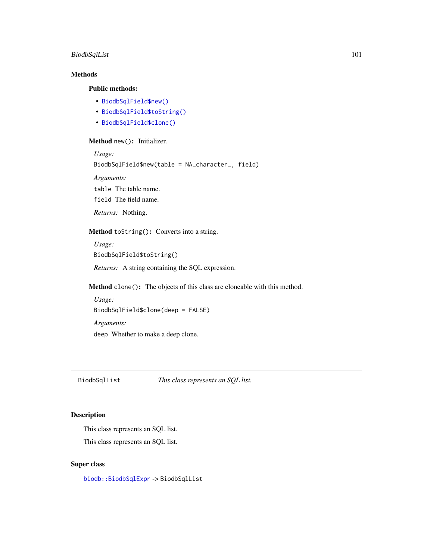## BiodbSqlList 101

# Methods

## Public methods:

- [BiodbSqlField\\$new\(\)](#page-6-2)
- [BiodbSqlField\\$toString\(\)](#page-89-2)
- [BiodbSqlField\\$clone\(\)](#page-6-0)

## Method new(): Initializer.

```
Usage:
BiodbSqlField$new(table = NA_character_, field)
Arguments:
table The table name.
field The field name.
```
*Returns:* Nothing.

# Method toString(): Converts into a string.

```
Usage:
BiodbSqlField$toString()
```
*Returns:* A string containing the SQL expression.

Method clone(): The objects of this class are cloneable with this method.

```
Usage:
BiodbSqlField$clone(deep = FALSE)
Arguments:
deep Whether to make a deep clone.
```
BiodbSqlList *This class represents an SQL list.*

# Description

This class represents an SQL list.

This class represents an SQL list.

#### Super class

[biodb::BiodbSqlExpr](#page-0-0) -> BiodbSqlList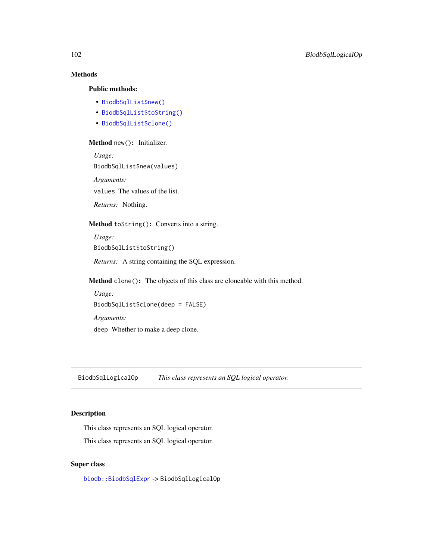# Methods

## Public methods:

- [BiodbSqlList\\$new\(\)](#page-6-2)
- [BiodbSqlList\\$toString\(\)](#page-89-2)
- [BiodbSqlList\\$clone\(\)](#page-6-0)

## Method new(): Initializer.

*Usage:* BiodbSqlList\$new(values) *Arguments:* values The values of the list. *Returns:* Nothing.

### Method toString(): Converts into a string.

*Usage:* BiodbSqlList\$toString() *Returns:* A string containing the SQL expression.

Method clone(): The objects of this class are cloneable with this method.

*Usage:* BiodbSqlList\$clone(deep = FALSE) *Arguments:* deep Whether to make a deep clone.

BiodbSqlLogicalOp *This class represents an SQL logical operator.*

## Description

This class represents an SQL logical operator.

This class represents an SQL logical operator.

### Super class

[biodb::BiodbSqlExpr](#page-0-0) -> BiodbSqlLogicalOp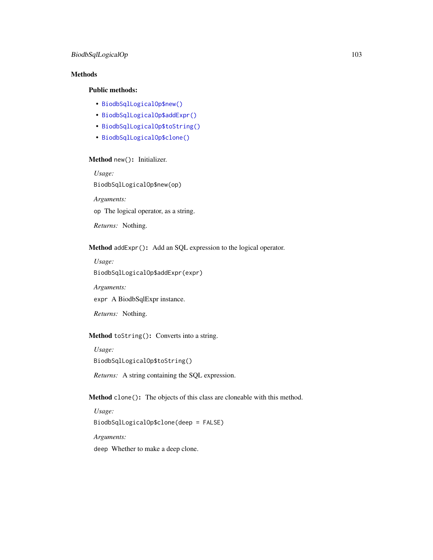# Methods

# Public methods:

- [BiodbSqlLogicalOp\\$new\(\)](#page-6-2)
- [BiodbSqlLogicalOp\\$addExpr\(\)](#page-102-0)
- [BiodbSqlLogicalOp\\$toString\(\)](#page-89-2)
- [BiodbSqlLogicalOp\\$clone\(\)](#page-6-0)

# Method new(): Initializer.

*Usage:*

BiodbSqlLogicalOp\$new(op)

*Arguments:*

op The logical operator, as a string.

*Returns:* Nothing.

<span id="page-102-0"></span>Method addExpr(): Add an SQL expression to the logical operator.

*Usage:* BiodbSqlLogicalOp\$addExpr(expr)

*Arguments:*

expr A BiodbSqlExpr instance.

*Returns:* Nothing.

## Method toString(): Converts into a string.

*Usage:* BiodbSqlLogicalOp\$toString()

*Returns:* A string containing the SQL expression.

Method clone(): The objects of this class are cloneable with this method.

*Usage:* BiodbSqlLogicalOp\$clone(deep = FALSE) *Arguments:*

deep Whether to make a deep clone.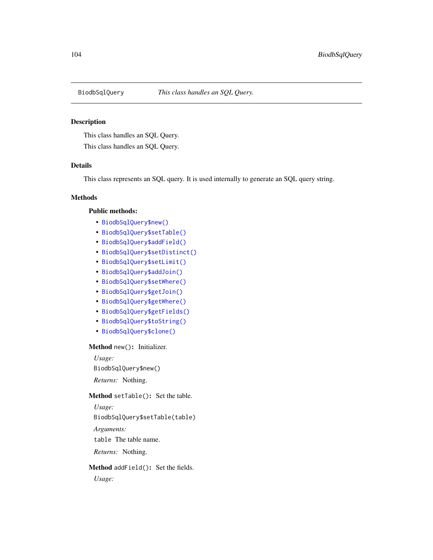## Description

This class handles an SQL Query.

This class handles an SQL Query.

### Details

This class represents an SQL query. It is used internally to generate an SQL query string.

### Methods

### Public methods:

- [BiodbSqlQuery\\$new\(\)](#page-6-2)
- [BiodbSqlQuery\\$setTable\(\)](#page-103-0)
- [BiodbSqlQuery\\$addField\(\)](#page-103-1)
- [BiodbSqlQuery\\$setDistinct\(\)](#page-104-0)
- [BiodbSqlQuery\\$setLimit\(\)](#page-104-1)
- [BiodbSqlQuery\\$addJoin\(\)](#page-104-2)
- [BiodbSqlQuery\\$setWhere\(\)](#page-104-3)
- [BiodbSqlQuery\\$getJoin\(\)](#page-104-4)
- [BiodbSqlQuery\\$getWhere\(\)](#page-104-5)
- [BiodbSqlQuery\\$getFields\(\)](#page-105-0)
- [BiodbSqlQuery\\$toString\(\)](#page-89-2)
- [BiodbSqlQuery\\$clone\(\)](#page-6-0)

#### Method new(): Initializer.

*Usage:* BiodbSqlQuery\$new() *Returns:* Nothing.

### <span id="page-103-0"></span>Method setTable(): Set the table.

*Usage:* BiodbSqlQuery\$setTable(table) *Arguments:* table The table name. *Returns:* Nothing.

# <span id="page-103-1"></span>Method addField(): Set the fields.

*Usage:*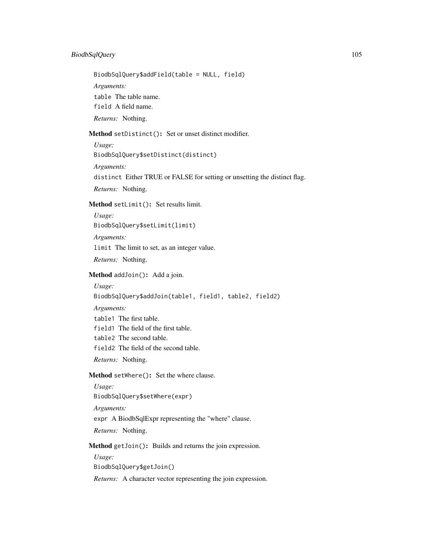## BiodbSqlQuery 105

BiodbSqlQuery\$addField(table = NULL, field)

*Arguments:*

table The table name.

field A field name.

*Returns:* Nothing.

<span id="page-104-0"></span>Method setDistinct(): Set or unset distinct modifier.

*Usage:*

BiodbSqlQuery\$setDistinct(distinct)

*Arguments:*

distinct Either TRUE or FALSE for setting or unsetting the distinct flag.

*Returns:* Nothing.

<span id="page-104-1"></span>Method setLimit(): Set results limit.

*Usage:*

BiodbSqlQuery\$setLimit(limit)

*Arguments:*

limit The limit to set, as an integer value.

*Returns:* Nothing.

<span id="page-104-2"></span>Method addJoin(): Add a join.

*Usage:*

BiodbSqlQuery\$addJoin(table1, field1, table2, field2)

*Arguments:*

table1 The first table.

field1 The field of the first table.

table2 The second table.

field2 The field of the second table.

*Returns:* Nothing.

<span id="page-104-3"></span>Method setWhere(): Set the where clause.

*Usage:* BiodbSqlQuery\$setWhere(expr) *Arguments:* expr A BiodbSqlExpr representing the "where" clause. *Returns:* Nothing.

<span id="page-104-4"></span>Method getJoin(): Builds and returns the join expression.

*Usage:*

BiodbSqlQuery\$getJoin()

<span id="page-104-5"></span>*Returns:* A character vector representing the join expression.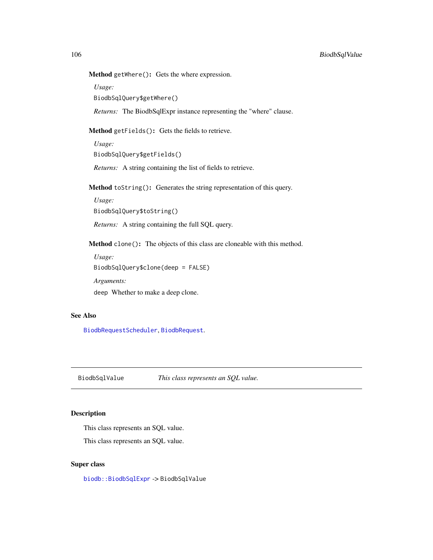Method getWhere(): Gets the where expression.

*Usage:*

BiodbSqlQuery\$getWhere()

*Returns:* The BiodbSqlExpr instance representing the "where" clause.

<span id="page-105-0"></span>Method getFields(): Gets the fields to retrieve.

*Usage:* BiodbSqlQuery\$getFields()

*Returns:* A string containing the list of fields to retrieve.

Method toString(): Generates the string representation of this query.

*Usage:* BiodbSqlQuery\$toString()

*Returns:* A string containing the full SQL query.

Method clone(): The objects of this class are cloneable with this method.

*Usage:* BiodbSqlQuery\$clone(deep = FALSE) *Arguments:*

deep Whether to make a deep clone.

### See Also

[BiodbRequestScheduler](#page-90-0), [BiodbRequest](#page-87-0).

BiodbSqlValue *This class represents an SQL value.*

### Description

This class represents an SQL value.

This class represents an SQL value.

### Super class

[biodb::BiodbSqlExpr](#page-0-0) -> BiodbSqlValue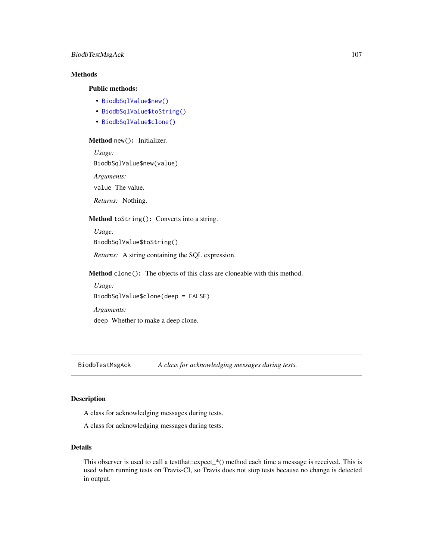## BiodbTestMsgAck 107

# Methods

### Public methods:

- [BiodbSqlValue\\$new\(\)](#page-6-2)
- [BiodbSqlValue\\$toString\(\)](#page-89-2)
- [BiodbSqlValue\\$clone\(\)](#page-6-0)

## Method new(): Initializer.

*Usage:*

BiodbSqlValue\$new(value)

*Arguments:*

value The value.

*Returns:* Nothing.

### Method toString(): Converts into a string.

*Usage:* BiodbSqlValue\$toString()

*Returns:* A string containing the SQL expression.

Method clone(): The objects of this class are cloneable with this method.

*Usage:* BiodbSqlValue\$clone(deep = FALSE) *Arguments:*

deep Whether to make a deep clone.

BiodbTestMsgAck *A class for acknowledging messages during tests.*

#### Description

A class for acknowledging messages during tests.

A class for acknowledging messages during tests.

## Details

This observer is used to call a testthat::expect\_\*() method each time a message is received. This is used when running tests on Travis-CI, so Travis does not stop tests because no change is detected in output.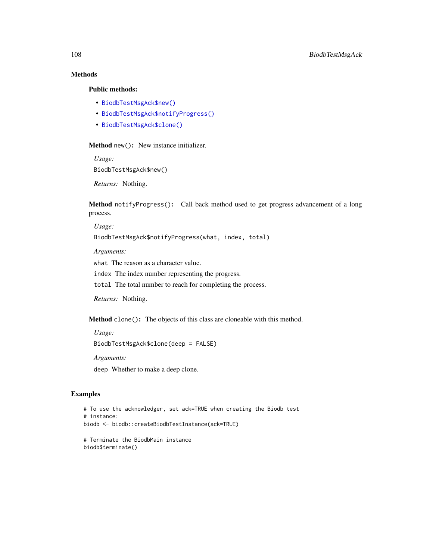# Methods

# Public methods:

- [BiodbTestMsgAck\\$new\(\)](#page-6-2)
- [BiodbTestMsgAck\\$notifyProgress\(\)](#page-107-0)
- [BiodbTestMsgAck\\$clone\(\)](#page-6-0)

#### Method new(): New instance initializer.

*Usage:*

BiodbTestMsgAck\$new()

*Returns:* Nothing.

<span id="page-107-0"></span>Method notifyProgress(): Call back method used to get progress advancement of a long process.

*Usage:*

BiodbTestMsgAck\$notifyProgress(what, index, total)

*Arguments:*

what The reason as a character value.

index The index number representing the progress.

total The total number to reach for completing the process.

*Returns:* Nothing.

Method clone(): The objects of this class are cloneable with this method.

*Usage:*

BiodbTestMsgAck\$clone(deep = FALSE)

*Arguments:*

deep Whether to make a deep clone.

### Examples

```
# To use the acknowledger, set ack=TRUE when creating the Biodb test
# instance:
biodb <- biodb::createBiodbTestInstance(ack=TRUE)
```

```
# Terminate the BiodbMain instance
biodb$terminate()
```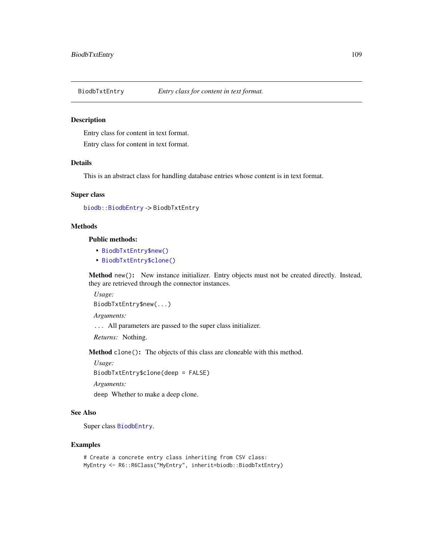#### Description

Entry class for content in text format.

Entry class for content in text format.

# Details

This is an abstract class for handling database entries whose content is in text format.

# Super class

```
biodb::BiodbEntry -> BiodbTxtEntry
```
# **Methods**

Public methods:

- [BiodbTxtEntry\\$new\(\)](#page-6-0)
- [BiodbTxtEntry\\$clone\(\)](#page-6-1)

Method new(): New instance initializer. Entry objects must not be created directly. Instead, they are retrieved through the connector instances.

*Usage:* BiodbTxtEntry\$new(...)

*Arguments:*

... All parameters are passed to the super class initializer.

*Returns:* Nothing.

Method clone(): The objects of this class are cloneable with this method.

*Usage:* BiodbTxtEntry\$clone(deep = FALSE)

*Arguments:*

deep Whether to make a deep clone.

# See Also

Super class [BiodbEntry](#page-44-0).

#### Examples

```
# Create a concrete entry class inheriting from CSV class:
MyEntry <- R6::R6Class("MyEntry", inherit=biodb::BiodbTxtEntry)
```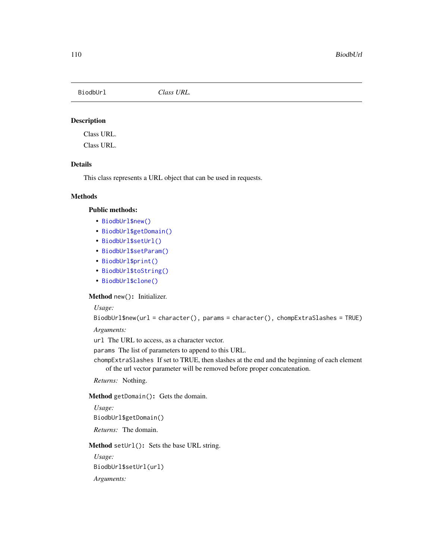BiodbUrl *Class URL.*

# Description

Class URL.

Class URL.

# Details

This class represents a URL object that can be used in requests.

# **Methods**

# Public methods:

- [BiodbUrl\\$new\(\)](#page-6-0)
- [BiodbUrl\\$getDomain\(\)](#page-109-0)
- [BiodbUrl\\$setUrl\(\)](#page-37-0)
- [BiodbUrl\\$setParam\(\)](#page-110-0)
- [BiodbUrl\\$print\(\)](#page-9-0)
- [BiodbUrl\\$toString\(\)](#page-89-0)
- [BiodbUrl\\$clone\(\)](#page-6-1)

Method new(): Initializer.

# *Usage:*

```
BiodbUrl$new(url = character(), params = character(), chompExtraSlashes = TRUE)
```
*Arguments:*

url The URL to access, as a character vector.

params The list of parameters to append to this URL.

chompExtraSlashes If set to TRUE, then slashes at the end and the beginning of each element of the url vector parameter will be removed before proper concatenation.

*Returns:* Nothing.

<span id="page-109-0"></span>Method getDomain(): Gets the domain.

*Usage:* BiodbUrl\$getDomain() *Returns:* The domain.

Method setUrl(): Sets the base URL string.

*Usage:* BiodbUrl\$setUrl(url)

*Arguments:*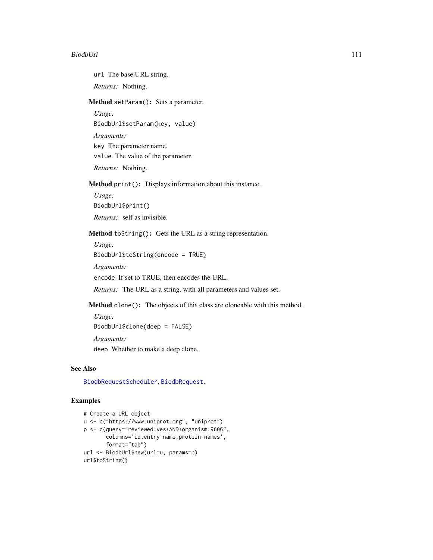#### BiodbUrl 111

url The base URL string.

*Returns:* Nothing.

<span id="page-110-0"></span>Method setParam(): Sets a parameter.

*Usage:* BiodbUrl\$setParam(key, value) *Arguments:*

key The parameter name. value The value of the parameter.

*Returns:* Nothing.

Method print(): Displays information about this instance.

*Usage:* BiodbUrl\$print() *Returns:* self as invisible.

Method toString(): Gets the URL as a string representation.

*Usage:* BiodbUrl\$toString(encode = TRUE) *Arguments:* encode If set to TRUE, then encodes the URL.

*Returns:* The URL as a string, with all parameters and values set.

Method clone(): The objects of this class are cloneable with this method.

*Usage:* BiodbUrl\$clone(deep = FALSE) *Arguments:* deep Whether to make a deep clone.

#### See Also

[BiodbRequestScheduler](#page-90-0), [BiodbRequest](#page-87-0).

# Examples

```
# Create a URL object
u <- c("https://www.uniprot.org", "uniprot")
p <- c(query="reviewed:yes+AND+organism:9606",
      columns='id,entry name,protein names',
      format="tab")
url <- BiodbUrl$new(url=u, params=p)
url$toString()
```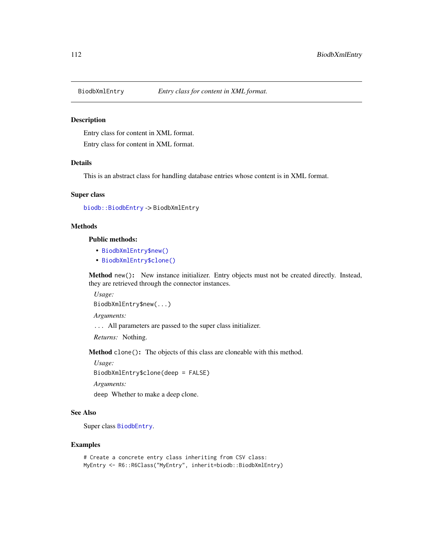#### Description

Entry class for content in XML format. Entry class for content in XML format.

#### Details

This is an abstract class for handling database entries whose content is in XML format.

# Super class

```
biodb::BiodbEntry -> BiodbXmlEntry
```
# **Methods**

Public methods:

- [BiodbXmlEntry\\$new\(\)](#page-6-0)
- [BiodbXmlEntry\\$clone\(\)](#page-6-1)

Method new(): New instance initializer. Entry objects must not be created directly. Instead, they are retrieved through the connector instances.

*Usage:* BiodbXmlEntry\$new(...)

*Arguments:*

... All parameters are passed to the super class initializer.

*Returns:* Nothing.

Method clone(): The objects of this class are cloneable with this method.

*Usage:* BiodbXmlEntry\$clone(deep = FALSE)

*Arguments:*

deep Whether to make a deep clone.

# See Also

Super class [BiodbEntry](#page-44-0).

#### Examples

```
# Create a concrete entry class inheriting from CSV class:
MyEntry <- R6::R6Class("MyEntry", inherit=biodb::BiodbXmlEntry)
```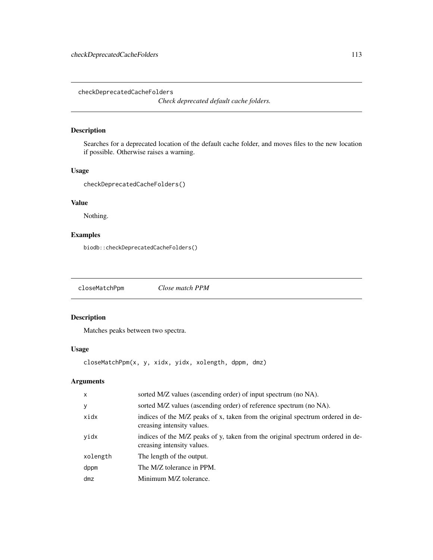checkDeprecatedCacheFolders

*Check deprecated default cache folders.*

# Description

Searches for a deprecated location of the default cache folder, and moves files to the new location if possible. Otherwise raises a warning.

# Usage

checkDeprecatedCacheFolders()

# Value

Nothing.

# Examples

biodb::checkDeprecatedCacheFolders()

closeMatchPpm *Close match PPM*

# Description

Matches peaks between two spectra.

# Usage

closeMatchPpm(x, y, xidx, yidx, xolength, dppm, dmz)

# Arguments

| $\mathsf{x}$ | sorted M/Z values (ascending order) of input spectrum (no NA).                                               |
|--------------|--------------------------------------------------------------------------------------------------------------|
| y            | sorted M/Z values (ascending order) of reference spectrum (no NA).                                           |
| xidx         | indices of the M/Z peaks of x, taken from the original spectrum ordered in de-<br>creasing intensity values. |
| yidx         | indices of the M/Z peaks of y, taken from the original spectrum ordered in de-<br>creasing intensity values. |
| xolength     | The length of the output.                                                                                    |
| dppm         | The M/Z tolerance in PPM.                                                                                    |
| dmz          | Minimum M/Z tolerance.                                                                                       |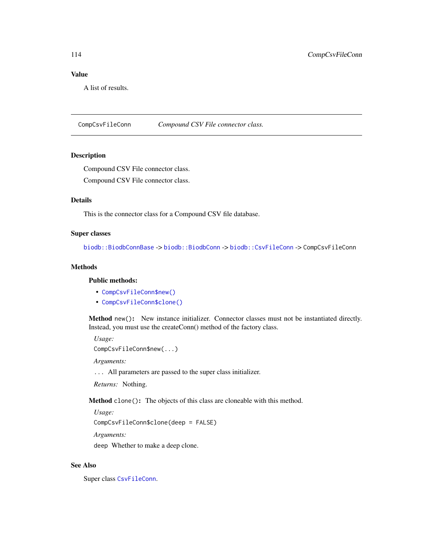# Value

A list of results.

<span id="page-113-0"></span>CompCsvFileConn *Compound CSV File connector class.*

# Description

Compound CSV File connector class.

Compound CSV File connector class.

# Details

This is the connector class for a Compound CSV file database.

# Super classes

[biodb::BiodbConnBase](#page-0-0) -> [biodb::BiodbConn](#page-0-0) -> [biodb::CsvFileConn](#page-0-0) -> CompCsvFileConn

# **Methods**

#### Public methods:

- [CompCsvFileConn\\$new\(\)](#page-6-0)
- [CompCsvFileConn\\$clone\(\)](#page-6-1)

Method new(): New instance initializer. Connector classes must not be instantiated directly. Instead, you must use the createConn() method of the factory class.

*Usage:*

```
CompCsvFileConn$new(...)
```
*Arguments:*

... All parameters are passed to the super class initializer.

*Returns:* Nothing.

Method clone(): The objects of this class are cloneable with this method.

*Usage:*

CompCsvFileConn\$clone(deep = FALSE)

*Arguments:*

deep Whether to make a deep clone.

# See Also

Super class [CsvFileConn](#page-118-0).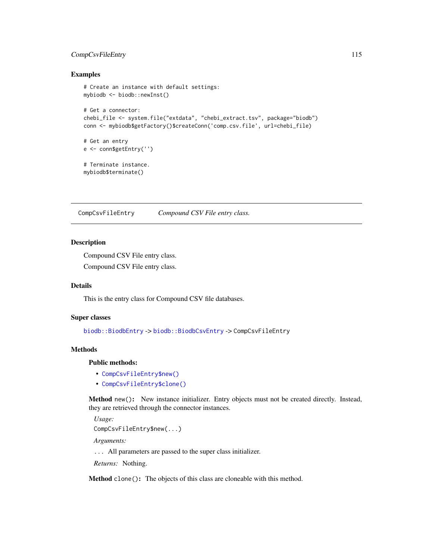# CompCsvFileEntry 115

#### Examples

```
# Create an instance with default settings:
mybiodb <- biodb::newInst()
# Get a connector:
chebi_file <- system.file("extdata", "chebi_extract.tsv", package="biodb")
conn <- mybiodb$getFactory()$createConn('comp.csv.file', url=chebi_file)
# Get an entry
e <- conn$getEntry('')
# Terminate instance.
mybiodb$terminate()
```
CompCsvFileEntry *Compound CSV File entry class.*

#### Description

Compound CSV File entry class.

Compound CSV File entry class.

#### Details

This is the entry class for Compound CSV file databases.

#### Super classes

[biodb::BiodbEntry](#page-0-0) -> [biodb::BiodbCsvEntry](#page-0-0) -> CompCsvFileEntry

#### Methods

### Public methods:

- [CompCsvFileEntry\\$new\(\)](#page-6-0)
- [CompCsvFileEntry\\$clone\(\)](#page-6-1)

Method new(): New instance initializer. Entry objects must not be created directly. Instead, they are retrieved through the connector instances.

*Usage:* CompCsvFileEntry\$new(...)

*Arguments:*

... All parameters are passed to the super class initializer.

*Returns:* Nothing.

Method clone(): The objects of this class are cloneable with this method.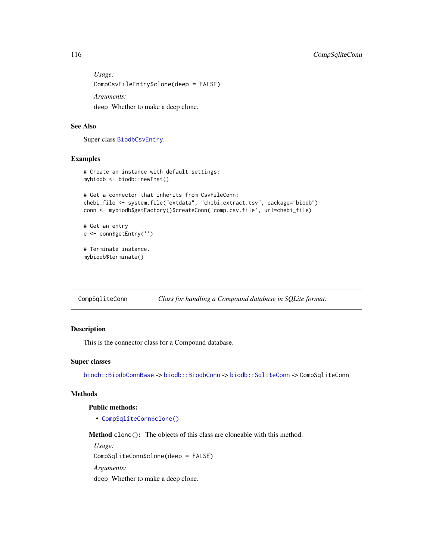*Usage:* CompCsvFileEntry\$clone(deep = FALSE) *Arguments:* deep Whether to make a deep clone.

#### See Also

Super class [BiodbCsvEntry](#page-38-0).

# Examples

```
# Create an instance with default settings:
mybiodb <- biodb::newInst()
# Get a connector that inherits from CsvFileConn:
chebi_file <- system.file("extdata", "chebi_extract.tsv", package="biodb")
conn <- mybiodb$getFactory()$createConn('comp.csv.file', url=chebi_file)
# Get an entry
e <- conn$getEntry('')
# Terminate instance.
mybiodb$terminate()
```
CompSqliteConn *Class for handling a Compound database in SQLite format.*

# Description

This is the connector class for a Compound database.

#### Super classes

[biodb::BiodbConnBase](#page-0-0) -> [biodb::BiodbConn](#page-0-0) -> [biodb::SqliteConn](#page-0-0) -> CompSqliteConn

# Methods

#### Public methods:

• [CompSqliteConn\\$clone\(\)](#page-6-1)

Method clone(): The objects of this class are cloneable with this method.

*Usage:*

CompSqliteConn\$clone(deep = FALSE)

*Arguments:*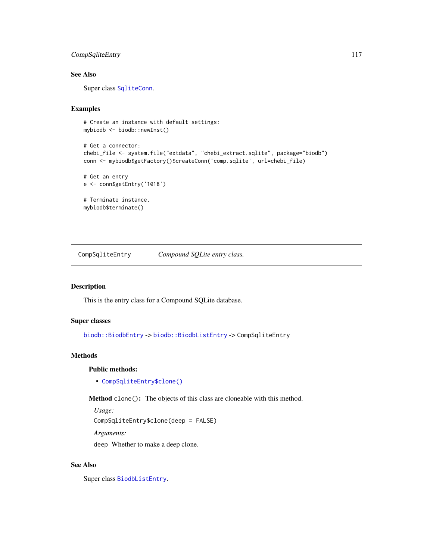# CompSqliteEntry 117

# See Also

Super class [SqliteConn](#page-173-0).

# Examples

```
# Create an instance with default settings:
mybiodb <- biodb::newInst()
```

```
# Get a connector:
chebi_file <- system.file("extdata", "chebi_extract.sqlite", package="biodb")
conn <- mybiodb$getFactory()$createConn('comp.sqlite', url=chebi_file)
```

```
# Get an entry
e <- conn$getEntry('1018')
```

```
# Terminate instance.
mybiodb$terminate()
```
CompSqliteEntry *Compound SQLite entry class.*

# Description

This is the entry class for a Compound SQLite database.

#### Super classes

[biodb::BiodbEntry](#page-0-0) -> [biodb::BiodbListEntry](#page-0-0) -> CompSqliteEntry

# **Methods**

#### Public methods:

• [CompSqliteEntry\\$clone\(\)](#page-6-1)

Method clone(): The objects of this class are cloneable with this method.

*Usage:*

CompSqliteEntry\$clone(deep = FALSE)

*Arguments:*

deep Whether to make a deep clone.

#### See Also

Super class [BiodbListEntry](#page-70-0).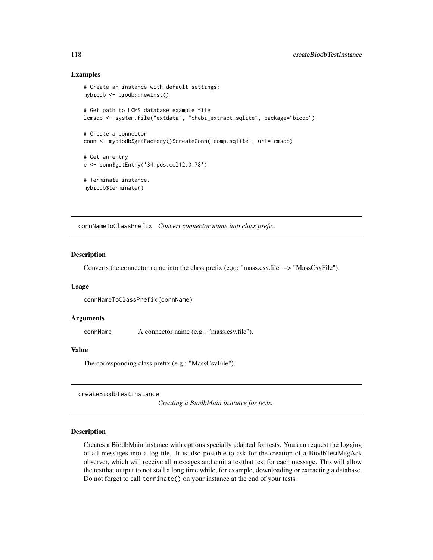#### Examples

```
# Create an instance with default settings:
mybiodb <- biodb::newInst()
# Get path to LCMS database example file
lcmsdb <- system.file("extdata", "chebi_extract.sqlite", package="biodb")
# Create a connector
conn <- mybiodb$getFactory()$createConn('comp.sqlite', url=lcmsdb)
# Get an entry
e <- conn$getEntry('34.pos.col12.0.78')
# Terminate instance.
mybiodb$terminate()
```
connNameToClassPrefix *Convert connector name into class prefix.*

#### Description

Converts the connector name into the class prefix (e.g.: "mass.csv.file" –> "MassCsvFile").

#### Usage

```
connNameToClassPrefix(connName)
```
#### Arguments

connName A connector name (e.g.: "mass.csv.file").

#### Value

The corresponding class prefix (e.g.: "MassCsvFile").

createBiodbTestInstance

*Creating a BiodbMain instance for tests.*

# **Description**

Creates a BiodbMain instance with options specially adapted for tests. You can request the logging of all messages into a log file. It is also possible to ask for the creation of a BiodbTestMsgAck observer, which will receive all messages and emit a testthat test for each message. This will allow the testthat output to not stall a long time while, for example, downloading or extracting a database. Do not forget to call terminate() on your instance at the end of your tests.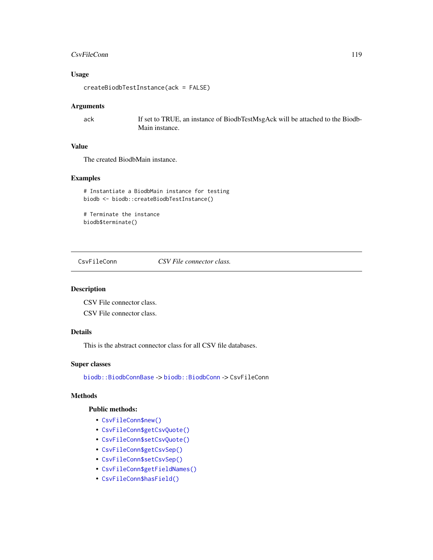#### CsvFileConn 119

# Usage

createBiodbTestInstance(ack = FALSE)

# Arguments

ack If set to TRUE, an instance of BiodbTestMsgAck will be attached to the Biodb-Main instance.

# Value

The created BiodbMain instance.

# Examples

# Instantiate a BiodbMain instance for testing biodb <- biodb::createBiodbTestInstance()

# Terminate the instance biodb\$terminate()

<span id="page-118-0"></span>CsvFileConn *CSV File connector class.*

#### Description

CSV File connector class.

CSV File connector class.

# Details

This is the abstract connector class for all CSV file databases.

#### Super classes

[biodb::BiodbConnBase](#page-0-0) -> [biodb::BiodbConn](#page-0-0) -> CsvFileConn

# Methods

# Public methods:

- [CsvFileConn\\$new\(\)](#page-6-0)
- [CsvFileConn\\$getCsvQuote\(\)](#page-119-0)
- [CsvFileConn\\$setCsvQuote\(\)](#page-119-1)
- [CsvFileConn\\$getCsvSep\(\)](#page-119-2)
- [CsvFileConn\\$setCsvSep\(\)](#page-119-3)
- [CsvFileConn\\$getFieldNames\(\)](#page-46-0)
- [CsvFileConn\\$hasField\(\)](#page-46-1)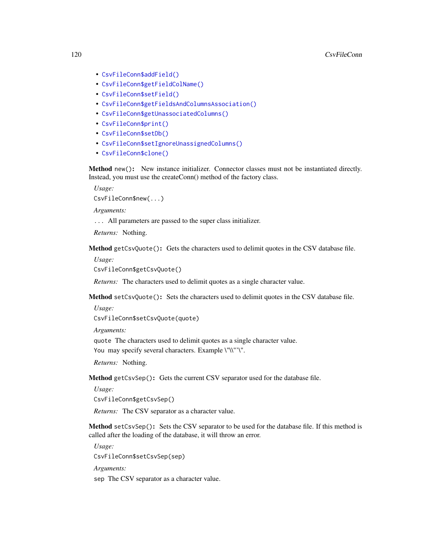- [CsvFileConn\\$addField\(\)](#page-103-0)
- [CsvFileConn\\$getFieldColName\(\)](#page-120-0)
- [CsvFileConn\\$setField\(\)](#page-49-0)
- [CsvFileConn\\$getFieldsAndColumnsAssociation\(\)](#page-120-1)
- [CsvFileConn\\$getUnassociatedColumns\(\)](#page-121-0)
- [CsvFileConn\\$print\(\)](#page-9-0)
- [CsvFileConn\\$setDb\(\)](#page-121-1)
- [CsvFileConn\\$setIgnoreUnassignedColumns\(\)](#page-121-2)
- [CsvFileConn\\$clone\(\)](#page-6-1)

Method new(): New instance initializer. Connector classes must not be instantiated directly. Instead, you must use the createConn() method of the factory class.

*Usage:* CsvFileConn\$new(...)

*Arguments:*

... All parameters are passed to the super class initializer.

*Returns:* Nothing.

<span id="page-119-0"></span>Method getCsvQuote(): Gets the characters used to delimit quotes in the CSV database file.

*Usage:*

CsvFileConn\$getCsvQuote()

*Returns:* The characters used to delimit quotes as a single character value.

<span id="page-119-1"></span>Method setCsvQuote(): Sets the characters used to delimit quotes in the CSV database file.

```
Usage:
CsvFileConn$setCsvQuote(quote)
```
*Arguments:*

quote The characters used to delimit quotes as a single character value. You may specify several characters. Example \"\\"'\".

*Returns:* Nothing.

<span id="page-119-2"></span>Method getCsvSep(): Gets the current CSV separator used for the database file.

*Usage:*

CsvFileConn\$getCsvSep()

*Returns:* The CSV separator as a character value.

<span id="page-119-3"></span>Method setCsvSep(): Sets the CSV separator to be used for the database file. If this method is called after the loading of the database, it will throw an error.

*Usage:*

CsvFileConn\$setCsvSep(sep)

*Arguments:*

sep The CSV separator as a character value.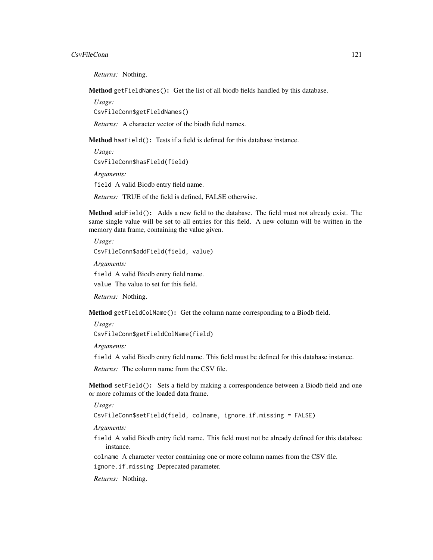#### CsvFileConn 121

*Returns:* Nothing.

Method getFieldNames(): Get the list of all biodb fields handled by this database.

*Usage:* CsvFileConn\$getFieldNames()

*Returns:* A character vector of the biodb field names.

Method hasField(): Tests if a field is defined for this database instance.

*Usage:* CsvFileConn\$hasField(field) *Arguments:*

field A valid Biodb entry field name.

*Returns:* TRUE of the field is defined, FALSE otherwise.

Method addField(): Adds a new field to the database. The field must not already exist. The same single value will be set to all entries for this field. A new column will be written in the memory data frame, containing the value given.

*Usage:*

CsvFileConn\$addField(field, value)

*Arguments:*

field A valid Biodb entry field name.

value The value to set for this field.

*Returns:* Nothing.

<span id="page-120-0"></span>Method getFieldColName(): Get the column name corresponding to a Biodb field.

*Usage:*

CsvFileConn\$getFieldColName(field)

*Arguments:*

field A valid Biodb entry field name. This field must be defined for this database instance.

*Returns:* The column name from the CSV file.

Method setField(): Sets a field by making a correspondence between a Biodb field and one or more columns of the loaded data frame.

*Usage:*

CsvFileConn\$setField(field, colname, ignore.if.missing = FALSE)

*Arguments:*

field A valid Biodb entry field name. This field must not be already defined for this database instance.

colname A character vector containing one or more column names from the CSV file.

ignore.if.missing Deprecated parameter.

<span id="page-120-1"></span>*Returns:* Nothing.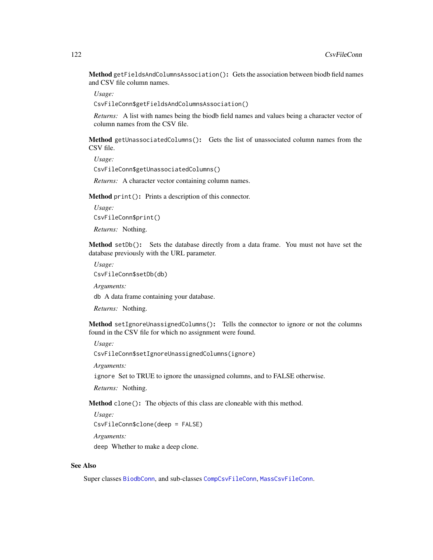Method getFieldsAndColumnsAssociation(): Gets the association between biodb field names and CSV file column names.

*Usage:*

CsvFileConn\$getFieldsAndColumnsAssociation()

*Returns:* A list with names being the biodb field names and values being a character vector of column names from the CSV file.

<span id="page-121-0"></span>Method getUnassociatedColumns(): Gets the list of unassociated column names from the CSV file.

*Usage:* CsvFileConn\$getUnassociatedColumns()

*Returns:* A character vector containing column names.

Method print(): Prints a description of this connector.

*Usage:* CsvFileConn\$print()

*Returns:* Nothing.

<span id="page-121-1"></span>Method setDb(): Sets the database directly from a data frame. You must not have set the database previously with the URL parameter.

*Usage:*

CsvFileConn\$setDb(db)

*Arguments:*

db A data frame containing your database.

*Returns:* Nothing.

<span id="page-121-2"></span>Method setIgnoreUnassignedColumns(): Tells the connector to ignore or not the columns found in the CSV file for which no assignment were found.

*Usage:*

CsvFileConn\$setIgnoreUnassignedColumns(ignore)

*Arguments:*

ignore Set to TRUE to ignore the unassigned columns, and to FALSE otherwise.

*Returns:* Nothing.

Method clone(): The objects of this class are cloneable with this method.

*Usage:*

CsvFileConn\$clone(deep = FALSE)

*Arguments:*

deep Whether to make a deep clone.

#### See Also

Super classes [BiodbConn](#page-11-0), and sub-classes [CompCsvFileConn](#page-113-0), [MassCsvFileConn](#page-160-0).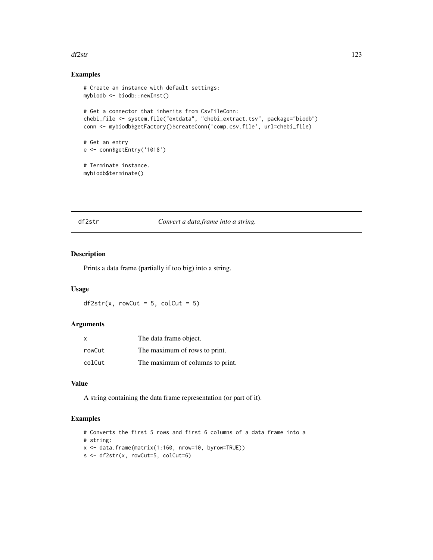#### df2str 123

# Examples

```
# Create an instance with default settings:
mybiodb <- biodb::newInst()
# Get a connector that inherits from CsvFileConn:
chebi_file <- system.file("extdata", "chebi_extract.tsv", package="biodb")
conn <- mybiodb$getFactory()$createConn('comp.csv.file', url=chebi_file)
# Get an entry
e <- conn$getEntry('1018')
# Terminate instance.
mybiodb$terminate()
```
df2str *Convert a data.frame into a string.*

#### Description

Prints a data frame (partially if too big) into a string.

#### Usage

 $df2str(x, rowCut = 5, colCut = 5)$ 

#### Arguments

| x      | The data frame object.           |
|--------|----------------------------------|
| rowCut | The maximum of rows to print.    |
| colCut | The maximum of columns to print. |

#### Value

A string containing the data frame representation (or part of it).

#### Examples

```
# Converts the first 5 rows and first 6 columns of a data frame into a
# string:
x <- data.frame(matrix(1:160, nrow=10, byrow=TRUE))
s <- df2str(x, rowCut=5, colCut=6)
```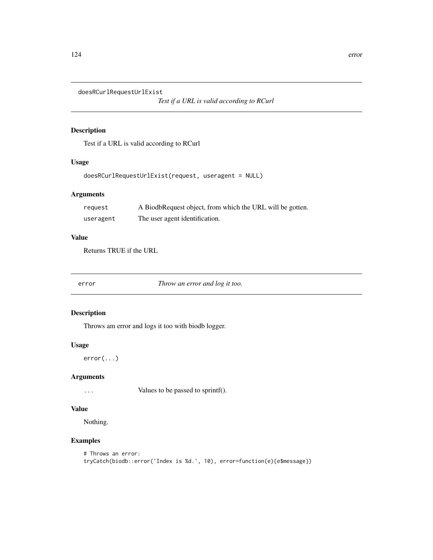doesRCurlRequestUrlExist

*Test if a URL is valid according to RCurl*

#### Description

Test if a URL is valid according to RCurl

#### Usage

doesRCurlRequestUrlExist(request, useragent = NULL)

# Arguments

| request   | A BiodbRequest object, from which the URL will be gotten. |
|-----------|-----------------------------------------------------------|
| useragent | The user agent identification.                            |

# Value

Returns TRUE if the URL

error *Throw an error and log it too.*

#### Description

Throws am error and logs it too with biodb logger.

# Usage

error(...)

# Arguments

... Values to be passed to sprintf().

#### Value

Nothing.

# Examples

```
# Throws an error:
tryCatch(biodb::error('Index is %d.', 10), error=function(e){e$message})
```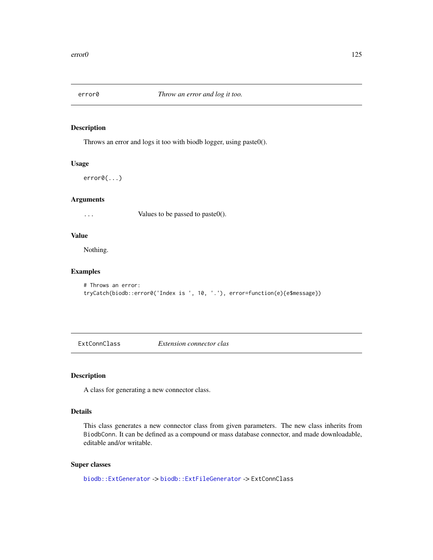# Description

Throws an error and logs it too with biodb logger, using paste0().

#### Usage

error0(...)

#### Arguments

... Values to be passed to paste0().

# Value

Nothing.

# Examples

```
# Throws an error:
tryCatch(biodb::error0('Index is ', 10, '.'), error=function(e){e$message})
```
ExtConnClass *Extension connector clas*

# Description

A class for generating a new connector class.

#### Details

This class generates a new connector class from given parameters. The new class inherits from BiodbConn. It can be defined as a compound or mass database connector, and made downloadable, editable and/or writable.

# Super classes

```
biodb::ExtGenerator -> biodb::ExtFileGenerator -> ExtConnClass
```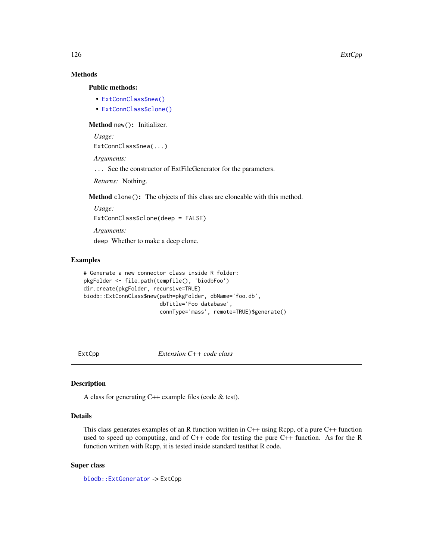# Methods

#### Public methods:

- [ExtConnClass\\$new\(\)](#page-6-0)
- [ExtConnClass\\$clone\(\)](#page-6-1)

Method new(): Initializer.

*Usage:*

ExtConnClass\$new(...)

*Arguments:*

... See the constructor of ExtFileGenerator for the parameters.

*Returns:* Nothing.

Method clone(): The objects of this class are cloneable with this method.

*Usage:* ExtConnClass\$clone(deep = FALSE) *Arguments:* deep Whether to make a deep clone.

# Examples

```
# Generate a new connector class inside R folder:
pkgFolder <- file.path(tempfile(), 'biodbFoo')
dir.create(pkgFolder, recursive=TRUE)
biodb::ExtConnClass$new(path=pkgFolder, dbName='foo.db',
                       dbTitle='Foo database',
                        connType='mass', remote=TRUE)$generate()
```
ExtCpp *Extension C++ code class*

#### Description

A class for generating C++ example files (code & test).

# Details

This class generates examples of an R function written in C++ using Rcpp, of a pure C++ function used to speed up computing, and of C++ code for testing the pure C++ function. As for the R function written with Rcpp, it is tested inside standard testthat R code.

#### Super class

[biodb::ExtGenerator](#page-0-0) -> ExtCpp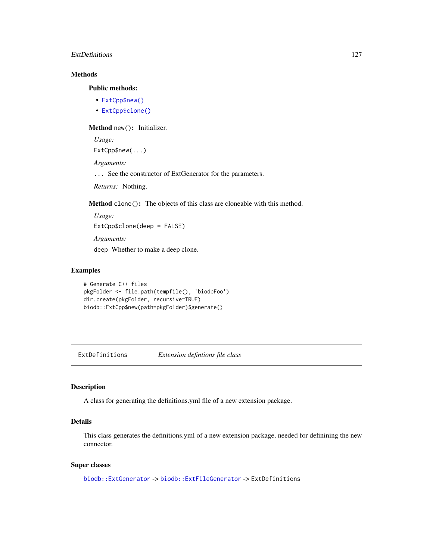#### ExtDefinitions 127

# Methods

# Public methods:

- [ExtCpp\\$new\(\)](#page-6-0)
- [ExtCpp\\$clone\(\)](#page-6-1)

# Method new(): Initializer.

*Usage:*

ExtCpp\$new(...)

*Arguments:*

... See the constructor of ExtGenerator for the parameters.

*Returns:* Nothing.

Method clone(): The objects of this class are cloneable with this method.

*Usage:* ExtCpp\$clone(deep = FALSE) *Arguments:*

deep Whether to make a deep clone.

#### Examples

```
# Generate C++ files
pkgFolder <- file.path(tempfile(), 'biodbFoo')
dir.create(pkgFolder, recursive=TRUE)
biodb::ExtCpp$new(path=pkgFolder)$generate()
```
ExtDefinitions *Extension defintions file class*

#### Description

A class for generating the definitions.yml file of a new extension package.

# Details

This class generates the definitions.yml of a new extension package, needed for definining the new connector.

#### Super classes

[biodb::ExtGenerator](#page-0-0) -> [biodb::ExtFileGenerator](#page-0-0) -> ExtDefinitions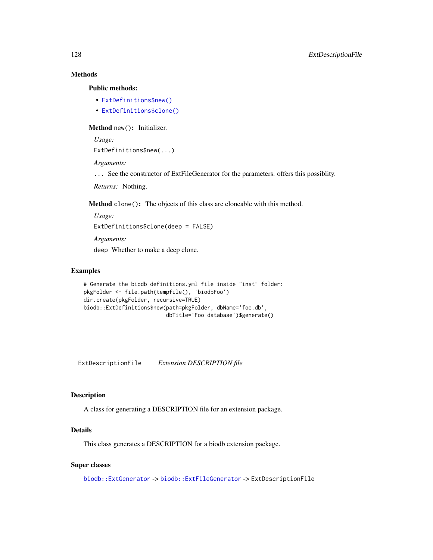# Methods

# Public methods:

- [ExtDefinitions\\$new\(\)](#page-6-0)
- [ExtDefinitions\\$clone\(\)](#page-6-1)

#### Method new(): Initializer.

*Usage:*

ExtDefinitions\$new(...)

*Arguments:*

... See the constructor of ExtFileGenerator for the parameters. offers this possiblity.

*Returns:* Nothing.

Method clone(): The objects of this class are cloneable with this method.

```
Usage:
ExtDefinitions$clone(deep = FALSE)
Arguments:
deep Whether to make a deep clone.
```
#### Examples

```
# Generate the biodb definitions.yml file inside "inst" folder:
pkgFolder <- file.path(tempfile(), 'biodbFoo')
dir.create(pkgFolder, recursive=TRUE)
biodb::ExtDefinitions$new(path=pkgFolder, dbName='foo.db',
                          dbTitle='Foo database')$generate()
```
ExtDescriptionFile *Extension DESCRIPTION file*

#### Description

A class for generating a DESCRIPTION file for an extension package.

# Details

This class generates a DESCRIPTION for a biodb extension package.

#### Super classes

[biodb::ExtGenerator](#page-0-0) -> [biodb::ExtFileGenerator](#page-0-0) -> ExtDescriptionFile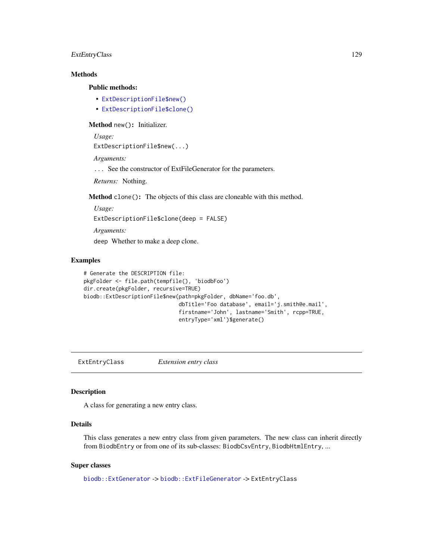# ExtEntryClass 129

# Methods

#### Public methods:

- [ExtDescriptionFile\\$new\(\)](#page-6-0)
- [ExtDescriptionFile\\$clone\(\)](#page-6-1)

Method new(): Initializer.

*Usage:*

```
ExtDescriptionFile$new(...)
```
*Arguments:*

... See the constructor of ExtFileGenerator for the parameters.

*Returns:* Nothing.

Method clone(): The objects of this class are cloneable with this method.

*Usage:* ExtDescriptionFile\$clone(deep = FALSE) *Arguments:* deep Whether to make a deep clone.

# Examples

```
# Generate the DESCRIPTION file:
pkgFolder <- file.path(tempfile(), 'biodbFoo')
dir.create(pkgFolder, recursive=TRUE)
biodb::ExtDescriptionFile$new(path=pkgFolder, dbName='foo.db',
                              dbTitle='Foo database', email='j.smith@e.mail',
                              firstname='John', lastname='Smith', rcpp=TRUE,
                              entryType='xml')$generate()
```
ExtEntryClass *Extension entry class*

# Description

A class for generating a new entry class.

# Details

This class generates a new entry class from given parameters. The new class can inherit directly from BiodbEntry or from one of its sub-classes: BiodbCsvEntry, BiodbHtmlEntry, ...

#### Super classes

[biodb::ExtGenerator](#page-0-0) -> [biodb::ExtFileGenerator](#page-0-0) -> ExtEntryClass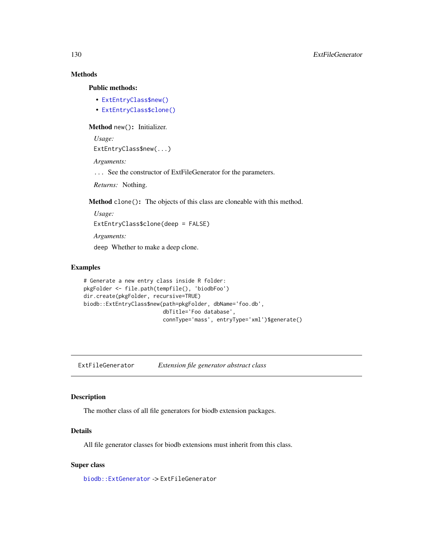# Methods

#### Public methods:

- [ExtEntryClass\\$new\(\)](#page-6-0)
- [ExtEntryClass\\$clone\(\)](#page-6-1)

#### Method new(): Initializer.

*Usage:* ExtEntryClass\$new(...)

*Arguments:*

... See the constructor of ExtFileGenerator for the parameters.

*Returns:* Nothing.

Method clone(): The objects of this class are cloneable with this method.

*Usage:* ExtEntryClass\$clone(deep = FALSE) *Arguments:*

deep Whether to make a deep clone.

# Examples

```
# Generate a new entry class inside R folder:
pkgFolder <- file.path(tempfile(), 'biodbFoo')
dir.create(pkgFolder, recursive=TRUE)
biodb::ExtEntryClass$new(path=pkgFolder, dbName='foo.db',
                         dbTitle='Foo database',
                         connType='mass', entryType='xml')$generate()
```
ExtFileGenerator *Extension file generator abstract class*

#### Description

The mother class of all file generators for biodb extension packages.

#### Details

All file generator classes for biodb extensions must inherit from this class.

#### Super class

[biodb::ExtGenerator](#page-0-0) -> ExtFileGenerator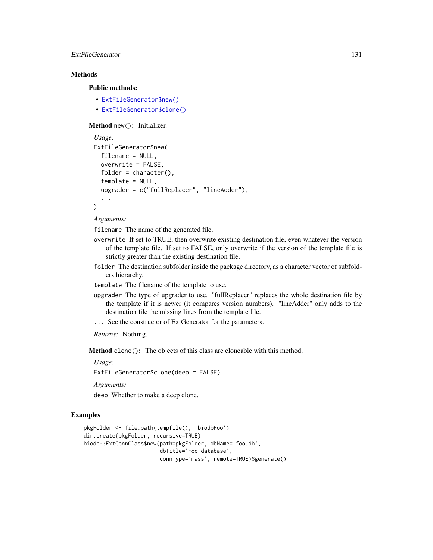# ExtFileGenerator 131

# **Methods**

#### Public methods:

- [ExtFileGenerator\\$new\(\)](#page-6-0)
- [ExtFileGenerator\\$clone\(\)](#page-6-1)

#### Method new(): Initializer.

```
Usage:
ExtFileGenerator$new(
  filename = NULL,
 overwrite = FALSE,
  folder = character(),template = NULL,
  upgrader = c("fullReplacer", "lineAdder"),
  ...
\mathcal{L}
```
*Arguments:*

filename The name of the generated file.

- overwrite If set to TRUE, then overwrite existing destination file, even whatever the version of the template file. If set to FALSE, only overwrite if the version of the template file is strictly greater than the existing destination file.
- folder The destination subfolder inside the package directory, as a character vector of subfolders hierarchy.

template The filename of the template to use.

- upgrader The type of upgrader to use. "fullReplacer" replaces the whole destination file by the template if it is newer (it compares version numbers). "lineAdder" only adds to the destination file the missing lines from the template file.
- ... See the constructor of ExtGenerator for the parameters.

*Returns:* Nothing.

Method clone(): The objects of this class are cloneable with this method.

*Usage:*

ExtFileGenerator\$clone(deep = FALSE)

*Arguments:*

deep Whether to make a deep clone.

#### Examples

```
pkgFolder <- file.path(tempfile(), 'biodbFoo')
dir.create(pkgFolder, recursive=TRUE)
biodb::ExtConnClass$new(path=pkgFolder, dbName='foo.db',
                        dbTitle='Foo database',
                        connType='mass', remote=TRUE)$generate()
```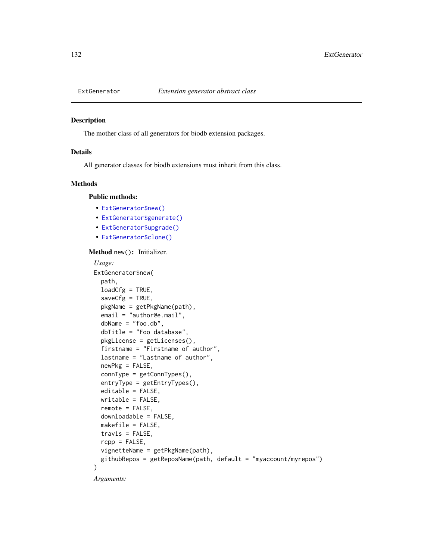# Description

The mother class of all generators for biodb extension packages.

# Details

All generator classes for biodb extensions must inherit from this class.

#### Methods

#### Public methods:

- [ExtGenerator\\$new\(\)](#page-6-0)
- [ExtGenerator\\$generate\(\)](#page-132-0)
- [ExtGenerator\\$upgrade\(\)](#page-132-1)
- [ExtGenerator\\$clone\(\)](#page-6-1)

#### Method new(): Initializer.

```
Usage:
ExtGenerator$new(
 path,
  loadCfg = TRUE,saveCfg = TRUE,
 pkgName = getPkgName(path),
  email = "author@e.mail",
  dbName = "foo db",dbTitle = "Foo database",
 pkgLicense = getLicenses(),
 firstname = "Firstname of author",
  lastname = "Lastname of author",
  newPkg = FALSE,
  connType = getConnTypes(),
 entryType = getEntryTypes(),
  editable = FALSE,
 writable = FALSE,
  remote = FALSE,
 downloadable = FALSE,
 makefile = FALSE,
  travis = FALSE,rcpp = FALSE,
  vignetteName = getPkgName(path),
  githubRepos = getReposName(path, default = "myaccount/myrepos")
)
```
*Arguments:*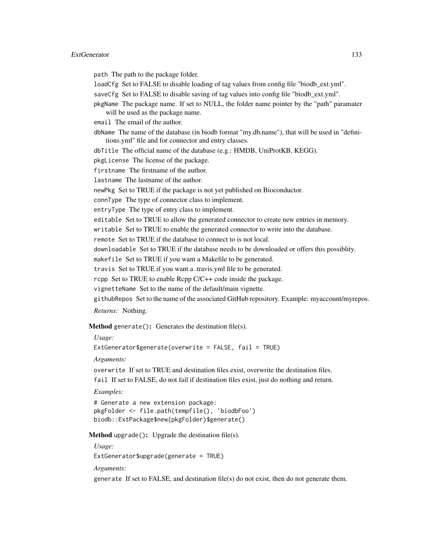#### ExtGenerator 133

path The path to the package folder.

loadCfg Set to FALSE to disable loading of tag values from config file "biodb\_ext.yml".

saveCfg Set to FALSE to disable saving of tag values into config file "biodb\_ext.yml".

pkgName The package name. If set to NULL, the folder name pointer by the "path" paramater will be used as the package name.

email The email of the author.

dbName The name of the database (in biodb format "my.db.name"), that will be used in "definitions.yml" file and for connector and entry classes.

dbTitle The official name of the database (e.g.: HMDB, UniProtKB, KEGG).

pkgLicense The license of the package.

firstname The firstname of the author.

lastname The lastname of the author.

newPkg Set to TRUE if the package is not yet published on Bioconductor.

connType The type of connector class to implement.

entryType The type of entry class to implement.

editable Set to TRUE to allow the generated connector to create new entries in memory.

writable Set to TRUE to enable the generated connector to write into the database.

remote Set to TRUE if the database to connect to is not local.

downloadable Set to TRUE if the database needs to be downloaded or offers this possiblity.

makefile Set to TRUE if you want a Makefile to be generated.

travis Set to TRUE if you want a .travis.yml file to be generated.

rcpp Set to TRUE to enable Rcpp C/C++ code inside the package.

vignetteName Set to the name of the default/main vignette.

githubRepos Set to the name of the associated GitHub repository. Example: myaccount/myrepos.

*Returns:* Nothing.

<span id="page-132-0"></span>**Method** generate(): Generates the destination file(s).

*Usage:*

ExtGenerator\$generate(overwrite = FALSE,  $fail = TRUE$ )

*Arguments:*

overwrite If set to TRUE and destination files exist, overwrite the destination files. fail If set to FALSE, do not fail if destination files exist, just do nothing and return.

*Examples:*

# Generate a new extension package: pkgFolder <- file.path(tempfile(), 'biodbFoo') biodb::ExtPackage\$new(pkgFolder)\$generate()

<span id="page-132-1"></span>**Method** upgrade(): Upgrade the destination file(s).

*Usage:* ExtGenerator\$upgrade(generate = TRUE)

*Arguments:*

generate If set to FALSE, and destination file(s) do not exist, then do not generate them.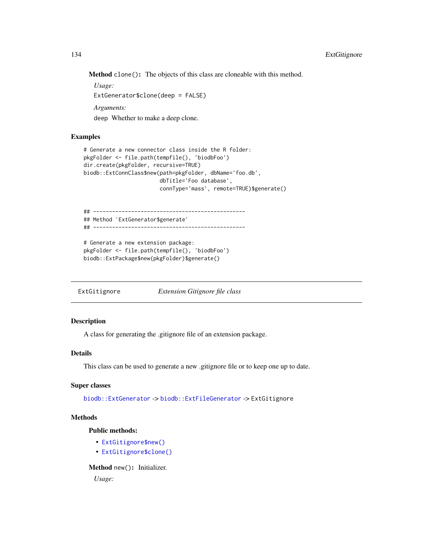Method clone(): The objects of this class are cloneable with this method.

*Usage:* ExtGenerator\$clone(deep = FALSE) *Arguments:* deep Whether to make a deep clone.

# Examples

```
# Generate a new connector class inside the R folder:
pkgFolder <- file.path(tempfile(), 'biodbFoo')
dir.create(pkgFolder, recursive=TRUE)
biodb::ExtConnClass$new(path=pkgFolder, dbName='foo.db',
                        dbTitle='Foo database',
                        connType='mass', remote=TRUE)$generate()
```

```
## ------------------------------------------------
## Method `ExtGenerator$generate`
## ------------------------------------------------
```

```
# Generate a new extension package:
pkgFolder <- file.path(tempfile(), 'biodbFoo')
biodb::ExtPackage$new(pkgFolder)$generate()
```
ExtGitignore *Extension Gitignore file class*

# Description

A class for generating the .gitignore file of an extension package.

#### Details

This class can be used to generate a new .gitignore file or to keep one up to date.

#### Super classes

[biodb::ExtGenerator](#page-0-0) -> [biodb::ExtFileGenerator](#page-0-0) -> ExtGitignore

# Methods

Public methods:

- [ExtGitignore\\$new\(\)](#page-6-0)
- [ExtGitignore\\$clone\(\)](#page-6-1)

Method new(): Initializer.

*Usage:*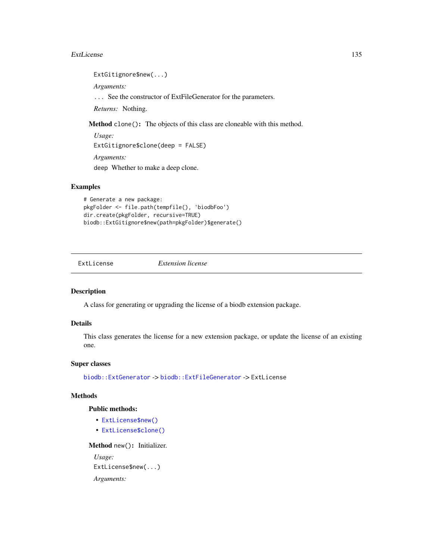#### ExtLicense 135

ExtGitignore\$new(...)

*Arguments:*

... See the constructor of ExtFileGenerator for the parameters.

*Returns:* Nothing.

Method clone(): The objects of this class are cloneable with this method.

*Usage:* ExtGitignore\$clone(deep = FALSE) *Arguments:* deep Whether to make a deep clone.

# Examples

```
# Generate a new package:
pkgFolder <- file.path(tempfile(), 'biodbFoo')
dir.create(pkgFolder, recursive=TRUE)
biodb::ExtGitignore$new(path=pkgFolder)$generate()
```
ExtLicense *Extension license*

# Description

A class for generating or upgrading the license of a biodb extension package.

# Details

This class generates the license for a new extension package, or update the license of an existing one.

#### Super classes

[biodb::ExtGenerator](#page-0-0) -> [biodb::ExtFileGenerator](#page-0-0) -> ExtLicense

#### Methods

# Public methods:

- [ExtLicense\\$new\(\)](#page-6-0)
- [ExtLicense\\$clone\(\)](#page-6-1)

Method new(): Initializer. *Usage:* ExtLicense\$new(...) *Arguments:*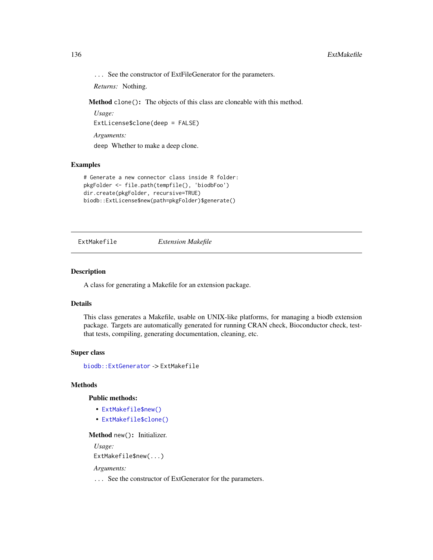... See the constructor of ExtFileGenerator for the parameters.

*Returns:* Nothing.

Method clone(): The objects of this class are cloneable with this method.

*Usage:* ExtLicense\$clone(deep = FALSE) *Arguments:*

deep Whether to make a deep clone.

# Examples

```
# Generate a new connector class inside R folder:
pkgFolder <- file.path(tempfile(), 'biodbFoo')
dir.create(pkgFolder, recursive=TRUE)
biodb::ExtLicense$new(path=pkgFolder)$generate()
```
ExtMakefile *Extension Makefile*

#### Description

A class for generating a Makefile for an extension package.

# Details

This class generates a Makefile, usable on UNIX-like platforms, for managing a biodb extension package. Targets are automatically generated for running CRAN check, Bioconductor check, testthat tests, compiling, generating documentation, cleaning, etc.

#### Super class

[biodb::ExtGenerator](#page-0-0) -> ExtMakefile

# **Methods**

#### Public methods:

- [ExtMakefile\\$new\(\)](#page-6-0)
- [ExtMakefile\\$clone\(\)](#page-6-1)

#### Method new(): Initializer.

*Usage:*

ExtMakefile\$new(...)

*Arguments:*

... See the constructor of ExtGenerator for the parameters.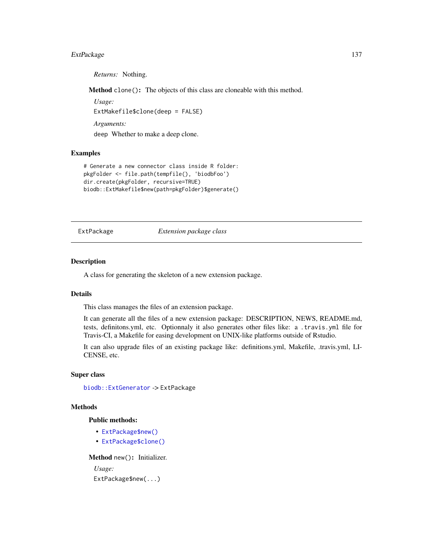# ExtPackage 137

*Returns:* Nothing.

Method clone(): The objects of this class are cloneable with this method.

*Usage:* ExtMakefile\$clone(deep = FALSE) *Arguments:* deep Whether to make a deep clone.

#### Examples

```
# Generate a new connector class inside R folder:
pkgFolder <- file.path(tempfile(), 'biodbFoo')
dir.create(pkgFolder, recursive=TRUE)
biodb::ExtMakefile$new(path=pkgFolder)$generate()
```
ExtPackage *Extension package class*

# **Description**

A class for generating the skeleton of a new extension package.

#### Details

This class manages the files of an extension package.

It can generate all the files of a new extension package: DESCRIPTION, NEWS, README.md, tests, definitons.yml, etc. Optionnaly it also generates other files like: a .travis.yml file for Travis-CI, a Makefile for easing development on UNIX-like platforms outside of Rstudio.

It can also upgrade files of an existing package like: definitions.yml, Makefile, .travis.yml, LI-CENSE, etc.

#### Super class

[biodb::ExtGenerator](#page-0-0) -> ExtPackage

#### Methods

#### Public methods:

- [ExtPackage\\$new\(\)](#page-6-0)
- [ExtPackage\\$clone\(\)](#page-6-1)

Method new(): Initializer.

*Usage:* ExtPackage\$new(...)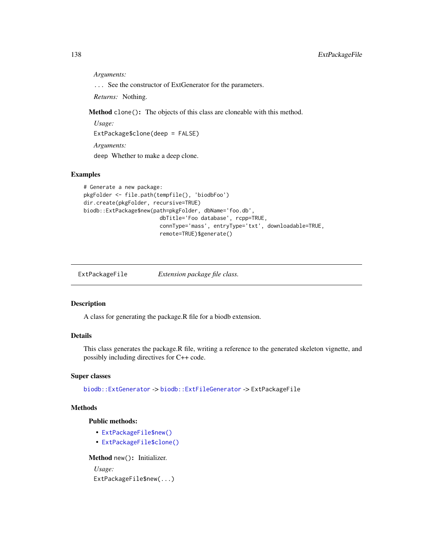*Arguments:*

... See the constructor of ExtGenerator for the parameters.

*Returns:* Nothing.

Method clone(): The objects of this class are cloneable with this method.

*Usage:*

ExtPackage\$clone(deep = FALSE)

*Arguments:*

deep Whether to make a deep clone.

# Examples

```
# Generate a new package:
pkgFolder <- file.path(tempfile(), 'biodbFoo')
dir.create(pkgFolder, recursive=TRUE)
biodb::ExtPackage$new(path=pkgFolder, dbName='foo.db',
                        dbTitle='Foo database', rcpp=TRUE,
                        connType='mass', entryType='txt', downloadable=TRUE,
                        remote=TRUE)$generate()
```
ExtPackageFile *Extension package file class.*

#### Description

A class for generating the package.R file for a biodb extension.

# Details

This class generates the package.R file, writing a reference to the generated skeleton vignette, and possibly including directives for C++ code.

#### Super classes

[biodb::ExtGenerator](#page-0-0) -> [biodb::ExtFileGenerator](#page-0-0) -> ExtPackageFile

# Methods

#### Public methods:

- [ExtPackageFile\\$new\(\)](#page-6-0)
- [ExtPackageFile\\$clone\(\)](#page-6-1)

Method new(): Initializer.

*Usage:* ExtPackageFile\$new(...)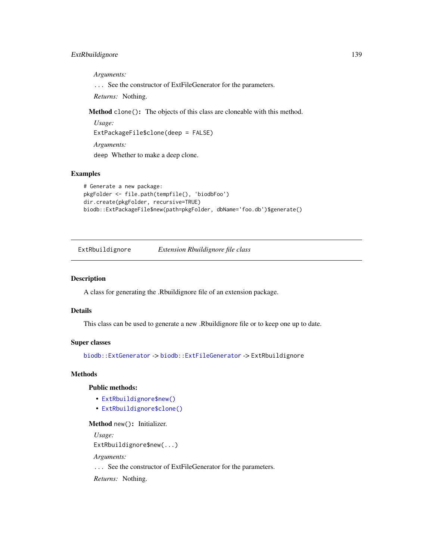# ExtRbuildignore 139

*Arguments:*

... See the constructor of ExtFileGenerator for the parameters.

*Returns:* Nothing.

Method clone(): The objects of this class are cloneable with this method.

*Usage:* ExtPackageFile\$clone(deep = FALSE) *Arguments:* deep Whether to make a deep clone.

#### Examples

```
# Generate a new package:
pkgFolder <- file.path(tempfile(), 'biodbFoo')
dir.create(pkgFolder, recursive=TRUE)
biodb::ExtPackageFile$new(path=pkgFolder, dbName='foo.db')$generate()
```
ExtRbuildignore *Extension Rbuildignore file class*

#### Description

A class for generating the .Rbuildignore file of an extension package.

#### Details

This class can be used to generate a new .Rbuildignore file or to keep one up to date.

#### Super classes

[biodb::ExtGenerator](#page-0-0) -> [biodb::ExtFileGenerator](#page-0-0) -> ExtRbuildignore

# Methods

#### Public methods:

- [ExtRbuildignore\\$new\(\)](#page-6-0)
- [ExtRbuildignore\\$clone\(\)](#page-6-1)

# Method new(): Initializer.

*Usage:*

ExtRbuildignore\$new(...)

*Arguments:*

... See the constructor of ExtFileGenerator for the parameters.

*Returns:* Nothing.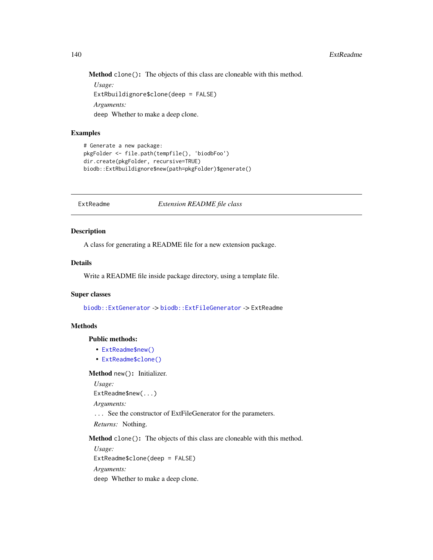Method clone(): The objects of this class are cloneable with this method.

*Usage:* ExtRbuildignore\$clone(deep = FALSE) *Arguments:* deep Whether to make a deep clone.

# Examples

```
# Generate a new package:
pkgFolder <- file.path(tempfile(), 'biodbFoo')
dir.create(pkgFolder, recursive=TRUE)
biodb::ExtRbuildignore$new(path=pkgFolder)$generate()
```
ExtReadme *Extension README file class*

#### Description

A class for generating a README file for a new extension package.

#### Details

Write a README file inside package directory, using a template file.

#### Super classes

[biodb::ExtGenerator](#page-0-0) -> [biodb::ExtFileGenerator](#page-0-0) -> ExtReadme

# Methods

Public methods:

- [ExtReadme\\$new\(\)](#page-6-0)
- [ExtReadme\\$clone\(\)](#page-6-1)

Method new(): Initializer.

*Usage:*

ExtReadme\$new(...)

*Arguments:*

... See the constructor of ExtFileGenerator for the parameters.

*Returns:* Nothing.

Method clone(): The objects of this class are cloneable with this method.

*Usage:* ExtReadme\$clone(deep = FALSE) *Arguments:*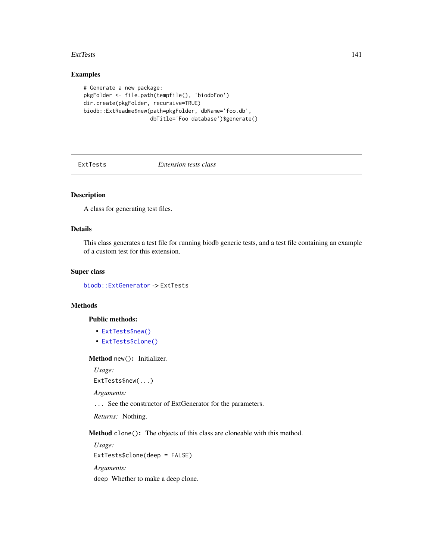#### ExtTests 141

# Examples

```
# Generate a new package:
pkgFolder <- file.path(tempfile(), 'biodbFoo')
dir.create(pkgFolder, recursive=TRUE)
biodb::ExtReadme$new(path=pkgFolder, dbName='foo.db',
                     dbTitle='Foo database')$generate()
```
ExtTests *Extension tests class*

# Description

A class for generating test files.

# Details

This class generates a test file for running biodb generic tests, and a test file containing an example of a custom test for this extension.

#### Super class

[biodb::ExtGenerator](#page-0-0) -> ExtTests

# Methods

#### Public methods:

- [ExtTests\\$new\(\)](#page-6-0)
- [ExtTests\\$clone\(\)](#page-6-1)

#### Method new(): Initializer.

*Usage:*

ExtTests\$new(...)

*Arguments:*

... See the constructor of ExtGenerator for the parameters.

*Returns:* Nothing.

Method clone(): The objects of this class are cloneable with this method.

*Usage:* ExtTests\$clone(deep = FALSE)

*Arguments:*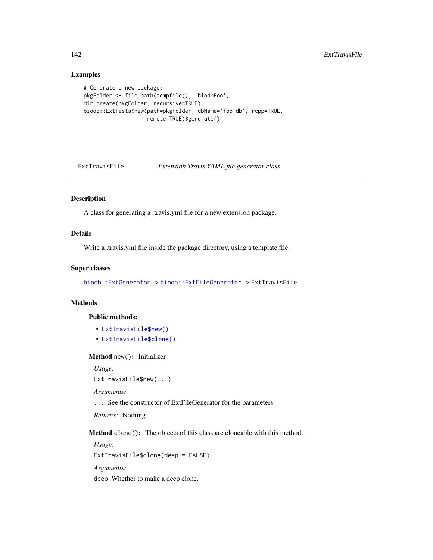# Examples

```
# Generate a new package:
pkgFolder <- file.path(tempfile(), 'biodbFoo')
dir.create(pkgFolder, recursive=TRUE)
biodb::ExtTests$new(path=pkgFolder, dbName='foo.db', rcpp=TRUE,
                    remote=TRUE)$generate()
```
ExtTravisFile *Extension Travis YAML file generator class*

# Description

A class for generating a .travis.yml file for a new extension package.

# Details

Write a .travis.yml file inside the package directory, using a template file.

#### Super classes

[biodb::ExtGenerator](#page-0-0) -> [biodb::ExtFileGenerator](#page-0-0) -> ExtTravisFile

# Methods

#### Public methods:

- [ExtTravisFile\\$new\(\)](#page-6-0)
- [ExtTravisFile\\$clone\(\)](#page-6-1)

#### Method new(): Initializer.

*Usage:*

```
ExtTravisFile$new(...)
```
*Arguments:*

... See the constructor of ExtFileGenerator for the parameters.

*Returns:* Nothing.

Method clone(): The objects of this class are cloneable with this method.

*Usage:* ExtTravisFile\$clone(deep = FALSE) *Arguments:*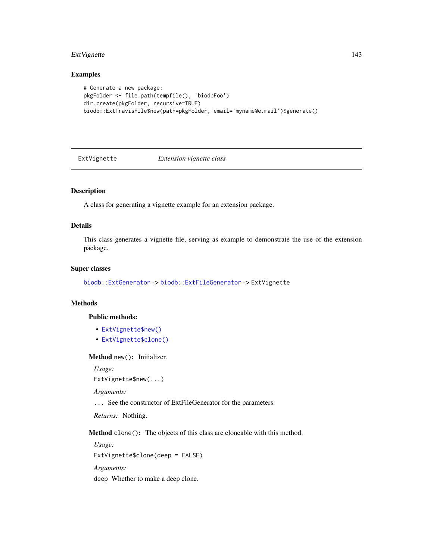# ExtVignette 143

# Examples

```
# Generate a new package:
pkgFolder <- file.path(tempfile(), 'biodbFoo')
dir.create(pkgFolder, recursive=TRUE)
biodb::ExtTravisFile$new(path=pkgFolder, email='myname@e.mail')$generate()
```
ExtVignette *Extension vignette class*

# Description

A class for generating a vignette example for an extension package.

# Details

This class generates a vignette file, serving as example to demonstrate the use of the extension package.

#### Super classes

[biodb::ExtGenerator](#page-0-0) -> [biodb::ExtFileGenerator](#page-0-0) -> ExtVignette

# Methods

#### Public methods:

- [ExtVignette\\$new\(\)](#page-6-0)
- [ExtVignette\\$clone\(\)](#page-6-1)

#### Method new(): Initializer.

*Usage:*

ExtVignette\$new(...)

*Arguments:*

... See the constructor of ExtFileGenerator for the parameters.

*Returns:* Nothing.

Method clone(): The objects of this class are cloneable with this method.

*Usage:* ExtVignette\$clone(deep = FALSE) *Arguments:*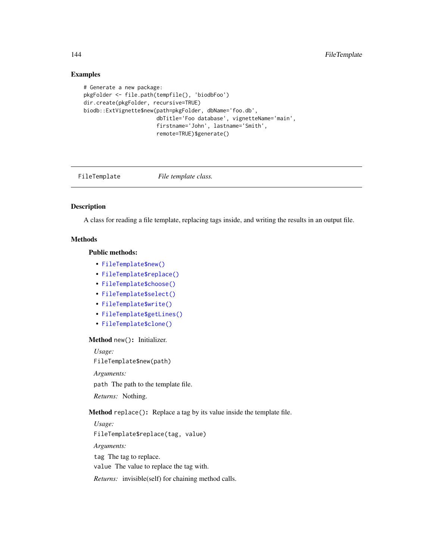# Examples

```
# Generate a new package:
pkgFolder <- file.path(tempfile(), 'biodbFoo')
dir.create(pkgFolder, recursive=TRUE)
biodb::ExtVignette$new(path=pkgFolder, dbName='foo.db',
                       dbTitle='Foo database', vignetteName='main',
                       firstname='John', lastname='Smith',
                       remote=TRUE)$generate()
```
FileTemplate *File template class.*

# Description

A class for reading a file template, replacing tags inside, and writing the results in an output file.

# Methods

# Public methods:

- [FileTemplate\\$new\(\)](#page-6-0)
- [FileTemplate\\$replace\(\)](#page-143-0)
- [FileTemplate\\$choose\(\)](#page-143-1)
- [FileTemplate\\$select\(\)](#page-144-0)
- [FileTemplate\\$write\(\)](#page-17-0)
- [FileTemplate\\$getLines\(\)](#page-144-1)
- [FileTemplate\\$clone\(\)](#page-6-1)

#### Method new(): Initializer.

*Usage:*

FileTemplate\$new(path)

*Arguments:*

path The path to the template file.

*Returns:* Nothing.

<span id="page-143-0"></span>Method replace(): Replace a tag by its value inside the template file.

*Usage:* FileTemplate\$replace(tag, value) *Arguments:*

tag The tag to replace.

value The value to replace the tag with.

<span id="page-143-1"></span>*Returns:* invisible(self) for chaining method calls.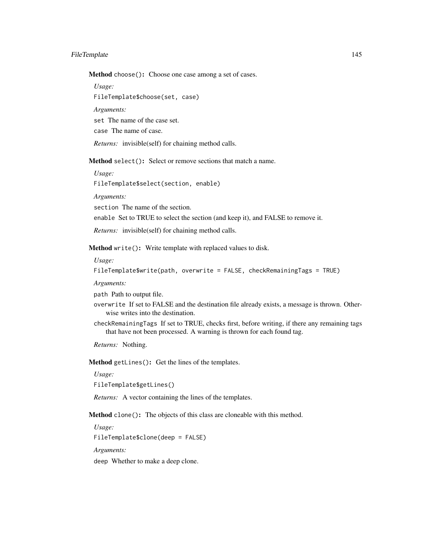#### FileTemplate 145

Method choose(): Choose one case among a set of cases.

*Usage:*

FileTemplate\$choose(set, case)

*Arguments:*

set The name of the case set.

case The name of case.

*Returns:* invisible(self) for chaining method calls.

Method select(): Select or remove sections that match a name.

*Usage:* FileTemplate\$select(section, enable)

*Arguments:*

section The name of the section.

enable Set to TRUE to select the section (and keep it), and FALSE to remove it.

*Returns:* invisible(self) for chaining method calls.

Method write(): Write template with replaced values to disk.

*Usage:*

FileTemplate\$write(path, overwrite = FALSE, checkRemainingTags = TRUE)

*Arguments:*

path Path to output file.

- overwrite If set to FALSE and the destination file already exists, a message is thrown. Otherwise writes into the destination.
- checkRemainingTags If set to TRUE, checks first, before writing, if there any remaining tags that have not been processed. A warning is thrown for each found tag.

*Returns:* Nothing.

Method getLines(): Get the lines of the templates.

*Usage:*

FileTemplate\$getLines()

*Returns:* A vector containing the lines of the templates.

Method clone(): The objects of this class are cloneable with this method.

*Usage:*

FileTemplate\$clone(deep = FALSE)

*Arguments:*

deep Whether to make a deep clone.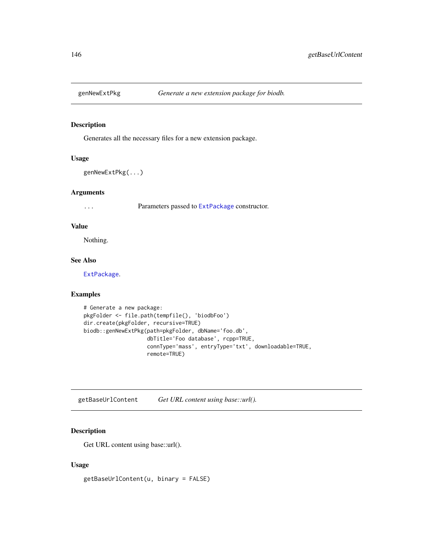Generates all the necessary files for a new extension package.

#### Usage

```
genNewExtPkg(...)
```
#### Arguments

... Parameters passed to [ExtPackage](#page-136-0) constructor.

# Value

Nothing.

## See Also

[ExtPackage](#page-136-0).

#### Examples

```
# Generate a new package:
pkgFolder <- file.path(tempfile(), 'biodbFoo')
dir.create(pkgFolder, recursive=TRUE)
biodb::genNewExtPkg(path=pkgFolder, dbName='foo.db',
                    dbTitle='Foo database', rcpp=TRUE,
                    connType='mass', entryType='txt', downloadable=TRUE,
                    remote=TRUE)
```
getBaseUrlContent *Get URL content using base::url().*

## Description

Get URL content using base::url().

#### Usage

getBaseUrlContent(u, binary = FALSE)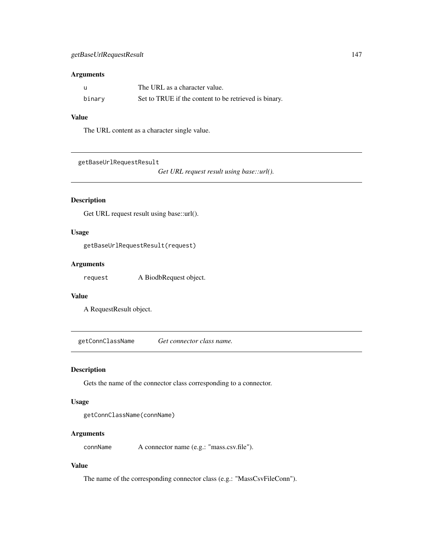#### Arguments

| - u    | The URL as a character value.                         |
|--------|-------------------------------------------------------|
| binary | Set to TRUE if the content to be retrieved is binary. |

# Value

The URL content as a character single value.

getBaseUrlRequestResult

*Get URL request result using base::url().*

# Description

Get URL request result using base::url().

# Usage

getBaseUrlRequestResult(request)

#### Arguments

request A BiodbRequest object.

# Value

A RequestResult object.

getConnClassName *Get connector class name.*

#### Description

Gets the name of the connector class corresponding to a connector.

#### Usage

```
getConnClassName(connName)
```
# Arguments

connName A connector name (e.g.: "mass.csv.file").

## Value

The name of the corresponding connector class (e.g.: "MassCsvFileConn").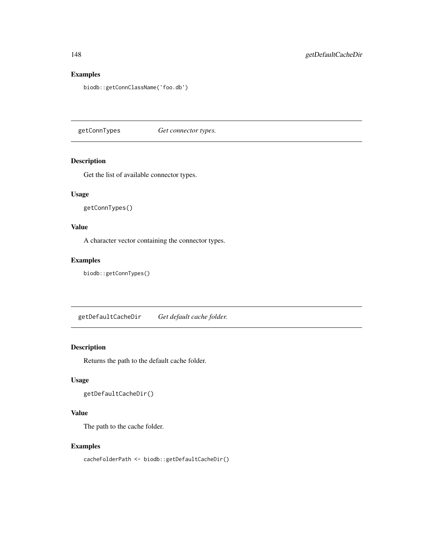## Examples

biodb::getConnClassName('foo.db')

getConnTypes *Get connector types.*

#### Description

Get the list of available connector types.

# Usage

getConnTypes()

# Value

A character vector containing the connector types.

# Examples

biodb::getConnTypes()

getDefaultCacheDir *Get default cache folder.*

# Description

Returns the path to the default cache folder.

# Usage

```
getDefaultCacheDir()
```
## Value

The path to the cache folder.

# Examples

cacheFolderPath <- biodb::getDefaultCacheDir()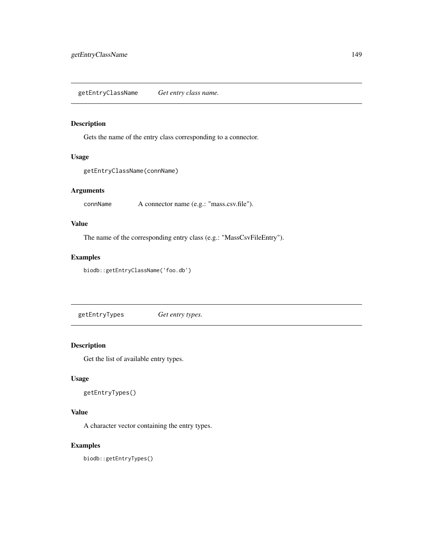getEntryClassName *Get entry class name.*

# Description

Gets the name of the entry class corresponding to a connector.

#### Usage

```
getEntryClassName(connName)
```
# Arguments

connName A connector name (e.g.: "mass.csv.file").

### Value

The name of the corresponding entry class (e.g.: "MassCsvFileEntry").

# Examples

```
biodb::getEntryClassName('foo.db')
```
getEntryTypes *Get entry types.*

# Description

Get the list of available entry types.

#### Usage

getEntryTypes()

### Value

A character vector containing the entry types.

# Examples

biodb::getEntryTypes()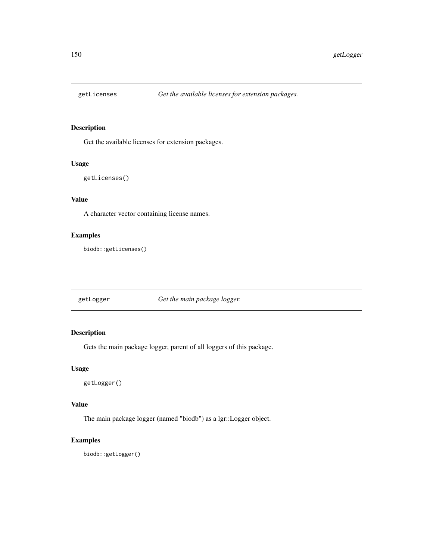Get the available licenses for extension packages.

#### Usage

```
getLicenses()
```
# Value

A character vector containing license names.

# Examples

biodb::getLicenses()

getLogger *Get the main package logger.*

# Description

Gets the main package logger, parent of all loggers of this package.

#### Usage

getLogger()

# Value

The main package logger (named "biodb") as a lgr::Logger object.

#### Examples

biodb::getLogger()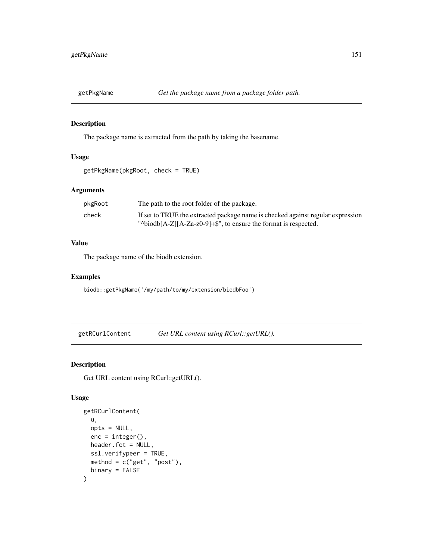The package name is extracted from the path by taking the basename.

#### Usage

```
getPkgName(pkgRoot, check = TRUE)
```
# Arguments

| pkgRoot | The path to the root folder of the package.                                     |
|---------|---------------------------------------------------------------------------------|
| check   | If set to TRUE the extracted package name is checked against regular expression |
|         | " $\Delta$ biodb[A-Z][A-Za-z0-9]+\$", to ensure the format is respected.        |

#### Value

The package name of the biodb extension.

#### Examples

biodb::getPkgName('/my/path/to/my/extension/biodbFoo')

getRCurlContent *Get URL content using RCurl::getURL().*

# Description

Get URL content using RCurl::getURL().

#### Usage

```
getRCurlContent(
  u,
 opts = NULL,enc = integer().
 header.fct = NULL,
  ssl.verifypeer = TRUE,
 method = c("get", "post"),binary = FALSE
\mathcal{E}
```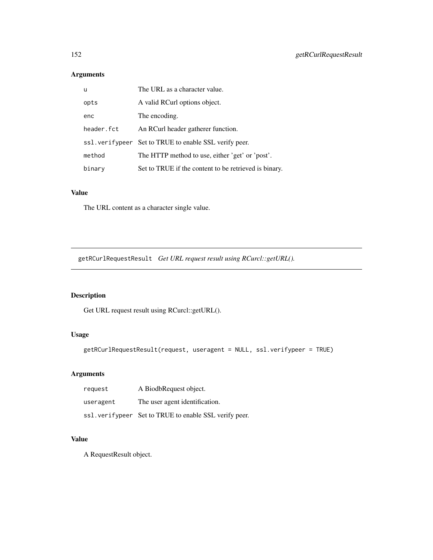# Arguments

| u          | The URL as a character value.                          |
|------------|--------------------------------------------------------|
| opts       | A valid RCurl options object.                          |
| enc        | The encoding.                                          |
| header.fct | An RCurl header gatherer function.                     |
|            | ss1. verifypeer Set to TRUE to enable SSL verify peer. |
| method     | The HTTP method to use, either 'get' or 'post'.        |
| binary     | Set to TRUE if the content to be retrieved is binary.  |

# Value

The URL content as a character single value.

getRCurlRequestResult *Get URL request result using RCurcl::getURL().*

# Description

Get URL request result using RCurcl::getURL().

# Usage

```
getRCurlRequestResult(request, useragent = NULL, ssl.verifypeer = TRUE)
```
# Arguments

| request   | A BiodbRequest object.                                 |
|-----------|--------------------------------------------------------|
| useragent | The user agent identification.                         |
|           | ss1. verifypeer Set to TRUE to enable SSL verify peer. |

# Value

A RequestResult object.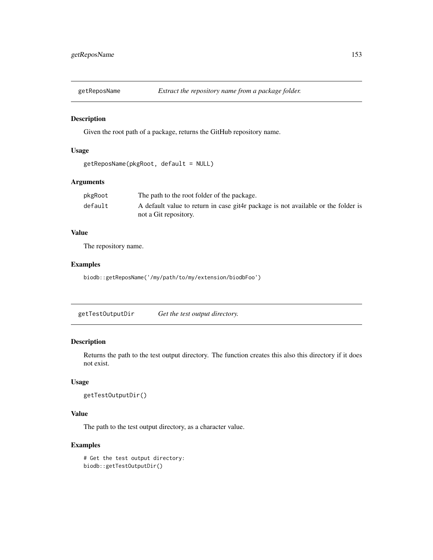Given the root path of a package, returns the GitHub repository name.

#### Usage

```
getReposName(pkgRoot, default = NULL)
```
# Arguments

| pkgRoot | The path to the root folder of the package.                                       |
|---------|-----------------------------------------------------------------------------------|
| default | A default value to return in case git4r package is not available or the folder is |
|         | not a Git repository.                                                             |

## Value

The repository name.

# Examples

biodb::getReposName('/my/path/to/my/extension/biodbFoo')

getTestOutputDir *Get the test output directory.*

# Description

Returns the path to the test output directory. The function creates this also this directory if it does not exist.

#### Usage

```
getTestOutputDir()
```
## Value

The path to the test output directory, as a character value.

```
# Get the test output directory:
biodb::getTestOutputDir()
```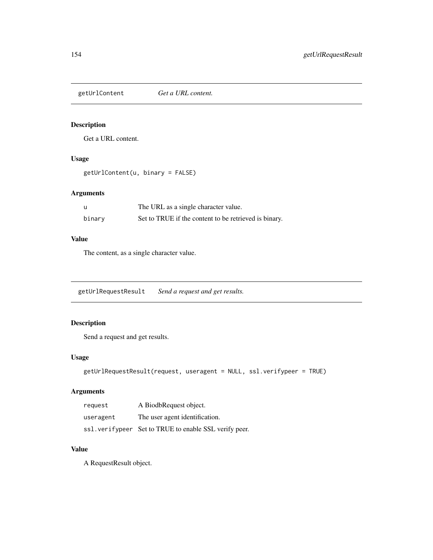getUrlContent *Get a URL content.*

# Description

Get a URL content.

# Usage

getUrlContent(u, binary = FALSE)

# Arguments

| -u     | The URL as a single character value.                  |
|--------|-------------------------------------------------------|
| binary | Set to TRUE if the content to be retrieved is binary. |

# Value

The content, as a single character value.

getUrlRequestResult *Send a request and get results.*

# Description

Send a request and get results.

# Usage

```
getUrlRequestResult(request, useragent = NULL, ssl.verifypeer = TRUE)
```
# Arguments

| request   | A BiodbRequest object.                                 |
|-----------|--------------------------------------------------------|
| useragent | The user agent identification.                         |
|           | ssl. verifypeer Set to TRUE to enable SSL verify peer. |

# Value

A RequestResult object.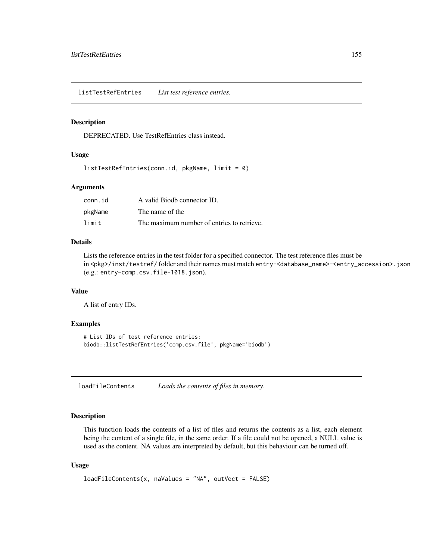listTestRefEntries *List test reference entries.*

#### Description

DEPRECATED. Use TestRefEntries class instead.

#### Usage

listTestRefEntries(conn.id, pkgName, limit = 0)

# Arguments

| conn.id | A valid Biodb connector ID.                |
|---------|--------------------------------------------|
| pkgName | The name of the                            |
| limit   | The maximum number of entries to retrieve. |

#### Details

Lists the reference entries in the test folder for a specified connector. The test reference files must be in <pkg>/inst/testref/ folder and their names must match entry-<database\_name>-<entry\_accession>.json (e.g.: entry-comp.csv.file-1018.json).

#### Value

A list of entry IDs.

#### Examples

```
# List IDs of test reference entries:
biodb::listTestRefEntries('comp.csv.file', pkgName='biodb')
```
loadFileContents *Loads the contents of files in memory.*

# Description

This function loads the contents of a list of files and returns the contents as a list, each element being the content of a single file, in the same order. If a file could not be opened, a NULL value is used as the content. NA values are interpreted by default, but this behaviour can be turned off.

#### Usage

```
loadFileContents(x, naValues = "NA", outVect = FALSE)
```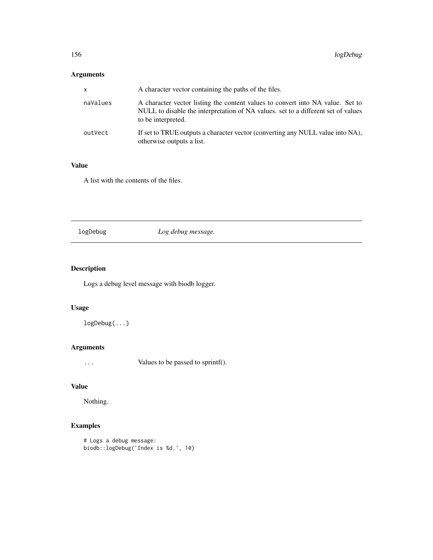# Arguments

| $\mathsf{x}$ | A character vector containing the paths of the files.                                                                                                                                     |
|--------------|-------------------------------------------------------------------------------------------------------------------------------------------------------------------------------------------|
| naValues     | A character vector listing the content values to convert into NA value. Set to<br>NULL to disable the interpretation of NA values. set to a different set of values<br>to be interpreted. |
| outVect      | If set to TRUE outputs a character vector (converting any NULL value into NA),<br>otherwise outputs a list.                                                                               |

# Value

A list with the contents of the files.

# logDebug *Log debug message.*

# Description

Logs a debug level message with biodb logger.

# Usage

logDebug(...)

# Arguments

... Values to be passed to sprintf().

# Value

Nothing.

```
# Logs a debug message:
biodb::logDebug('Index is %d.', 10)
```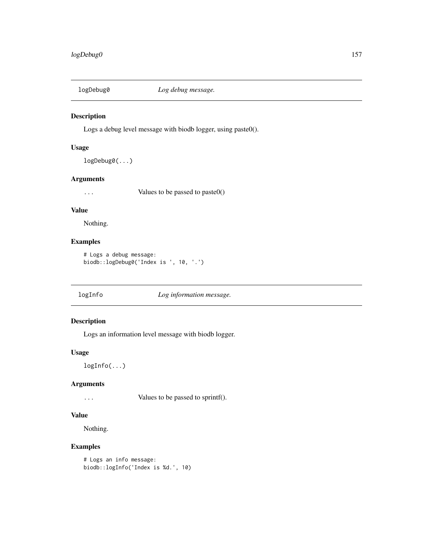Logs a debug level message with biodb logger, using paste0().

#### Usage

logDebug0(...)

#### Arguments

... Values to be passed to paste0()

# Value

Nothing.

# Examples

```
# Logs a debug message:
biodb::logDebug0('Index is ', 10, '.')
```
logInfo *Log information message.*

# Description

Logs an information level message with biodb logger.

#### Usage

logInfo(...)

# Arguments

... Values to be passed to sprintf().

# Value

Nothing.

```
# Logs an info message:
biodb::logInfo('Index is %d.', 10)
```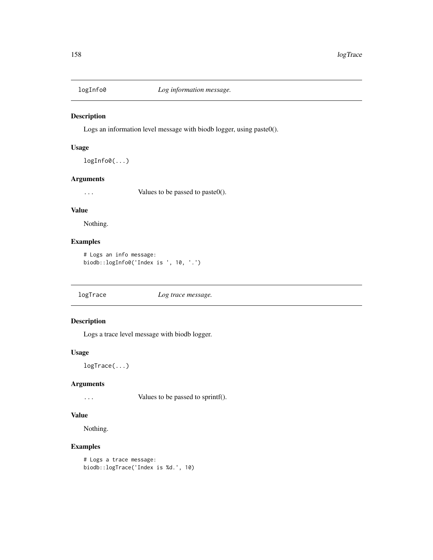Logs an information level message with biodb logger, using paste0().

# Usage

logInfo0(...)

#### Arguments

... Values to be passed to paste0().

# Value

Nothing.

# Examples

```
# Logs an info message:
biodb::logInfo0('Index is ', 10, '.')
```
logTrace *Log trace message.*

# Description

Logs a trace level message with biodb logger.

#### Usage

logTrace(...)

#### Arguments

... Values to be passed to sprintf().

#### Value

Nothing.

```
# Logs a trace message:
biodb::logTrace('Index is %d.', 10)
```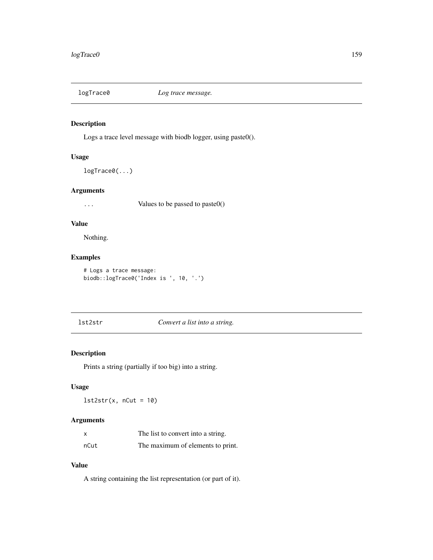Logs a trace level message with biodb logger, using paste0().

#### Usage

logTrace0(...)

# Arguments

... Values to be passed to paste0()

### Value

Nothing.

# Examples

```
# Logs a trace message:
biodb::logTrace0('Index is ', 10, '.')
```
# lst2str *Convert a list into a string.*

# Description

Prints a string (partially if too big) into a string.

# Usage

 $lst2str(x, nCut = 10)$ 

#### Arguments

|      | The list to convert into a string. |
|------|------------------------------------|
| nCut | The maximum of elements to print.  |

## Value

A string containing the list representation (or part of it).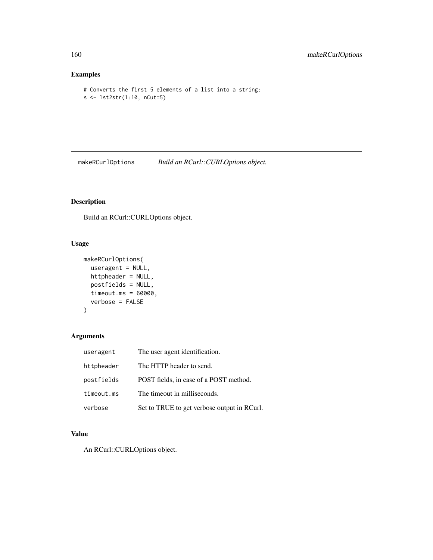# Examples

```
# Converts the first 5 elements of a list into a string:
s <- lst2str(1:10, nCut=5)
```
makeRCurlOptions *Build an RCurl::CURLOptions object.*

# Description

Build an RCurl::CURLOptions object.

# Usage

```
makeRCurlOptions(
  useragent = NULL,
  httpheader = NULL,
  postfields = NULL,
  timeout.ms = 60000,
  verbose = FALSE
)
```
# Arguments

| useragent  | The user agent identification.              |
|------------|---------------------------------------------|
| httpheader | The HTTP header to send.                    |
| postfields | POST fields, in case of a POST method.      |
| timeout.ms | The timeout in milliseconds.                |
| verbose    | Set to TRUE to get verbose output in RCurl. |

# Value

An RCurl::CURLOptions object.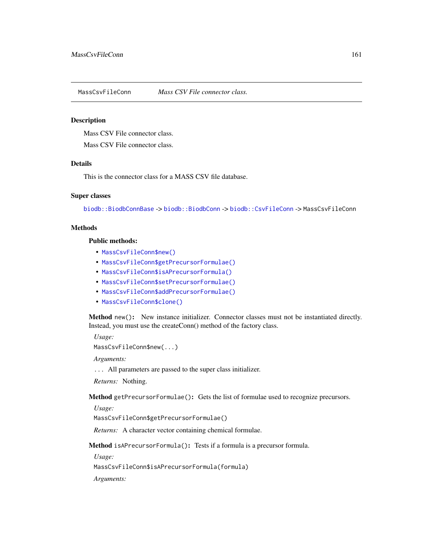MassCsvFileConn *Mass CSV File connector class.*

#### **Description**

Mass CSV File connector class.

Mass CSV File connector class.

#### Details

This is the connector class for a MASS CSV file database.

#### Super classes

[biodb::BiodbConnBase](#page-0-0) -> [biodb::BiodbConn](#page-0-0) -> [biodb::CsvFileConn](#page-0-0) -> MassCsvFileConn

#### Methods

#### Public methods:

- [MassCsvFileConn\\$new\(\)](#page-6-0)
- [MassCsvFileConn\\$getPrecursorFormulae\(\)](#page-160-0)
- [MassCsvFileConn\\$isAPrecursorFormula\(\)](#page-160-1)
- [MassCsvFileConn\\$setPrecursorFormulae\(\)](#page-161-0)
- [MassCsvFileConn\\$addPrecursorFormulae\(\)](#page-161-1)
- [MassCsvFileConn\\$clone\(\)](#page-6-1)

Method new(): New instance initializer. Connector classes must not be instantiated directly. Instead, you must use the createConn() method of the factory class.

*Usage:* MassCsvFileConn\$new(...)

*Arguments:*

... All parameters are passed to the super class initializer.

*Returns:* Nothing.

<span id="page-160-0"></span>Method getPrecursorFormulae(): Gets the list of formulae used to recognize precursors.

*Usage:*

MassCsvFileConn\$getPrecursorFormulae()

*Returns:* A character vector containing chemical formulae.

<span id="page-160-1"></span>Method isAPrecursorFormula(): Tests if a formula is a precursor formula.

*Usage:*

MassCsvFileConn\$isAPrecursorFormula(formula)

*Arguments:*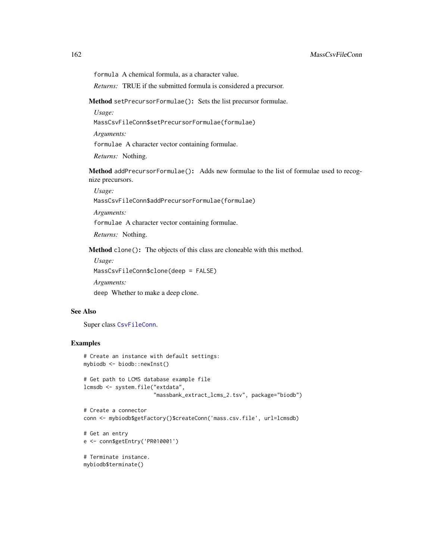formula A chemical formula, as a character value.

*Returns:* TRUE if the submitted formula is considered a precursor.

<span id="page-161-0"></span>Method setPrecursorFormulae(): Sets the list precursor formulae.

*Usage:*

MassCsvFileConn\$setPrecursorFormulae(formulae)

*Arguments:*

formulae A character vector containing formulae.

*Returns:* Nothing.

<span id="page-161-1"></span>Method addPrecursorFormulae(): Adds new formulae to the list of formulae used to recognize precursors.

*Usage:*

MassCsvFileConn\$addPrecursorFormulae(formulae)

*Arguments:*

formulae A character vector containing formulae.

*Returns:* Nothing.

Method clone(): The objects of this class are cloneable with this method.

*Usage:* MassCsvFileConn\$clone(deep = FALSE) *Arguments:* deep Whether to make a deep clone.

# See Also

Super class [CsvFileConn](#page-118-0).

#### Examples

```
# Create an instance with default settings:
mybiodb <- biodb::newInst()
```

```
# Get path to LCMS database example file
lcmsdb <- system.file("extdata",
                     "massbank_extract_lcms_2.tsv", package="biodb")
```

```
# Create a connector
conn <- mybiodb$getFactory()$createConn('mass.csv.file', url=lcmsdb)
```

```
# Get an entry
e <- conn$getEntry('PR010001')
```
# Terminate instance. mybiodb\$terminate()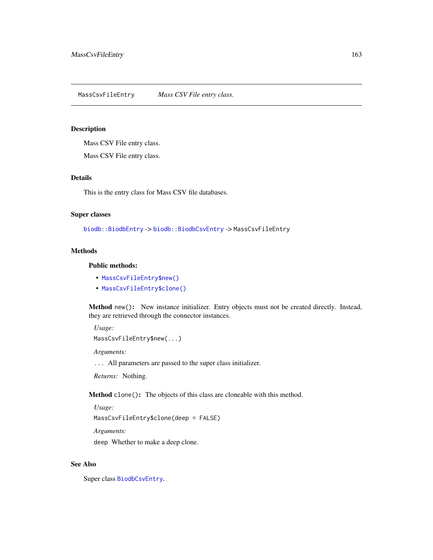MassCsvFileEntry *Mass CSV File entry class.*

#### Description

Mass CSV File entry class.

Mass CSV File entry class.

# Details

This is the entry class for Mass CSV file databases.

# Super classes

[biodb::BiodbEntry](#page-0-0) -> [biodb::BiodbCsvEntry](#page-0-0) -> MassCsvFileEntry

#### Methods

#### Public methods:

- [MassCsvFileEntry\\$new\(\)](#page-6-0)
- [MassCsvFileEntry\\$clone\(\)](#page-6-1)

Method new(): New instance initializer. Entry objects must not be created directly. Instead, they are retrieved through the connector instances.

*Usage:*

MassCsvFileEntry\$new(...)

*Arguments:*

... All parameters are passed to the super class initializer.

*Returns:* Nothing.

Method clone(): The objects of this class are cloneable with this method.

*Usage:*

MassCsvFileEntry\$clone(deep = FALSE)

*Arguments:*

deep Whether to make a deep clone.

#### See Also

Super class [BiodbCsvEntry](#page-38-0).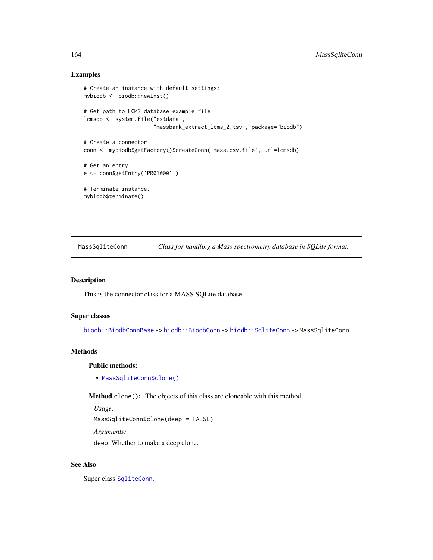# Examples

```
# Create an instance with default settings:
mybiodb <- biodb::newInst()
# Get path to LCMS database example file
lcmsdb <- system.file("extdata",
                      "massbank_extract_lcms_2.tsv", package="biodb")
# Create a connector
conn <- mybiodb$getFactory()$createConn('mass.csv.file', url=lcmsdb)
# Get an entry
e <- conn$getEntry('PR010001')
# Terminate instance.
```
mybiodb\$terminate()

<span id="page-163-0"></span>MassSqliteConn *Class for handling a Mass spectrometry database in SQLite format.*

# Description

This is the connector class for a MASS SQLite database.

#### Super classes

[biodb::BiodbConnBase](#page-0-0) -> [biodb::BiodbConn](#page-0-0) -> [biodb::SqliteConn](#page-0-0) -> MassSqliteConn

#### Methods

Public methods:

• [MassSqliteConn\\$clone\(\)](#page-6-1)

Method clone(): The objects of this class are cloneable with this method.

*Usage:*

MassSqliteConn\$clone(deep = FALSE)

*Arguments:*

deep Whether to make a deep clone.

#### See Also

Super class [SqliteConn](#page-173-0).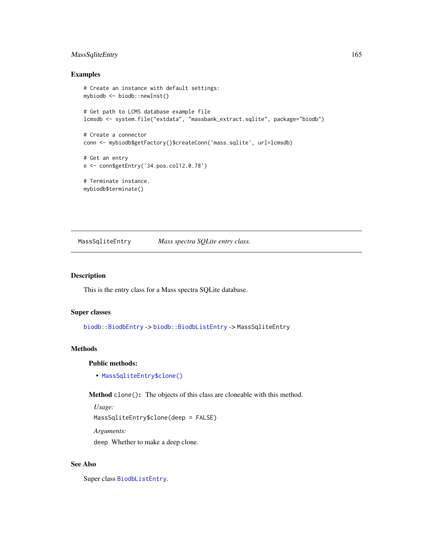# MassSqliteEntry 165

#### Examples

```
# Create an instance with default settings:
mybiodb <- biodb::newInst()
# Get path to LCMS database example file
lcmsdb <- system.file("extdata", "massbank_extract.sqlite", package="biodb")
# Create a connector
conn <- mybiodb$getFactory()$createConn('mass.sqlite', url=lcmsdb)
# Get an entry
e <- conn$getEntry('34.pos.col12.0.78')
# Terminate instance.
mybiodb$terminate()
```
MassSqliteEntry *Mass spectra SQLite entry class.*

#### Description

This is the entry class for a Mass spectra SQLite database.

#### Super classes

[biodb::BiodbEntry](#page-0-0) -> [biodb::BiodbListEntry](#page-0-0) -> MassSqliteEntry

#### Methods

Public methods:

• [MassSqliteEntry\\$clone\(\)](#page-6-1)

Method clone(): The objects of this class are cloneable with this method.

*Usage:*

MassSqliteEntry\$clone(deep = FALSE)

*Arguments:*

deep Whether to make a deep clone.

#### See Also

Super class [BiodbListEntry](#page-70-0).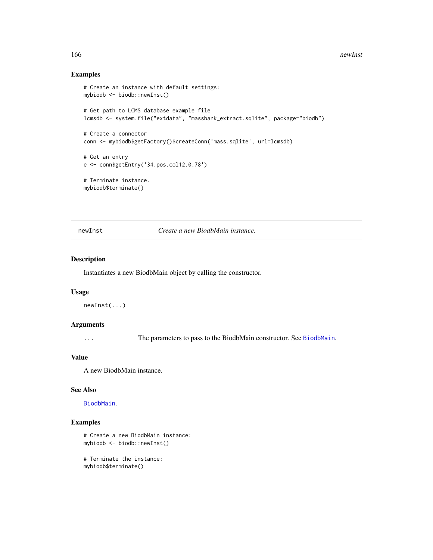#### 166 newInst

## Examples

```
# Create an instance with default settings:
mybiodb <- biodb::newInst()
# Get path to LCMS database example file
lcmsdb <- system.file("extdata", "massbank_extract.sqlite", package="biodb")
# Create a connector
conn <- mybiodb$getFactory()$createConn('mass.sqlite', url=lcmsdb)
# Get an entry
e <- conn$getEntry('34.pos.col12.0.78')
# Terminate instance.
mybiodb$terminate()
```
newInst *Create a new BiodbMain instance.*

#### Description

Instantiates a new BiodbMain object by calling the constructor.

#### Usage

newInst(...)

#### Arguments

... The parameters to pass to the BiodbMain constructor. See [BiodbMain](#page-71-0).

#### Value

A new BiodbMain instance.

#### See Also

[BiodbMain](#page-71-0).

# Examples

```
# Create a new BiodbMain instance:
mybiodb <- biodb::newInst()
```
# Terminate the instance: mybiodb\$terminate()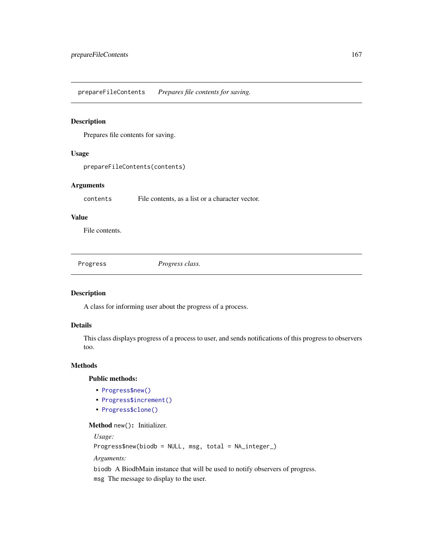prepareFileContents *Prepares file contents for saving.*

#### Description

Prepares file contents for saving.

#### Usage

```
prepareFileContents(contents)
```
# Arguments

contents File contents, as a list or a character vector.

#### Value

File contents.

Progress *Progress class.*

#### Description

A class for informing user about the progress of a process.

## Details

This class displays progress of a process to user, and sends notifications of this progress to observers too.

#### Methods

Public methods:

- [Progress\\$new\(\)](#page-6-0)
- [Progress\\$increment\(\)](#page-167-0)
- [Progress\\$clone\(\)](#page-6-1)

#### Method new(): Initializer.

*Usage:*

Progress\$new(biodb = NULL, msg, total = NA\_integer\_)

*Arguments:*

biodb A BiodbMain instance that will be used to notify observers of progress. msg The message to display to the user.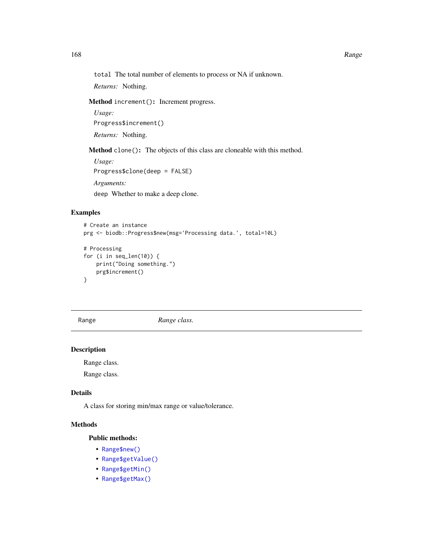total The total number of elements to process or NA if unknown.

*Returns:* Nothing.

<span id="page-167-0"></span>Method increment(): Increment progress.

*Usage:* Progress\$increment() *Returns:* Nothing.

Method clone(): The objects of this class are cloneable with this method.

*Usage:* Progress\$clone(deep = FALSE) *Arguments:* deep Whether to make a deep clone.

#### Examples

```
# Create an instance
prg <- biodb::Progress$new(msg='Processing data.', total=10L)
# Processing
for (i in seq_len(10)) {
   print("Doing something.")
   prg$increment()
}
```
Range *Range class.*

# Description

Range class.

Range class.

# Details

A class for storing min/max range or value/tolerance.

# Methods

Public methods:

- [Range\\$new\(\)](#page-6-0)
- [Range\\$getValue\(\)](#page-168-0)
- [Range\\$getMin\(\)](#page-168-1)
- [Range\\$getMax\(\)](#page-168-2)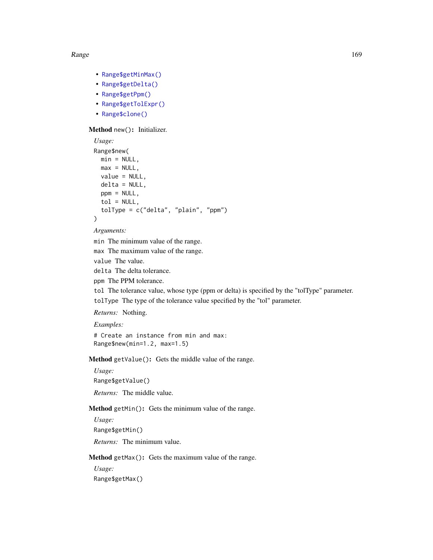#### Range and the state of the state of the state of the state of the state of the state of the state of the state of the state of the state of the state of the state of the state of the state of the state of the state of the

- [Range\\$getMinMax\(\)](#page-169-0)
- [Range\\$getDelta\(\)](#page-169-1)
- [Range\\$getPpm\(\)](#page-169-2)
- [Range\\$getTolExpr\(\)](#page-169-3)
- [Range\\$clone\(\)](#page-6-1)

# Method new(): Initializer.

```
Usage:
Range$new(
 min = NULL,max = NULL,value = NULL,
 delta = NULL,ppm = NULL,tol = NULL,tolType = c("delta", "plain", "ppm")
\lambda
```
*Arguments:*

min The minimum value of the range.

max The maximum value of the range.

value The value.

delta The delta tolerance.

ppm The PPM tolerance.

tol The tolerance value, whose type (ppm or delta) is specified by the "tolType" parameter.

tolType The type of the tolerance value specified by the "tol" parameter.

*Returns:* Nothing.

*Examples:*

# Create an instance from min and max: Range\$new(min=1.2, max=1.5)

<span id="page-168-0"></span>Method getValue(): Gets the middle value of the range.

*Usage:* Range\$getValue() *Returns:* The middle value.

<span id="page-168-1"></span>Method getMin(): Gets the minimum value of the range.

*Usage:*

Range\$getMin()

*Returns:* The minimum value.

<span id="page-168-2"></span>Method getMax(): Gets the maximum value of the range.

*Usage:*

Range\$getMax()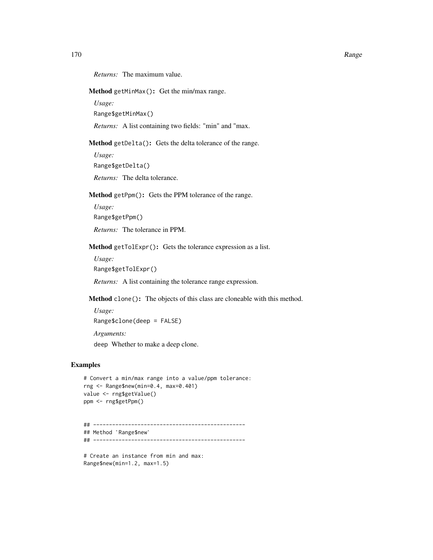*Returns:* The maximum value.

<span id="page-169-0"></span>Method getMinMax(): Get the min/max range.

*Usage:* Range\$getMinMax()

*Returns:* A list containing two fields: "min" and "max.

<span id="page-169-1"></span>Method getDelta(): Gets the delta tolerance of the range.

*Usage:* Range\$getDelta()

*Returns:* The delta tolerance.

<span id="page-169-2"></span>Method getPpm(): Gets the PPM tolerance of the range.

*Usage:* Range\$getPpm() *Returns:* The tolerance in PPM.

<span id="page-169-3"></span>Method getTolExpr(): Gets the tolerance expression as a list.

*Usage:*

Range\$getTolExpr()

*Returns:* A list containing the tolerance range expression.

Method clone(): The objects of this class are cloneable with this method.

*Usage:*

Range\$clone(deep = FALSE)

*Arguments:* deep Whether to make a deep clone.

#### Examples

```
# Convert a min/max range into a value/ppm tolerance:
rng <- Range$new(min=0.4, max=0.401)
value <- rng$getValue()
ppm <- rng$getPpm()
```

```
## ------------------------------------------------
## Method `Range$new`
## ------------------------------------------------
```
# Create an instance from min and max: Range\$new(min=1.2, max=1.5)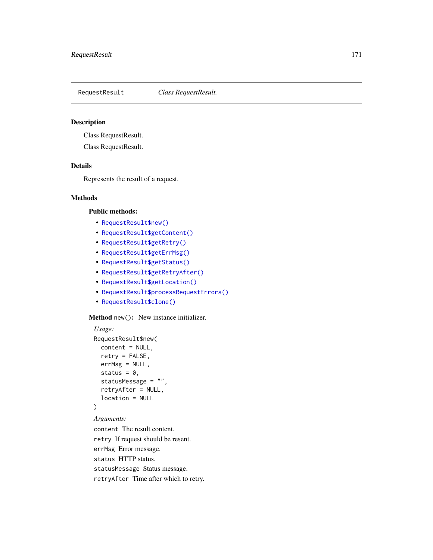Class RequestResult.

Class RequestResult.

#### Details

Represents the result of a request.

# Methods

#### Public methods:

- [RequestResult\\$new\(\)](#page-6-0)
- [RequestResult\\$getContent\(\)](#page-171-0)
- [RequestResult\\$getRetry\(\)](#page-171-1)
- [RequestResult\\$getErrMsg\(\)](#page-171-2)
- [RequestResult\\$getStatus\(\)](#page-171-3)
- [RequestResult\\$getRetryAfter\(\)](#page-171-4)
- [RequestResult\\$getLocation\(\)](#page-171-5)
- [RequestResult\\$processRequestErrors\(\)](#page-171-6)
- [RequestResult\\$clone\(\)](#page-6-1)

#### Method new(): New instance initializer.

```
Usage:
RequestResult$new(
  content = NULL,
  retry = FALSE,
 errMsg = NULL,
  status = 0,
  statusMessage = "",
  retryAfter = NULL,
  location = NULL
)
Arguments:
content The result content.
retry If request should be resent.
errMsg Error message.
status HTTP status.
```
statusMessage Status message.

retryAfter Time after which to retry.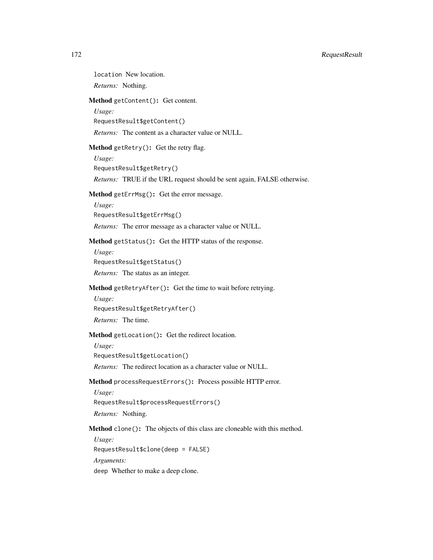location New location.

*Returns:* Nothing.

<span id="page-171-0"></span>Method getContent(): Get content.

*Usage:*

RequestResult\$getContent()

*Returns:* The content as a character value or NULL.

<span id="page-171-1"></span>Method getRetry(): Get the retry flag.

*Usage:*

RequestResult\$getRetry()

*Returns:* TRUE if the URL request should be sent again, FALSE otherwise.

<span id="page-171-2"></span>Method getErrMsg(): Get the error message.

*Usage:*

RequestResult\$getErrMsg()

*Returns:* The error message as a character value or NULL.

<span id="page-171-3"></span>Method getStatus(): Get the HTTP status of the response.

*Usage:*

RequestResult\$getStatus()

*Returns:* The status as an integer.

<span id="page-171-4"></span>Method getRetryAfter(): Get the time to wait before retrying.

*Usage:*

RequestResult\$getRetryAfter()

*Returns:* The time.

<span id="page-171-5"></span>Method getLocation(): Get the redirect location.

*Usage:*

RequestResult\$getLocation()

*Returns:* The redirect location as a character value or NULL.

<span id="page-171-6"></span>Method processRequestErrors(): Process possible HTTP error.

*Usage:* RequestResult\$processRequestErrors() *Returns:* Nothing.

Method clone(): The objects of this class are cloneable with this method.

*Usage:*

RequestResult\$clone(deep = FALSE)

*Arguments:*

deep Whether to make a deep clone.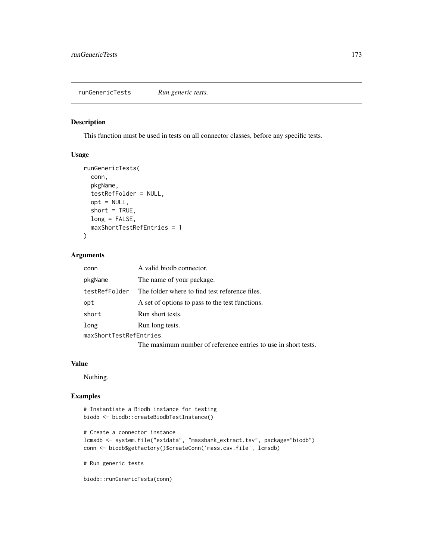This function must be used in tests on all connector classes, before any specific tests.

#### Usage

```
runGenericTests(
 conn,
 pkgName,
  testRefFolder = NULL,
 opt = NULL,short = TRUE,long = FALSE,
 maxShortTestRefEntries = 1
)
```
# Arguments

| conn                   | A valid biodb connector.                                       |
|------------------------|----------------------------------------------------------------|
| pkgName                | The name of your package.                                      |
| testRefFolder          | The folder where to find test reference files.                 |
| opt                    | A set of options to pass to the test functions.                |
| short                  | Run short tests.                                               |
| long                   | Run long tests.                                                |
| maxShortTestRefEntries |                                                                |
|                        | The maximum number of reference entries to use in short tests. |

#### Value

Nothing.

# Examples

```
# Instantiate a Biodb instance for testing
biodb <- biodb::createBiodbTestInstance()
# Create a connector instance
lcmsdb <- system.file("extdata", "massbank_extract.tsv", package="biodb")
conn <- biodb$getFactory()$createConn('mass.csv.file', lcmsdb)
# Run generic tests
```
biodb::runGenericTests(conn)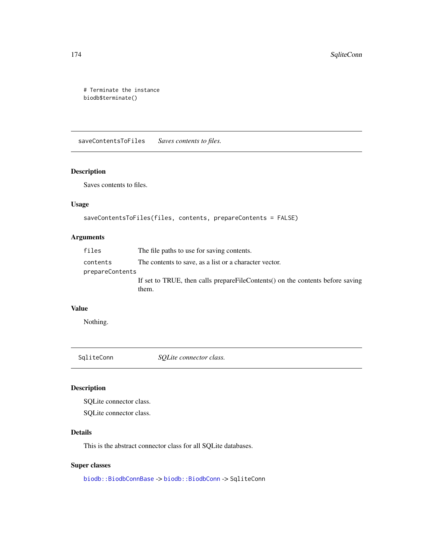```
# Terminate the instance
biodb$terminate()
```
saveContentsToFiles *Saves contents to files.*

# Description

Saves contents to files.

# Usage

```
saveContentsToFiles(files, contents, prepareContents = FALSE)
```
# Arguments

| files           | The file paths to use for saving contents.                                              |
|-----------------|-----------------------------------------------------------------------------------------|
| contents        | The contents to save, as a list or a character vector.                                  |
| prepareContents |                                                                                         |
|                 | If set to TRUE, then calls prepareFileContents() on the contents before saving<br>them. |

## Value

Nothing.

<span id="page-173-0"></span>SqliteConn *SQLite connector class.* 

# Description

SQLite connector class.

SQLite connector class.

# Details

This is the abstract connector class for all SQLite databases.

# Super classes

[biodb::BiodbConnBase](#page-0-0) -> [biodb::BiodbConn](#page-0-0) -> SqliteConn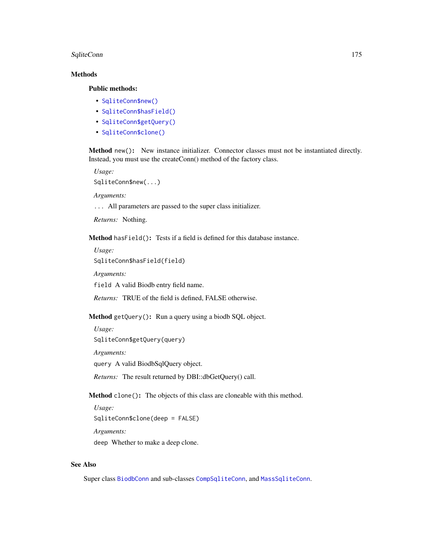#### SqliteConn 175

#### Methods

# Public methods:

- [SqliteConn\\$new\(\)](#page-6-0)
- [SqliteConn\\$hasField\(\)](#page-46-0)
- [SqliteConn\\$getQuery\(\)](#page-174-0)
- [SqliteConn\\$clone\(\)](#page-6-1)

Method new(): New instance initializer. Connector classes must not be instantiated directly. Instead, you must use the createConn() method of the factory class.

*Usage:*

SqliteConn\$new(...)

*Arguments:*

... All parameters are passed to the super class initializer.

*Returns:* Nothing.

Method hasField(): Tests if a field is defined for this database instance.

*Usage:*

SqliteConn\$hasField(field)

*Arguments:*

field A valid Biodb entry field name.

*Returns:* TRUE of the field is defined, FALSE otherwise.

<span id="page-174-0"></span>Method getQuery(): Run a query using a biodb SQL object.

*Usage:*

SqliteConn\$getQuery(query)

*Arguments:*

query A valid BiodbSqlQuery object.

*Returns:* The result returned by DBI::dbGetQuery() call.

Method clone(): The objects of this class are cloneable with this method.

*Usage:* SqliteConn\$clone(deep = FALSE) *Arguments:* deep Whether to make a deep clone.

#### See Also

Super class [BiodbConn](#page-11-0) and sub-classes [CompSqliteConn](#page-115-0), and [MassSqliteConn](#page-163-0).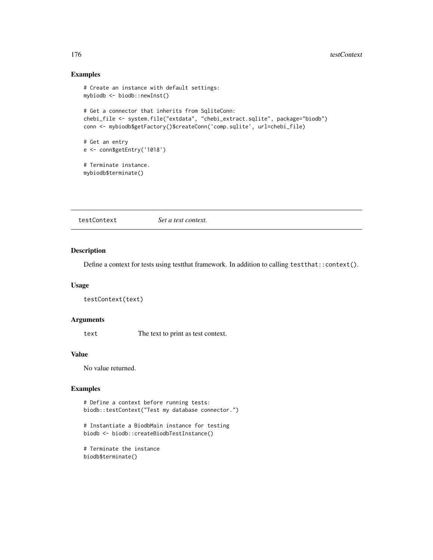# Examples

```
# Create an instance with default settings:
mybiodb <- biodb::newInst()
# Get a connector that inherits from SqliteConn:
chebi_file <- system.file("extdata", "chebi_extract.sqlite", package="biodb")
conn <- mybiodb$getFactory()$createConn('comp.sqlite', url=chebi_file)
# Get an entry
e <- conn$getEntry('1018')
# Terminate instance.
mybiodb$terminate()
```
testContext *Set a test context.*

#### Description

Define a context for tests using testthat framework. In addition to calling testthat::context().

#### Usage

```
testContext(text)
```
#### Arguments

text The text to print as test context.

#### Value

No value returned.

# Examples

# Define a context before running tests: biodb::testContext("Test my database connector.")

# Instantiate a BiodbMain instance for testing biodb <- biodb::createBiodbTestInstance()

```
# Terminate the instance
biodb$terminate()
```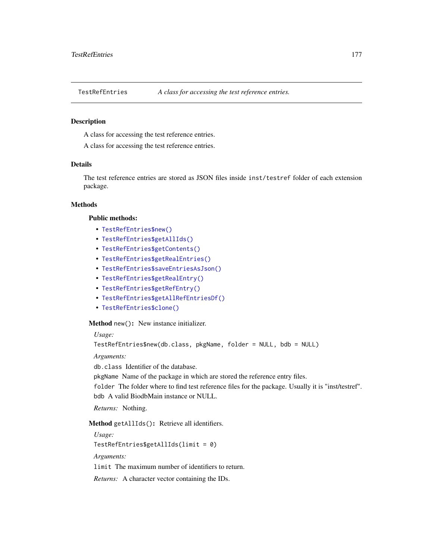A class for accessing the test reference entries.

A class for accessing the test reference entries.

#### Details

The test reference entries are stored as JSON files inside inst/testref folder of each extension package.

#### Methods

#### Public methods:

- [TestRefEntries\\$new\(\)](#page-6-0)
- [TestRefEntries\\$getAllIds\(\)](#page-176-0)
- [TestRefEntries\\$getContents\(\)](#page-176-1)
- [TestRefEntries\\$getRealEntries\(\)](#page-177-0)
- [TestRefEntries\\$saveEntriesAsJson\(\)](#page-77-0)
- [TestRefEntries\\$getRealEntry\(\)](#page-177-1)
- [TestRefEntries\\$getRefEntry\(\)](#page-177-2)
- [TestRefEntries\\$getAllRefEntriesDf\(\)](#page-177-3)
- [TestRefEntries\\$clone\(\)](#page-6-1)

#### Method new(): New instance initializer.

*Usage:*

```
TestRefEntries$new(db.class, pkgName, folder = NULL, bdb = NULL)
```
*Arguments:*

db.class Identifier of the database.

pkgName Name of the package in which are stored the reference entry files.

folder The folder where to find test reference files for the package. Usually it is "inst/testref". bdb A valid BiodbMain instance or NULL.

*Returns:* Nothing.

#### <span id="page-176-0"></span>Method getAllIds(): Retrieve all identifiers.

*Usage:*

TestRefEntries\$getAllIds(limit = 0)

*Arguments:*

limit The maximum number of identifiers to return.

<span id="page-176-1"></span>*Returns:* A character vector containing the IDs.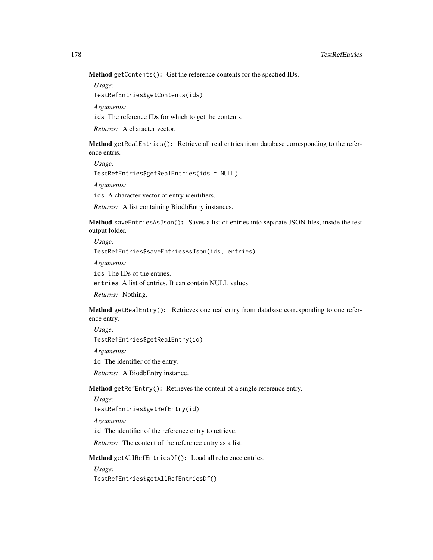Method getContents(): Get the reference contents for the specfied IDs.

*Usage:*

TestRefEntries\$getContents(ids)

*Arguments:*

ids The reference IDs for which to get the contents.

*Returns:* A character vector.

<span id="page-177-0"></span>Method getRealEntries(): Retrieve all real entries from database corresponding to the reference entris.

*Usage:* TestRefEntries\$getRealEntries(ids = NULL) *Arguments:* ids A character vector of entry identifiers.

*Returns:* A list containing BiodbEntry instances.

Method saveEntriesAsJson(): Saves a list of entries into separate JSON files, inside the test output folder.

*Usage:* TestRefEntries\$saveEntriesAsJson(ids, entries) *Arguments:*

ids The IDs of the entries.

entries A list of entries. It can contain NULL values.

*Returns:* Nothing.

<span id="page-177-1"></span>Method getRealEntry(): Retrieves one real entry from database corresponding to one reference entry.

*Usage:*

TestRefEntries\$getRealEntry(id)

*Arguments:*

id The identifier of the entry.

*Returns:* A BiodbEntry instance.

<span id="page-177-2"></span>Method getRefEntry(): Retrieves the content of a single reference entry.

*Usage:*

TestRefEntries\$getRefEntry(id)

*Arguments:*

id The identifier of the reference entry to retrieve.

*Returns:* The content of the reference entry as a list.

<span id="page-177-3"></span>Method getAllRefEntriesDf(): Load all reference entries.

*Usage:*

TestRefEntries\$getAllRefEntriesDf()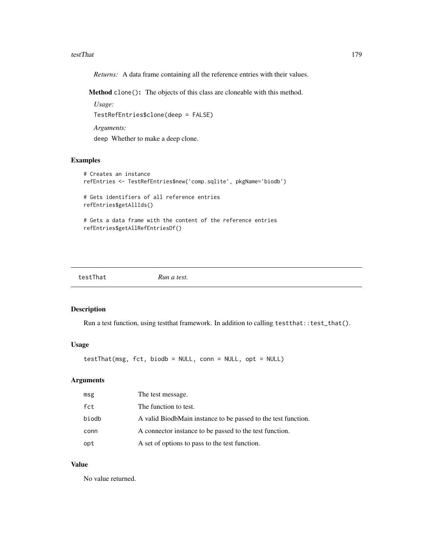#### testThat 179

*Returns:* A data frame containing all the reference entries with their values.

Method clone(): The objects of this class are cloneable with this method.

*Usage:* TestRefEntries\$clone(deep = FALSE) *Arguments:*

deep Whether to make a deep clone.

# Examples

```
# Creates an instance
refEntries <- TestRefEntries$new('comp.sqlite', pkgName='biodb')
# Gets identifiers of all reference entries
refEntries$getAllIds()
# Gets a data frame with the content of the reference entries
refEntries$getAllRefEntriesDf()
```
testThat *Run a test.*

#### Description

Run a test function, using testthat framework. In addition to calling test that::test\_that().

# Usage

testThat(msg, fct, biodb = NULL, conn = NULL, opt = NULL)

#### Arguments

| msg   | The test message.                                             |
|-------|---------------------------------------------------------------|
| fct   | The function to test.                                         |
| biodb | A valid BiodbMain instance to be passed to the test function. |
| conn  | A connector instance to be passed to the test function.       |
| opt   | A set of options to pass to the test function.                |

#### Value

No value returned.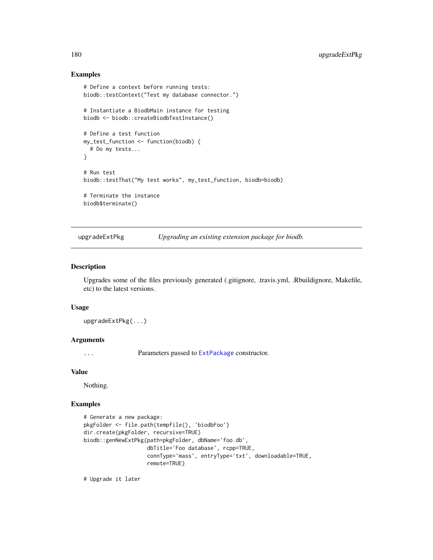#### Examples

```
# Define a context before running tests:
biodb::testContext("Test my database connector.")
# Instantiate a BiodbMain instance for testing
biodb <- biodb::createBiodbTestInstance()
# Define a test function
my_test_function <- function(biodb) {
  # Do my tests...
}
# Run test
biodb::testThat("My test works", my_test_function, biodb=biodb)
# Terminate the instance
biodb$terminate()
```
upgradeExtPkg *Upgrading an existing extension package for biodb.*

#### Description

Upgrades some of the files previously generated (.gitignore, .travis.yml, .Rbuildignore, Makefile, etc) to the latest versions.

#### Usage

upgradeExtPkg(...)

#### Arguments

... Parameters passed to [ExtPackage](#page-136-0) constructor.

#### Value

Nothing.

#### Examples

```
# Generate a new package:
pkgFolder <- file.path(tempfile(), 'biodbFoo')
dir.create(pkgFolder, recursive=TRUE)
biodb::genNewExtPkg(path=pkgFolder, dbName='foo.db',
                    dbTitle='Foo database', rcpp=TRUE,
                    connType='mass', entryType='txt', downloadable=TRUE,
                    remote=TRUE)
```
# Upgrade it later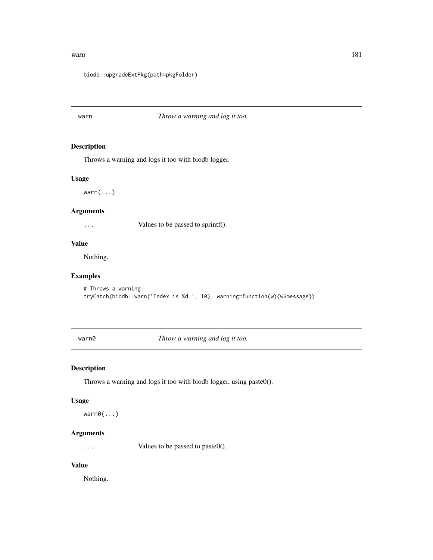#### <span id="page-180-0"></span>warn and the contract of the contract of the contract of the contract of the contract of the contract of the contract of the contract of the contract of the contract of the contract of the contract of the contract of the c

#### biodb::upgradeExtPkg(path=pkgFolder)

# warn *Throw a warning and log it too.*

## Description

Throws a warning and logs it too with biodb logger.

#### Usage

 $warn(...)$ 

## Arguments

... Values to be passed to sprintf().

#### Value

Nothing.

# Examples

```
# Throws a warning:
tryCatch(biodb::warn('Index is %d.', 10), warning=function(w){w$message})
```
warn0 *Throw a warning and log it too.*

## Description

Throws a warning and logs it too with biodb logger, using paste0().

#### Usage

warn0(...)

## Arguments

... Values to be passed to paste0().

## Value

Nothing.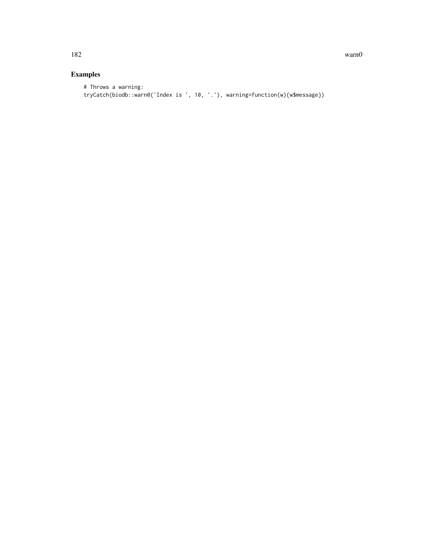182 warnow warnow was a series of the series of the series of the series of the series of the series of the series of the series of the series of the series of the series of the series of the series of the series of the se

# Examples

# Throws a warning: tryCatch(biodb::warn0('Index is ', 10, '.'), warning=function(w){w\$message})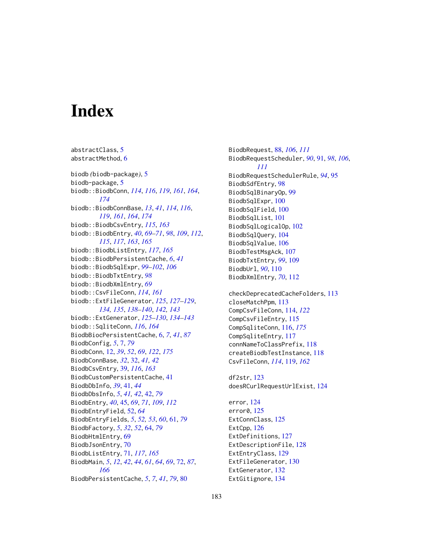# **Index**

abstractClass, [5](#page-4-0)

abstractMethod, [6](#page-5-0) biodb *(*biodb-package*)*, [5](#page-4-0) biodb-package, [5](#page-4-0) biodb::BiodbConn, *[114](#page-113-0)*, *[116](#page-115-0)*, *[119](#page-118-0)*, *[161](#page-160-0)*, *[164](#page-163-0)*, *[174](#page-173-0)* biodb::BiodbConnBase, *[13](#page-12-0)*, *[41](#page-40-0)*, *[114](#page-113-0)*, *[116](#page-115-0)*, *[119](#page-118-0)*, *[161](#page-160-0)*, *[164](#page-163-0)*, *[174](#page-173-0)* biodb::BiodbCsvEntry, *[115](#page-114-0)*, *[163](#page-162-0)* biodb::BiodbEntry, *[40](#page-39-0)*, *[69–](#page-68-0)[71](#page-70-0)*, *[98](#page-97-0)*, *[109](#page-108-0)*, *[112](#page-111-0)*, *[115](#page-114-0)*, *[117](#page-116-0)*, *[163](#page-162-0)*, *[165](#page-164-0)* biodb::BiodbListEntry, *[117](#page-116-0)*, *[165](#page-164-0)* biodb::BiodbPersistentCache, *[6](#page-5-0)*, *[41](#page-40-0)* biodb::BiodbSqlExpr, *[99–](#page-98-0)[102](#page-101-0)*, *[106](#page-105-0)* biodb::BiodbTxtEntry, *[98](#page-97-0)* biodb::BiodbXmlEntry, *[69](#page-68-0)* biodb::CsvFileConn, *[114](#page-113-0)*, *[161](#page-160-0)* biodb::ExtFileGenerator, *[125](#page-124-0)*, *[127–](#page-126-0)[129](#page-128-0)*, *[134,](#page-133-0) [135](#page-134-0)*, *[138–](#page-137-0)[140](#page-139-0)*, *[142,](#page-141-0) [143](#page-142-0)* biodb::ExtGenerator, *[125–](#page-124-0)[130](#page-129-0)*, *[134–](#page-133-0)[143](#page-142-0)* biodb::SqliteConn, *[116](#page-115-0)*, *[164](#page-163-0)* BiodbBiocPersistentCache, [6,](#page-5-0) *[7](#page-6-0)*, *[41](#page-40-0)*, *[87](#page-86-0)* BiodbConfig, *[5](#page-4-0)*, [7,](#page-6-0) *[79](#page-78-0)* BiodbConn, [12,](#page-11-0) *[39](#page-38-0)*, *[52](#page-51-0)*, *[69](#page-68-0)*, *[122](#page-121-0)*, *[175](#page-174-0)* BiodbConnBase, *[32](#page-31-0)*, [32,](#page-31-0) *[41,](#page-40-0) [42](#page-41-0)* BiodbCsvEntry, [39,](#page-38-0) *[116](#page-115-0)*, *[163](#page-162-0)* BiodbCustomPersistentCache, [41](#page-40-0) BiodbDbInfo, *[39](#page-38-0)*, [41,](#page-40-0) *[44](#page-43-0)* BiodbDbsInfo, *[5](#page-4-0)*, *[41,](#page-40-0) [42](#page-41-0)*, [42,](#page-41-0) *[79](#page-78-0)* BiodbEntry, *[40](#page-39-0)*, [45,](#page-44-0) *[69](#page-68-0)*, *[71](#page-70-0)*, *[109](#page-108-0)*, *[112](#page-111-0)* BiodbEntryField, [52,](#page-51-0) *[64](#page-63-0)* BiodbEntryFields, *[5](#page-4-0)*, *[52,](#page-51-0) [53](#page-52-0)*, *[60](#page-59-0)*, [61,](#page-60-0) *[79](#page-78-0)* BiodbFactory, *[5](#page-4-0)*, *[32](#page-31-0)*, *[52](#page-51-0)*, [64,](#page-63-0) *[79](#page-78-0)* BiodbHtmlEntry, [69](#page-68-0) BiodbJsonEntry, [70](#page-69-0) BiodbListEntry, [71,](#page-70-0) *[117](#page-116-0)*, *[165](#page-164-0)* BiodbMain, *[5](#page-4-0)*, *[12](#page-11-0)*, *[42](#page-41-0)*, *[44](#page-43-0)*, *[61](#page-60-0)*, *[64](#page-63-0)*, *[69](#page-68-0)*, [72,](#page-71-0) *[87](#page-86-0)*, *[166](#page-165-0)* BiodbPersistentCache, *[5](#page-4-0)*, *[7](#page-6-0)*, *[41](#page-40-0)*, *[79](#page-78-0)*, [80](#page-79-0)

BiodbRequest, [88,](#page-87-0) *[106](#page-105-0)*, *[111](#page-110-0)* BiodbRequestScheduler, *[90](#page-89-0)*, [91,](#page-90-0) *[98](#page-97-0)*, *[106](#page-105-0)*, *[111](#page-110-0)* BiodbRequestSchedulerRule, *[94](#page-93-0)*, [95](#page-94-0) BiodbSdfEntry, [98](#page-97-0) BiodbSqlBinaryOp, [99](#page-98-0) BiodbSqlExpr, [100](#page-99-0) BiodbSqlField, [100](#page-99-0) BiodbSqlList, [101](#page-100-0) BiodbSqlLogicalOp, [102](#page-101-0) BiodbSqlQuery, [104](#page-103-0) BiodbSqlValue, [106](#page-105-0) BiodbTestMsgAck, [107](#page-106-0) BiodbTxtEntry, *[99](#page-98-0)*, [109](#page-108-0) BiodbUrl, *[90](#page-89-0)*, [110](#page-109-0) BiodbXmlEntry, *[70](#page-69-0)*, [112](#page-111-0) checkDeprecatedCacheFolders, [113](#page-112-0)

closeMatchPpm, [113](#page-112-0) CompCsvFileConn, [114,](#page-113-0) *[122](#page-121-0)* CompCsvFileEntry, [115](#page-114-0) CompSqliteConn, [116,](#page-115-0) *[175](#page-174-0)* CompSqliteEntry, [117](#page-116-0) connNameToClassPrefix, [118](#page-117-0) createBiodbTestInstance, [118](#page-117-0) CsvFileConn, *[114](#page-113-0)*, [119,](#page-118-0) *[162](#page-161-0)*

df2str, [123](#page-122-0) doesRCurlRequestUrlExist, [124](#page-123-0)

error, [124](#page-123-0) error0, [125](#page-124-0) ExtConnClass, [125](#page-124-0) ExtCpp, [126](#page-125-0) ExtDefinitions, [127](#page-126-0) ExtDescriptionFile, [128](#page-127-0) ExtEntryClass, [129](#page-128-0) ExtFileGenerator, [130](#page-129-0) ExtGenerator, [132](#page-131-0) ExtGitignore, [134](#page-133-0)